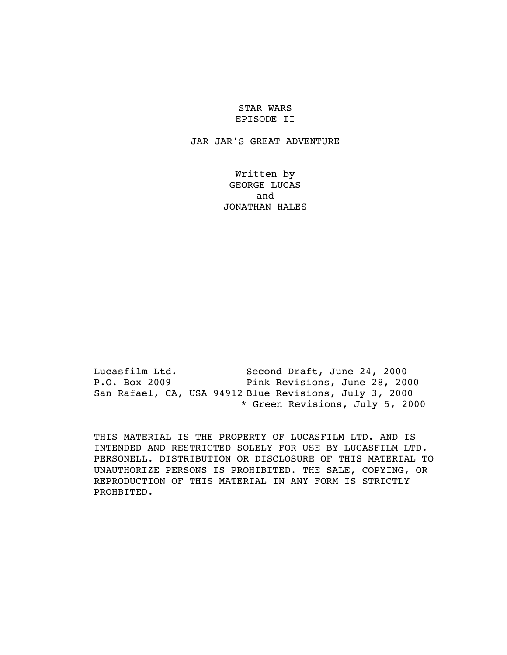# STAR WARS EPISODE II

JAR JAR'S GREAT ADVENTURE

Written by GEORGE LUCAS and JONATHAN HALES

Lucasfilm Ltd. Second Draft, June 24, 2000 P.O. Box 2009 Pink Revisions, June 28, 2000 San Rafael, CA, USA 94912 Blue Revisions, July 3, 2000 \* Green Revisions, July 5, 2000

THIS MATERIAL IS THE PROPERTY OF LUCASFILM LTD. AND IS INTENDED AND RESTRICTED SOLELY FOR USE BY LUCASFILM LTD. PERSONELL. DISTRIBUTION OR DISCLOSURE OF THIS MATERIAL TO UNAUTHORIZE PERSONS IS PROHIBITED. THE SALE, COPYING, OR REPRODUCTION OF THIS MATERIAL IN ANY FORM IS STRICTLY PROHBITED.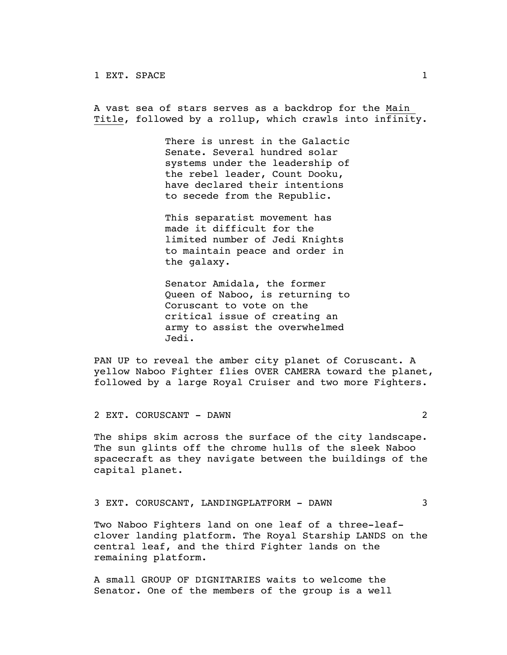A vast sea of stars serves as a backdrop for the Main Title, followed by a rollup, which crawls into infinity.

> There is unrest in the Galactic Senate. Several hundred solar systems under the leadership of the rebel leader, Count Dooku, have declared their intentions to secede from the Republic.

This separatist movement has made it difficult for the limited number of Jedi Knights to maintain peace and order in the galaxy.

Senator Amidala, the former Queen of Naboo, is returning to Coruscant to vote on the critical issue of creating an army to assist the overwhelmed Jedi.

PAN UP to reveal the amber city planet of Coruscant. A yellow Naboo Fighter flies OVER CAMERA toward the planet, followed by a large Royal Cruiser and two more Fighters.

2 EXT. CORUSCANT - DAWN 2

The ships skim across the surface of the city landscape. The sun glints off the chrome hulls of the sleek Naboo spacecraft as they navigate between the buildings of the capital planet.

3 EXT. CORUSCANT, LANDINGPLATFORM - DAWN 3

Two Naboo Fighters land on one leaf of a three-leafclover landing platform. The Royal Starship LANDS on the central leaf, and the third Fighter lands on the remaining platform.

A small GROUP OF DIGNITARIES waits to welcome the Senator. One of the members of the group is a well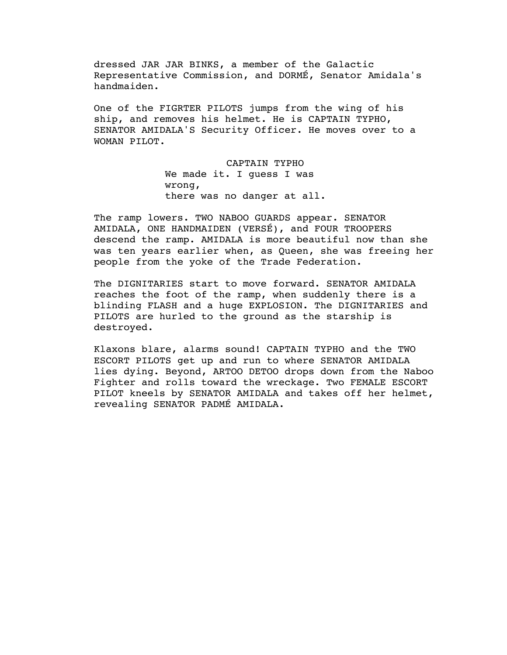dressed JAR JAR BINKS, a member of the Galactic Representative Commission, and DORMÉ, Senator Amidala's handmaiden.

One of the FIGRTER PILOTS jumps from the wing of his ship, and removes his helmet. He is CAPTAIN TYPHO, SENATOR AMIDALA'S Security Officer. He moves over to a WOMAN PILOT.

> CAPTAIN TYPHO We made it. I guess I was wrong, there was no danger at all.

The ramp lowers. TWO NABOO GUARDS appear. SENATOR AMIDALA, ONE HANDMAIDEN (VERSÉ), and FOUR TROOPERS descend the ramp. AMIDALA is more beautiful now than she was ten years earlier when, as Queen, she was freeing her people from the yoke of the Trade Federation.

The DIGNITARIES start to move forward. SENATOR AMIDALA reaches the foot of the ramp, when suddenly there is a blinding FLASH and a huge EXPLOSION. The DIGNITARIES and PILOTS are hurled to the ground as the starship is destroyed.

Klaxons blare, alarms sound! CAPTAIN TYPHO and the TWO ESCORT PILOTS get up and run to where SENATOR AMIDALA lies dying. Beyond, ARTOO DETOO drops down from the Naboo Fighter and rolls toward the wreckage. Two FEMALE ESCORT PILOT kneels by SENATOR AMIDALA and takes off her helmet, revealing SENATOR PADMÉ AMIDALA.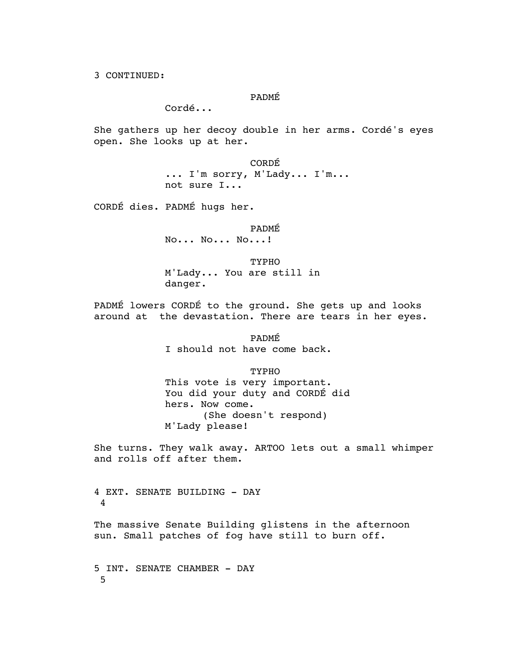3 CONTINUED:

# PADMÉ

Cordé...

She gathers up her decoy double in her arms. Cordé's eyes open. She looks up at her.

> CORDÉ ... I'm sorry, M'Lady... I'm... not sure I...

CORDÉ dies. PADMÉ hugs her.

PADMÉ No... No... No...!

TYPHO M'Lady... You are still in danger.

PADMÉ lowers CORDÉ to the ground. She gets up and looks around at the devastation. There are tears in her eyes.

> PADMÉ I should not have come back.

TYPHO This vote is very important. You did your duty and CORDÉ did hers. Now come. (She doesn't respond) M'Lady please!

She turns. They walk away. ARTOO lets out a small whimper and rolls off after them.

4 EXT. SENATE BUILDING - DAY 4

The massive Senate Building glistens in the afternoon sun. Small patches of fog have still to burn off.

5 INT. SENATE CHAMBER - DAY 5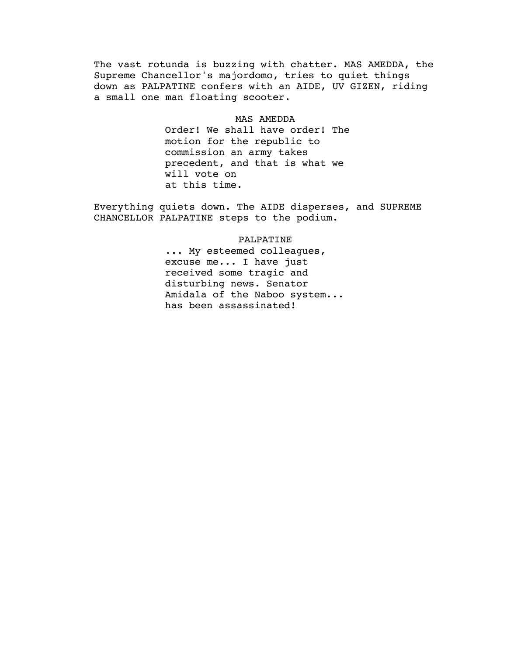The vast rotunda is buzzing with chatter. MAS AMEDDA, the Supreme Chancellor's majordomo, tries to quiet things down as PALPATINE confers with an AIDE, UV GIZEN, riding a small one man floating scooter.

### MAS AMEDDA

Order! We shall have order! The motion for the republic to commission an army takes precedent, and that is what we will vote on at this time.

Everything quiets down. The AIDE disperses, and SUPREME CHANCELLOR PALPATINE steps to the podium.

PALPATINE

... My esteemed colleagues, excuse me... I have just received some tragic and disturbing news. Senator Amidala of the Naboo system... has been assassinated!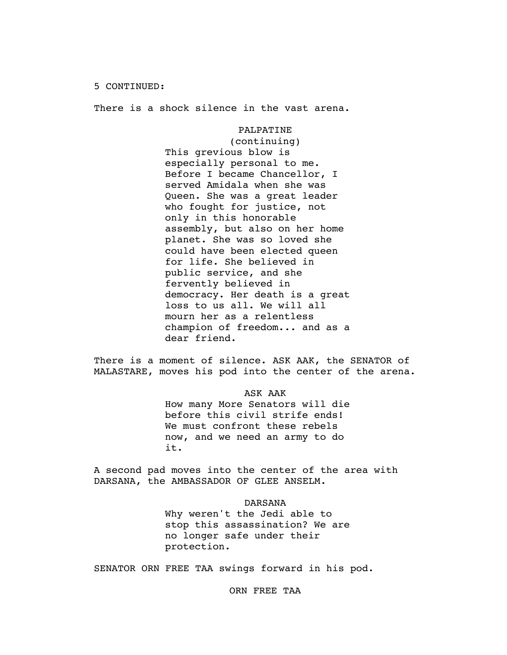5 CONTINUED:

There is a shock silence in the vast arena.

PALPATINE (continuing) This grevious blow is especially personal to me. Before I became Chancellor, I served Amidala when she was Queen. She was a great leader who fought for justice, not only in this honorable assembly, but also on her home planet. She was so loved she could have been elected queen for life. She believed in public service, and she fervently believed in democracy. Her death is a great loss to us all. We will all mourn her as a relentless champion of freedom... and as a dear friend.

There is a moment of silence. ASK AAK, the SENATOR of MALASTARE, moves his pod into the center of the arena.

ASK AAK

How many More Senators will die before this civil strife ends! We must confront these rebels now, and we need an army to do it.

A second pad moves into the center of the area with DARSANA, the AMBASSADOR OF GLEE ANSELM.

### DARSANA

Why weren't the Jedi able to stop this assassination? We are no longer safe under their protection.

SENATOR ORN FREE TAA swings forward in his pod.

ORN FREE TAA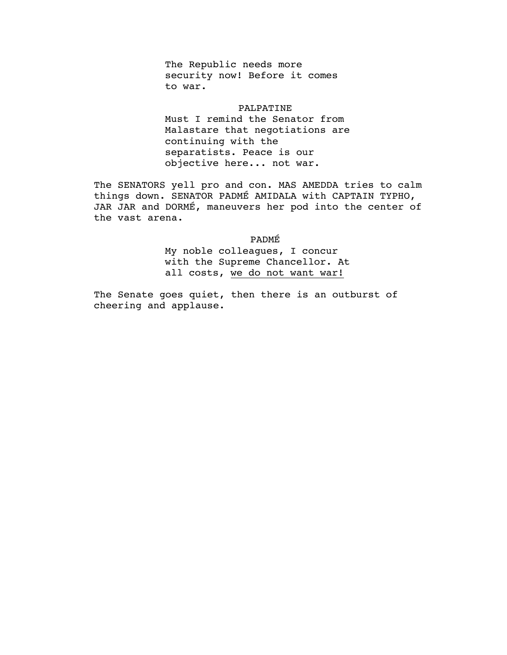The Republic needs more security now! Before it comes to war.

### PALPATINE

Must I remind the Senator from Malastare that negotiations are continuing with the separatists. Peace is our objective here... not war.

The SENATORS yell pro and con. MAS AMEDDA tries to calm things down. SENATOR PADMÉ AMIDALA with CAPTAIN TYPHO, JAR JAR and DORMÉ, maneuvers her pod into the center of the vast arena.

PADMÉ

My noble colleagues, I concur with the Supreme Chancellor. At all costs, we do not want war!

The Senate goes quiet, then there is an outburst of cheering and applause.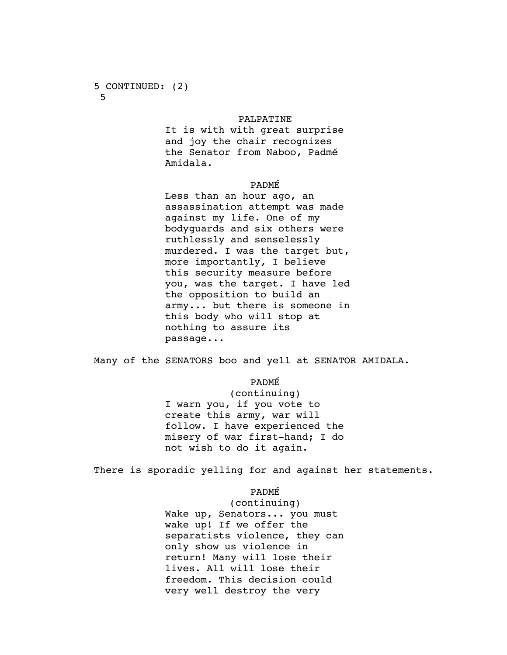It is with with great surprise and joy the chair recognizes the Senator from Naboo, Padmé Amidala.

# PADMÉ

Less than an hour ago, an assassination attempt was made against my life. One of my bodyguards and six others were ruthlessly and senselessly murdered. I was the target but, more importantly, I believe this security measure before you, was the target. I have led the opposition to build an army... but there is someone in this body who will stop at nothing to assure its passage...

Many of the SENATORS boo and yell at SENATOR AMIDALA.

# PADMÉ

(continuing) I warn you, if you vote to create this army, war will follow. I have experienced the misery of war first-hand; I do not wish to do it again.

There is sporadic yelling for and against her statements.

# PADMÉ

(continuing) Wake up, Senators... you must wake up! If we offer the separatists violence, they can only show us violence in return! Many will lose their lives. All will lose their freedom. This decision could very well destroy the very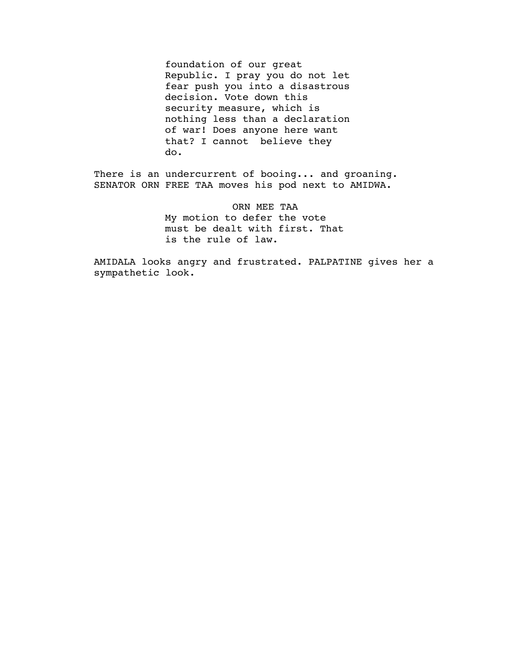foundation of our great Republic. I pray you do not let fear push you into a disastrous decision. Vote down this security measure, which is nothing less than a declaration of war! Does anyone here want that? I cannot believe they do.

There is an undercurrent of booing... and groaning. SENATOR ORN FREE TAA moves his pod next to AMIDWA.

> ORN MEE TAA My motion to defer the vote must be dealt with first. That is the rule of law.

AMIDALA looks angry and frustrated. PALPATINE gives her a sympathetic look.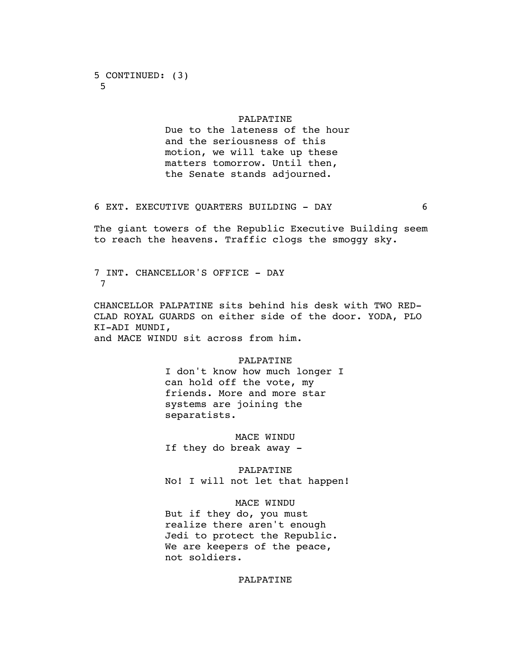Due to the lateness of the hour and the seriousness of this motion, we will take up these matters tomorrow. Until then, the Senate stands adjourned.

6 EXT. EXECUTIVE QUARTERS BUILDING - DAY 6

The giant towers of the Republic Executive Building seem to reach the heavens. Traffic clogs the smoggy sky.

7 INT. CHANCELLOR'S OFFICE - DAY 7

CHANCELLOR PALPATINE sits behind his desk with TWO RED-CLAD ROYAL GUARDS on either side of the door. YODA, PLO KI-ADI MUNDI, and MACE WINDU sit across from him.

> PALPATINE I don't know how much longer I can hold off the vote, my friends. More and more star systems are joining the separatists.

MACE WINDU If they do break away -

PALPATINE No! I will not let that happen!

### MACE WINDU

But if they do, you must realize there aren't enough Jedi to protect the Republic. We are keepers of the peace, not soldiers.

# PALPATINE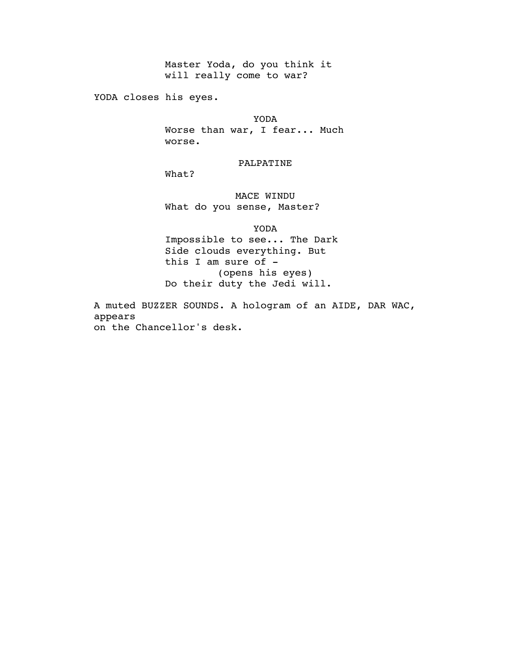Master Yoda, do you think it will really come to war?

YODA closes his eyes.

YODA

Worse than war, I fear... Much worse.

# PALPATINE

What?

MACE WINDU What do you sense, Master?

YODA

Impossible to see... The Dark Side clouds everything. But this I am sure of -(opens his eyes) Do their duty the Jedi will.

A muted BUZZER SOUNDS. A hologram of an AIDE, DAR WAC, appears on the Chancellor's desk.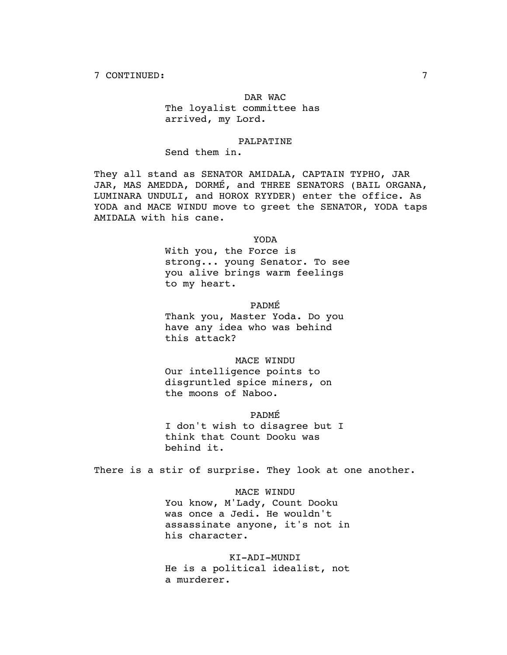# DAR WAC

# The loyalist committee has arrived, my Lord.

# PALPATINE

# Send them in.

They all stand as SENATOR AMIDALA, CAPTAIN TYPHO, JAR JAR, MAS AMEDDA, DORMÉ, and THREE SENATORS (BAIL ORGANA, LUMINARA UNDULI, and HOROX RYYDER) enter the office. As YODA and MACE WINDU move to greet the SENATOR, YODA taps AMIDALA with his cane.

#### YODA

With you, the Force is strong... young Senator. To see you alive brings warm feelings to my heart.

# PADMÉ

Thank you, Master Yoda. Do you have any idea who was behind this attack?

#### MACE WINDU

Our intelligence points to disgruntled spice miners, on the moons of Naboo.

# PADMÉ

I don't wish to disagree but I think that Count Dooku was behind it.

There is a stir of surprise. They look at one another.

#### MACE WINDU

You know, M'Lady, Count Dooku was once a Jedi. He wouldn't assassinate anyone, it's not in his character.

KI-ADI-MUNDI He is a political idealist, not a murderer.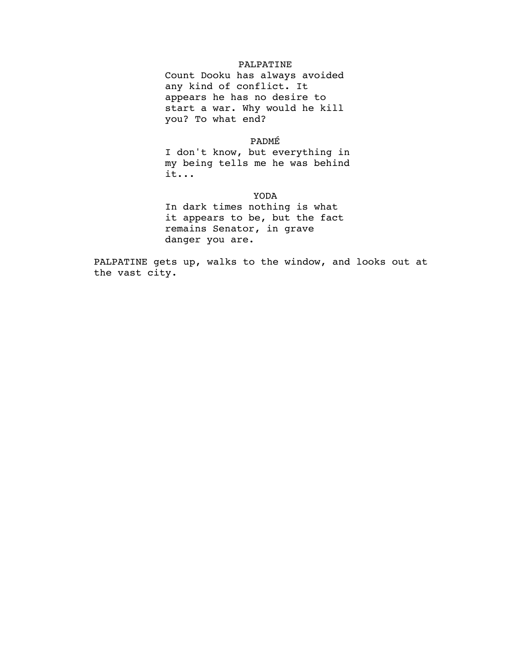Count Dooku has always avoided any kind of conflict. It appears he has no desire to start a war. Why would he kill you? To what end?

PADMÉ

I don't know, but everything in my being tells me he was behind it...

YODA In dark times nothing is what it appears to be, but the fact remains Senator, in grave danger you are.

PALPATINE gets up, walks to the window, and looks out at the vast city.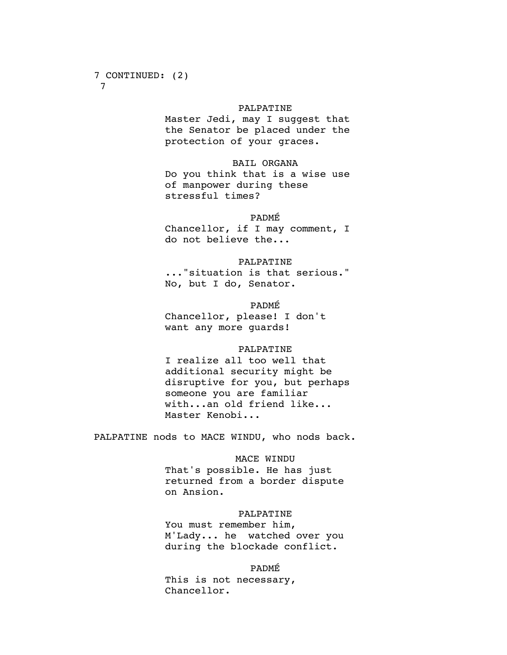Master Jedi, may I suggest that the Senator be placed under the protection of your graces.

# BAIL ORGANA

Do you think that is a wise use of manpower during these stressful times?

# PADMÉ

Chancellor, if I may comment, I do not believe the...

# PALPATINE

..."situation is that serious." No, but I do, Senator.

# PADMÉ

Chancellor, please! I don't want any more guards!

#### PALPATINE

I realize all too well that additional security might be disruptive for you, but perhaps someone you are familiar with...an old friend like... Master Kenobi...

# PALPATINE nods to MACE WINDU, who nods back.

# MACE WINDU

That's possible. He has just returned from a border dispute on Ansion.

# PALPATINE

You must remember him, M'Lady... he watched over you during the blockade conflict.

# PADMÉ

This is not necessary, Chancellor.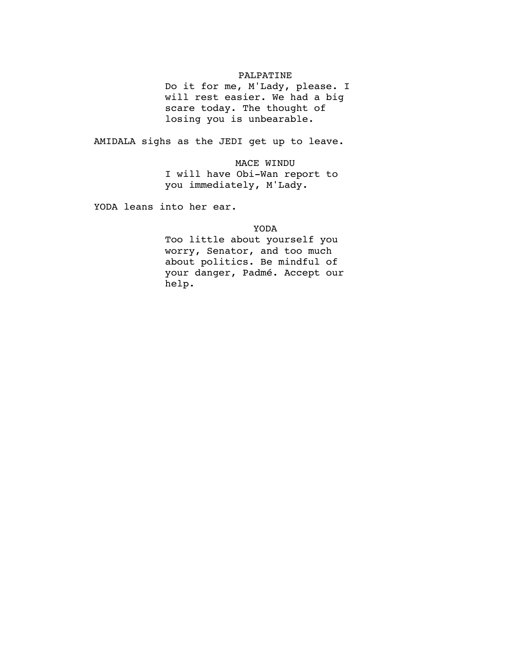Do it for me, M'Lady, please. I will rest easier. We had a big scare today. The thought of losing you is unbearable.

AMIDALA sighs as the JEDI get up to leave.

MACE WINDU I will have Obi-Wan report to you immediately, M'Lady.

YODA leans into her ear.

#### YODA

Too little about yourself you worry, Senator, and too much about politics. Be mindful of your danger, Padmé. Accept our help.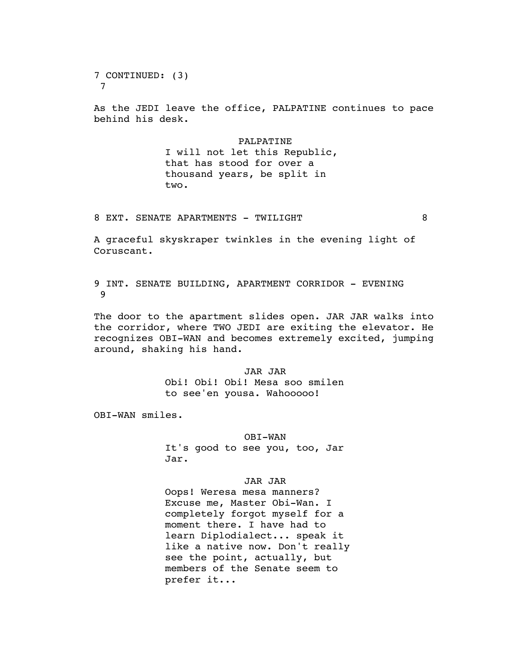7 CONTINUED: (3) 7 As the JEDI leave the office, PALPATINE continues to pace

behind his desk.

PALPATINE I will not let this Republic, that has stood for over a thousand years, be split in two.

8 EXT. SENATE APARTMENTS - TWILIGHT 8

A graceful skyskraper twinkles in the evening light of Coruscant.

9 INT. SENATE BUILDING, APARTMENT CORRIDOR - EVENING 9

The door to the apartment slides open. JAR JAR walks into the corridor, where TWO JEDI are exiting the elevator. He recognizes OBI-WAN and becomes extremely excited, jumping around, shaking his hand.

> JAR JAR Obi! Obi! Obi! Mesa soo smilen to see'en yousa. Wahooooo!

OBI-WAN smiles.

OBI-WAN

It's good to see you, too, Jar Jar.

JAR JAR

Oops! Weresa mesa manners? Excuse me, Master Obi-Wan. I completely forgot myself for a moment there. I have had to learn Diplodialect... speak it like a native now. Don't really see the point, actually, but members of the Senate seem to prefer it...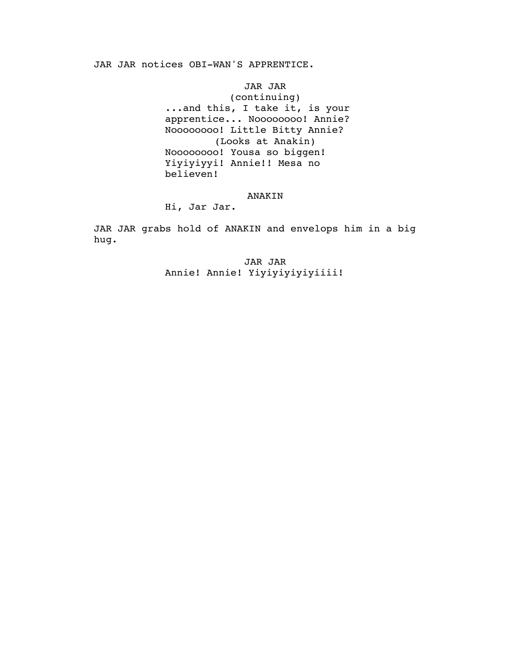JAR JAR notices OBI-WAN'S APPRENTICE.

JAR JAR

(continuing) ...and this, I take it, is your apprentice... Noooooooo! Annie? Noooooooo! Little Bitty Annie? (Looks at Anakin) Noooooooo! Yousa so biggen! Yiyiyiyyi! Annie!! Mesa no believen!

# ANAKIN

# Hi, Jar Jar.

JAR JAR grabs hold of ANAKIN and envelops him in a big hug.

> JAR JAR Annie! Annie! Yiyiyiyiyiyiiii!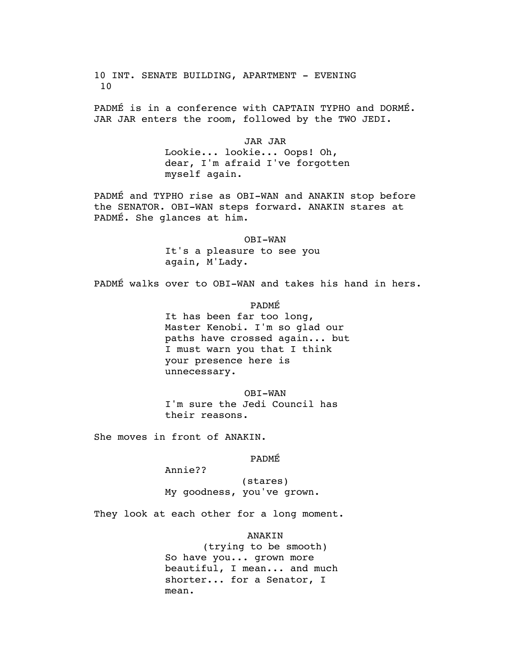10 INT. SENATE BUILDING, APARTMENT - EVENING 10

PADMÉ is in a conference with CAPTAIN TYPHO and DORMÉ. JAR JAR enters the room, followed by the TWO JEDI.

#### JAR JAR

Lookie... lookie... Oops! Oh, dear, I'm afraid I've forgotten myself again.

PADMÉ and TYPHO rise as OBI-WAN and ANAKIN stop before the SENATOR. OBI-WAN steps forward. ANAKIN stares at PADMÉ. She glances at him.

#### OBI-WAN

It's a pleasure to see you again, M'Lady.

PADMÉ walks over to OBI-WAN and takes his hand in hers.

PADMÉ It has been far too long, Master Kenobi. I'm so glad our paths have crossed again... but I must warn you that I think your presence here is unnecessary.

OBI-WAN I'm sure the Jedi Council has their reasons.

She moves in front of ANAKIN.

# PADMÉ

Annie??

(stares) My goodness, you've grown.

They look at each other for a long moment.

#### ANAKIN

(trying to be smooth) So have you... grown more beautiful, I mean... and much shorter... for a Senator, I mean.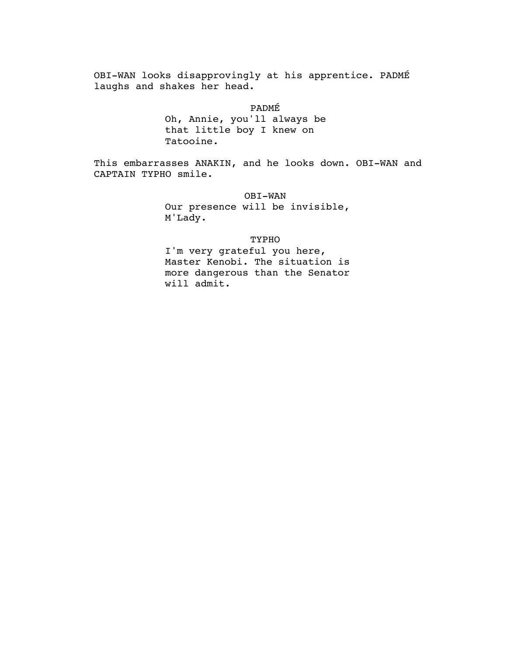OBI-WAN looks disapprovingly at his apprentice. PADMÉ laughs and shakes her head.

PADMÉ

Oh, Annie, you'll always be that little boy I knew on Tatooine.

This embarrasses ANAKIN, and he looks down. OBI-WAN and CAPTAIN TYPHO smile.

OBI-WAN

Our presence will be invisible, M'Lady.

# TYPHO

I'm very grateful you here, Master Kenobi. The situation is more dangerous than the Senator will admit.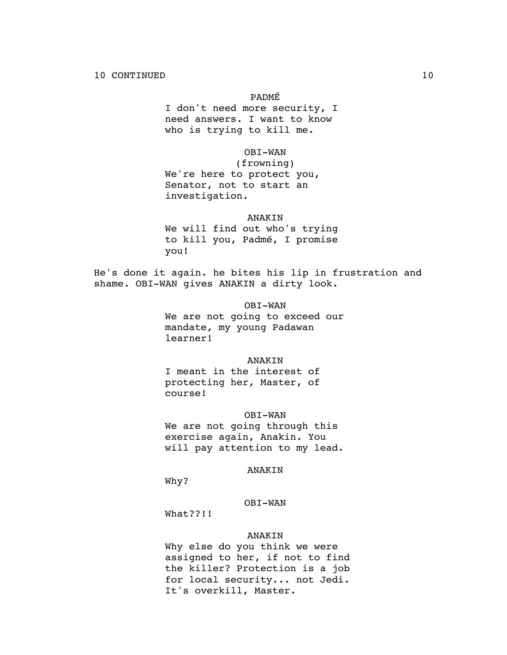# PADMÉ

I don't need more security, I need answers. I want to know who is trying to kill me.

#### OBI-WAN

(frowning) We're here to protect you, Senator, not to start an investigation.

#### ANAKIN

We will find out who's trying to kill you, Padmé, I promise you!

He's done it again. he bites his lip in frustration and shame. OBI-WAN gives ANAKIN a dirty look.

> OBI-WAN We are not going to exceed our mandate, my young Padawan learner!

### ANAKIN

I meant in the interest of protecting her, Master, of course!

OBI-WAN

We are not going through this exercise again, Anakin. You will pay attention to my lead.

#### ANAKIN

Why?

# OBI-WAN

What??!!

#### ANAKIN

Why else do you think we were assigned to her, if not to find the killer? Protection is a job for local security... not Jedi. It's overkill, Master.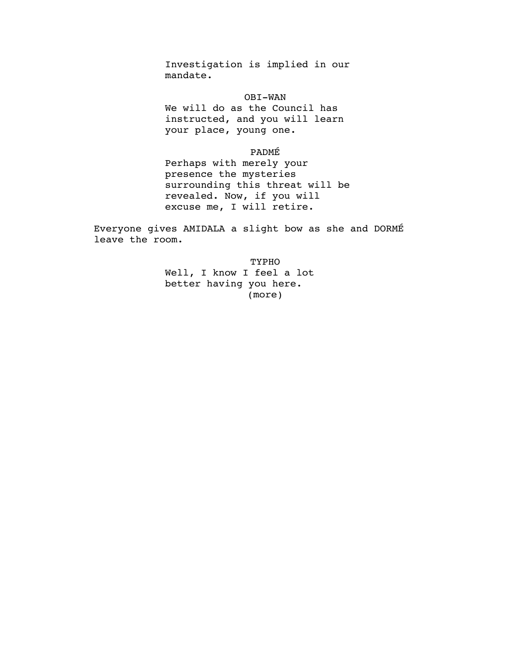Investigation is implied in our mandate.

OBI-WAN

We will do as the Council has instructed, and you will learn your place, young one.

PADMÉ

Perhaps with merely your presence the mysteries surrounding this threat will be revealed. Now, if you will excuse me, I will retire.

Everyone gives AMIDALA a slight bow as she and DORMÉ leave the room.

> TYPHO Well, I know I feel a lot better having you here. (more)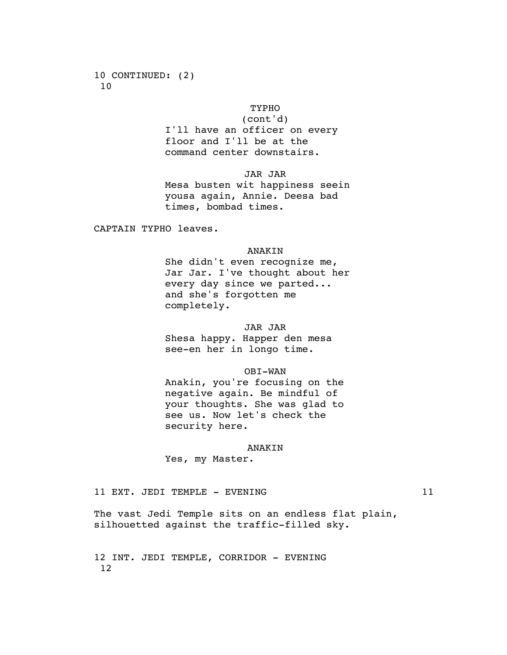# 10 CONTINUED: (2) 10

# TYPHO

(cont'd) I'll have an officer on every floor and I'll be at the command center downstairs.

JAR JAR

Mesa busten wit happiness seein yousa again, Annie. Deesa bad times, bombad times.

CAPTAIN TYPHO leaves.

# ANAKIN

She didn't even recognize me, Jar Jar. I've thought about her every day since we parted... and she's forgotten me completely.

JAR JAR Shesa happy. Happer den mesa see-en her in longo time.

#### OBI-WAN

Anakin, you're focusing on the negative again. Be mindful of your thoughts. She was glad to see us. Now let's check the security here.

#### ANAKIN

Yes, my Master.

11 EXT. JEDI TEMPLE - EVENING 11

The vast Jedi Temple sits on an endless flat plain, silhouetted against the traffic-filled sky.

12 INT. JEDI TEMPLE, CORRIDOR - EVENING 12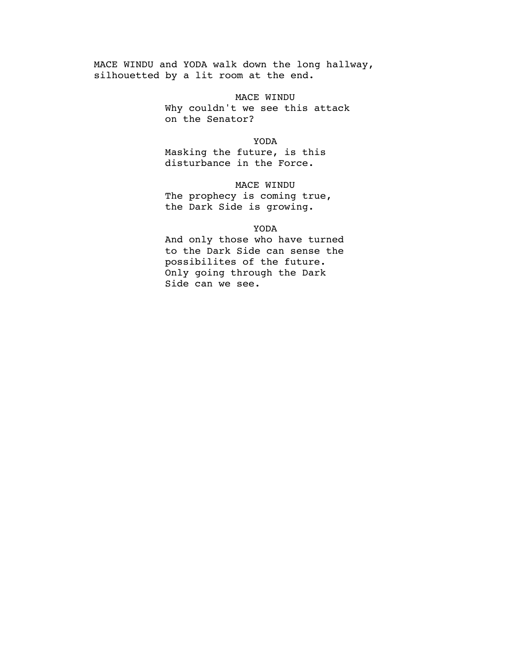MACE WINDU and YODA walk down the long hallway, silhouetted by a lit room at the end.

> MACE WINDU Why couldn't we see this attack on the Senator?

YODA Masking the future, is this disturbance in the Force.

MACE WINDU The prophecy is coming true, the Dark Side is growing.

YODA

And only those who have turned to the Dark Side can sense the possibilites of the future. Only going through the Dark Side can we see.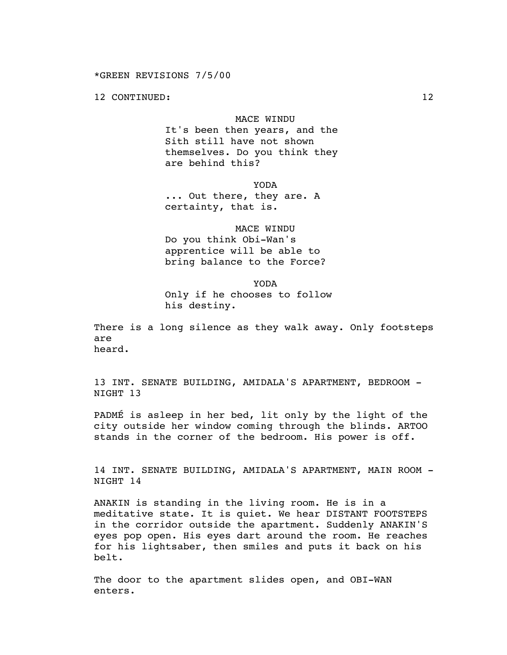12 CONTINUED: 12

## MACE WINDU

It's been then years, and the Sith still have not shown themselves. Do you think they are behind this?

YODA

... Out there, they are. A certainty, that is.

MACE WINDU Do you think Obi-Wan's apprentice will be able to bring balance to the Force?

YODA

Only if he chooses to follow his destiny.

There is a long silence as they walk away. Only footsteps are heard.

13 INT. SENATE BUILDING, AMIDALA'S APARTMENT, BEDROOM - NIGHT 13

PADMÉ is asleep in her bed, lit only by the light of the city outside her window coming through the blinds. ARTOO stands in the corner of the bedroom. His power is off.

14 INT. SENATE BUILDING, AMIDALA'S APARTMENT, MAIN ROOM - NTGHT 14

ANAKIN is standing in the living room. He is in a meditative state. It is quiet. We hear DISTANT FOOTSTEPS in the corridor outside the apartment. Suddenly ANAKIN'S eyes pop open. His eyes dart around the room. He reaches for his lightsaber, then smiles and puts it back on his belt.

The door to the apartment slides open, and OBI-WAN enters.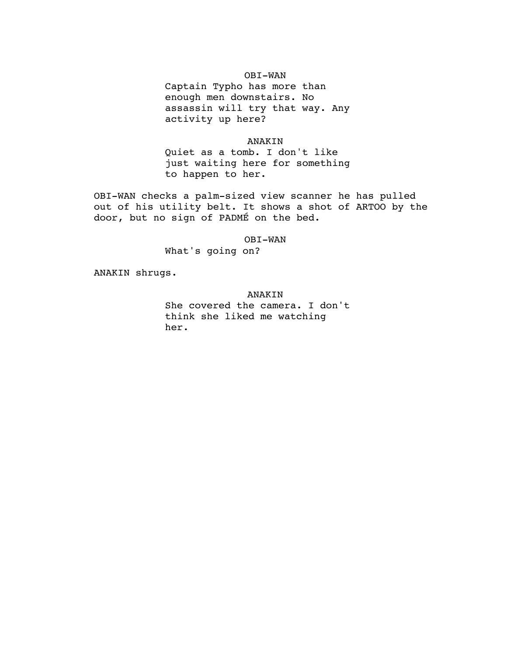# OBI-WAN

Captain Typho has more than enough men downstairs. No assassin will try that way. Any activity up here?

ANAKIN

Quiet as a tomb. I don't like just waiting here for something to happen to her.

OBI-WAN checks a palm-sized view scanner he has pulled out of his utility belt. It shows a shot of ARTOO by the door, but no sign of PADMÉ on the bed.

OBI-WAN

What's going on?

ANAKIN shrugs.

ANAKIN

She covered the camera. I don't think she liked me watching her.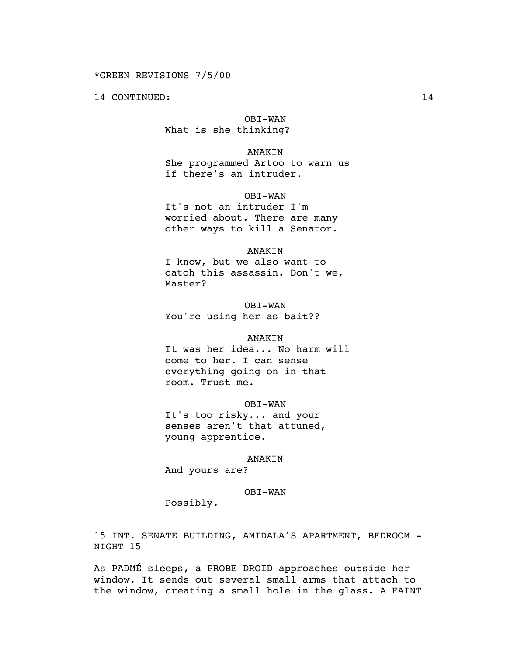# 14 CONTINUED: 14

## OBI-WAN

# What is she thinking?

ANAKIN She programmed Artoo to warn us if there's an intruder.

# OBI-WAN

It's not an intruder I'm worried about. There are many other ways to kill a Senator.

#### ANAKIN

I know, but we also want to catch this assassin. Don't we, Master?

OBI-WAN You're using her as bait??

#### ANAKIN

It was her idea... No harm will come to her. I can sense everything going on in that room. Trust me.

#### OBI-WAN

It's too risky... and your senses aren't that attuned, young apprentice.

#### ANAKIN

And yours are?

# OBI-WAN

Possibly.

15 INT. SENATE BUILDING, AMIDALA'S APARTMENT, BEDROOM - NIGHT 15

As PADMÉ sleeps, a PROBE DROID approaches outside her window. It sends out several small arms that attach to the window, creating a small hole in the glass. A FAINT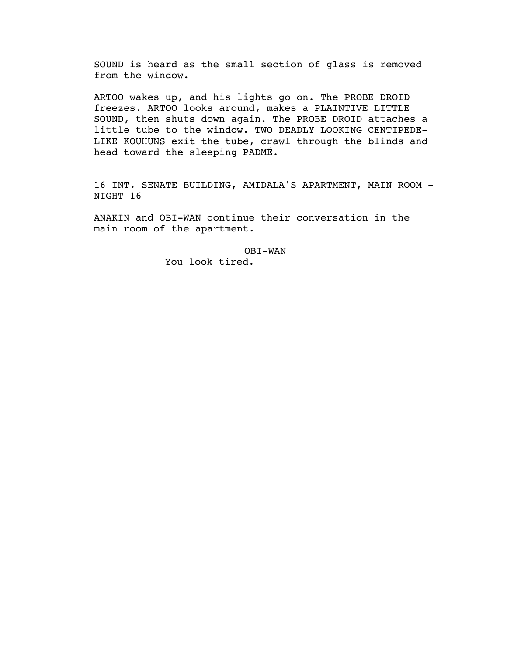SOUND is heard as the small section of glass is removed from the window.

ARTOO wakes up, and his lights go on. The PROBE DROID freezes. ARTOO looks around, makes a PLAINTIVE LITTLE SOUND, then shuts down again. The PROBE DROID attaches a little tube to the window. TWO DEADLY LOOKING CENTIPEDE-LIKE KOUHUNS exit the tube, crawl through the blinds and head toward the sleeping PADMÉ.

16 INT. SENATE BUILDING, AMIDALA'S APARTMENT, MAIN ROOM - NIGHT 16

ANAKIN and OBI-WAN continue their conversation in the main room of the apartment.

OBI-WAN

You look tired.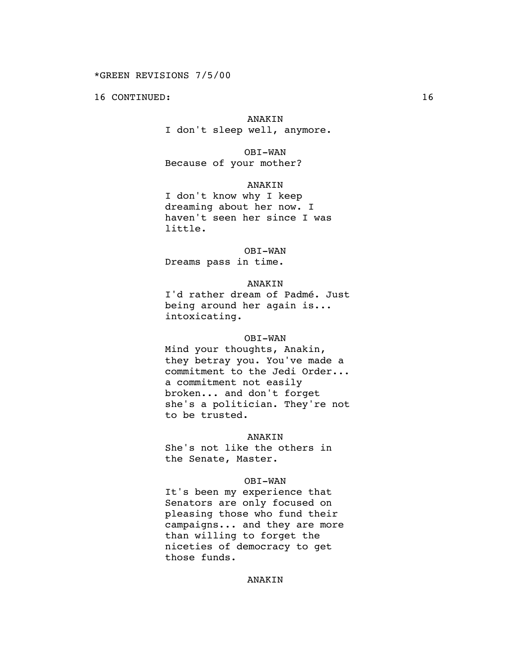# 16 CONTINUED: 16

#### ANAKIN

# I don't sleep well, anymore.

# OBI-WAN Because of your mother?

# ANAKIN

I don't know why I keep dreaming about her now. I haven't seen her since I was little.

OBI-WAN

Dreams pass in time.

### ANAKIN

I'd rather dream of Padmé. Just being around her again is... intoxicating.

#### OBI-WAN

Mind your thoughts, Anakin, they betray you. You've made a commitment to the Jedi Order... a commitment not easily broken... and don't forget she's a politician. They're not to be trusted.

#### ANAKIN

She's not like the others in the Senate, Master.

#### OBI-WAN

It's been my experience that Senators are only focused on pleasing those who fund their campaigns... and they are more than willing to forget the niceties of democracy to get those funds.

# **ANAKIN**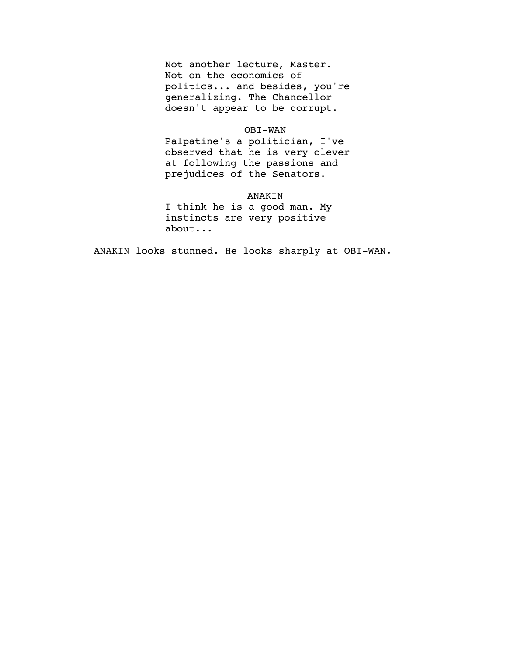Not another lecture, Master. Not on the economics of politics... and besides, you're generalizing. The Chancellor doesn't appear to be corrupt.

# OBI-WAN

Palpatine's a politician, I've observed that he is very clever at following the passions and prejudices of the Senators.

ANAKIN

I think he is a good man. My instincts are very positive about...

ANAKIN looks stunned. He looks sharply at OBI-WAN.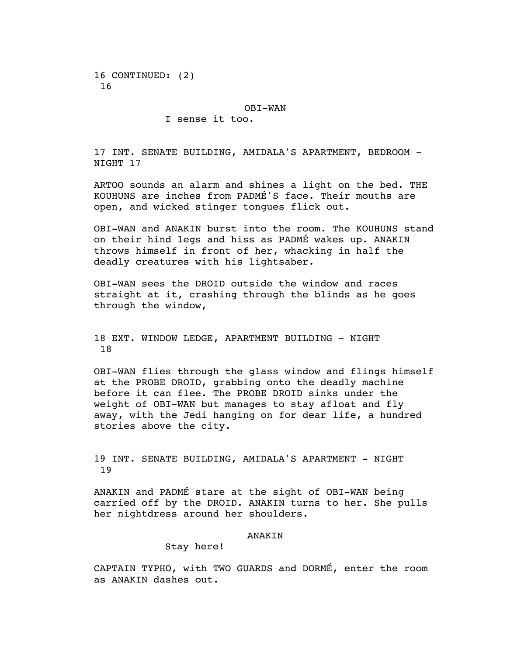16 CONTINUED: (2) 16

OBI-WAN

I sense it too.

17 INT. SENATE BUILDING, AMIDALA'S APARTMENT, BEDROOM - NIGHT 17

ARTOO sounds an alarm and shines a light on the bed. THE KOUHUNS are inches from PADMÉ'S face. Their mouths are open, and wicked stinger tongues flick out.

OBI-WAN and ANAKIN burst into the room. The KOUHUNS stand on their hind legs and hiss as PADMÉ wakes up. ANAKIN throws himself in front of her, whacking in half the deadly creatures with his lightsaber.

OBI-WAN sees the DROID outside the window and races straight at it, crashing through the blinds as he goes through the window,

18 EXT. WINDOW LEDGE, APARTMENT BUILDING - NIGHT 18

OBI-WAN flies through the glass window and flings himself at the PROBE DROID, grabbing onto the deadly machine before it can flee. The PROBE DROID sinks under the weight of OBI-WAN but manages to stay afloat and fly away, with the Jedi hanging on for dear life, a hundred stories above the city.

19 INT. SENATE BUILDING, AMIDALA'S APARTMENT - NIGHT 19

ANAKIN and PADMÉ stare at the sight of OBI-WAN being carried off by the DROID. ANAKIN turns to her. She pulls her nightdress around her shoulders.

#### ANAKIN

Stay here!

CAPTAIN TYPHO, with TWO GUARDS and DORMÉ, enter the room as ANAKIN dashes out.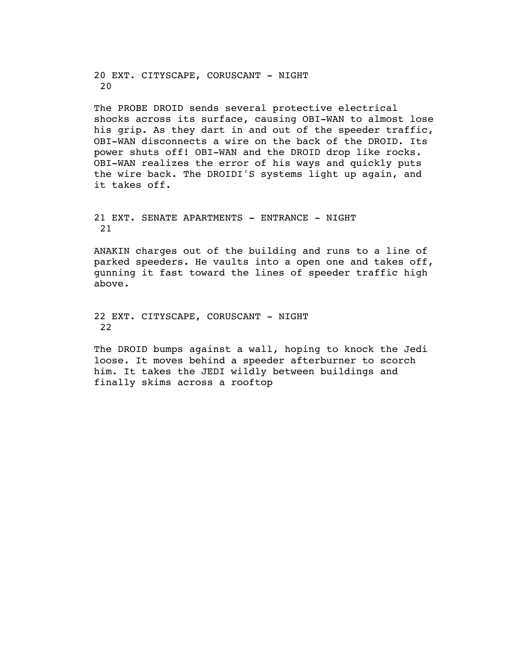20 EXT. CITYSCAPE, CORUSCANT - NIGHT 20

The PROBE DROID sends several protective electrical shocks across its surface, causing OBI-WAN to almost lose his grip. As they dart in and out of the speeder traffic, OBI-WAN disconnects a wire on the back of the DROID. Its power shuts off! OBI-WAN and the DROID drop like rocks. OBI-WAN realizes the error of his ways and quickly puts the wire back. The DROIDI'S systems light up again, and it takes off.

21 EXT. SENATE APARTMENTS - ENTRANCE - NIGHT 21

ANAKIN charges out of the building and runs to a line of parked speeders. He vaults into a open one and takes off, gunning it fast toward the lines of speeder traffic high above.

22 EXT. CITYSCAPE, CORUSCANT - NIGHT 22

The DROID bumps against a wall, hoping to knock the Jedi loose. It moves behind a speeder afterburner to scorch him. It takes the JEDI wildly between buildings and finally skims across a rooftop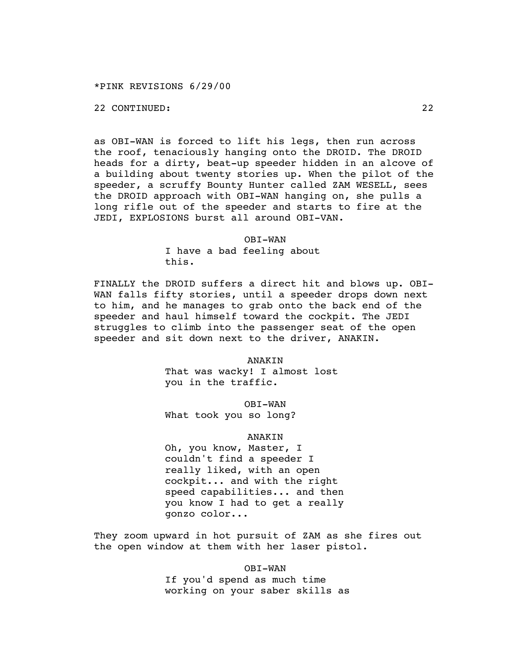\*PINK REVISIONS 6/29/00

# 22 CONTINUED: 22

as OBI-WAN is forced to lift his legs, then run across the roof, tenaciously hanging onto the DROID. The DROID heads for a dirty, beat-up speeder hidden in an alcove of a building about twenty stories up. When the pilot of the speeder, a scruffy Bounty Hunter called ZAM WESELL, sees the DROID approach with OBI-WAN hanging on, she pulls a long rifle out of the speeder and starts to fire at the JEDI, EXPLOSIONS burst all around OBI-VAN.

#### OBI-WAN

I have a bad feeling about this.

FINALLY the DROID suffers a direct hit and blows up. OBI-WAN falls fifty stories, until a speeder drops down next to him, and he manages to grab onto the back end of the speeder and haul himself toward the cockpit. The JEDI struggles to climb into the passenger seat of the open speeder and sit down next to the driver, ANAKIN.

ANAKIN

That was wacky! I almost lost you in the traffic.

OBI-WAN

What took you so long?

#### ANAKIN

Oh, you know, Master, I couldn't find a speeder I really liked, with an open cockpit... and with the right speed capabilities... and then you know I had to get a really gonzo color...

They zoom upward in hot pursuit of ZAM as she fires out the open window at them with her laser pistol.

OBI-WAN

If you'd spend as much time working on your saber skills as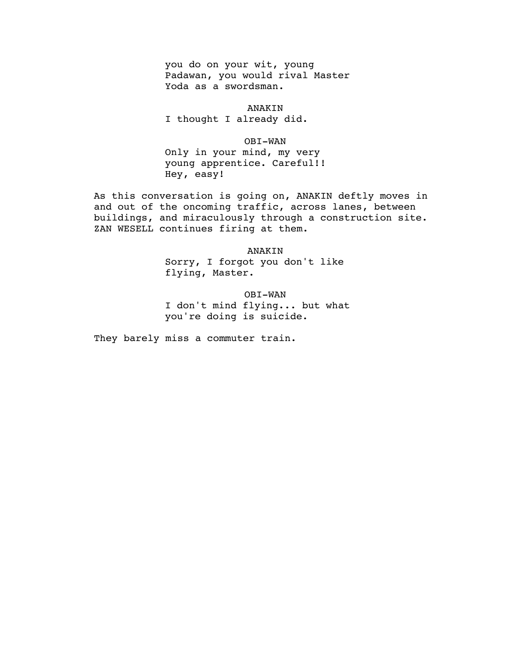you do on your wit, young Padawan, you would rival Master Yoda as a swordsman.

ANAKIN I thought I already did.

OBI-WAN Only in your mind, my very young apprentice. Careful!! Hey, easy!

As this conversation is going on, ANAKIN deftly moves in and out of the oncoming traffic, across lanes, between buildings, and miraculously through a construction site. ZAN WESELL continues firing at them.

> ANAKIN Sorry, I forgot you don't like flying, Master.

OBI-WAN I don't mind flying... but what you're doing is suicide.

They barely miss a commuter train.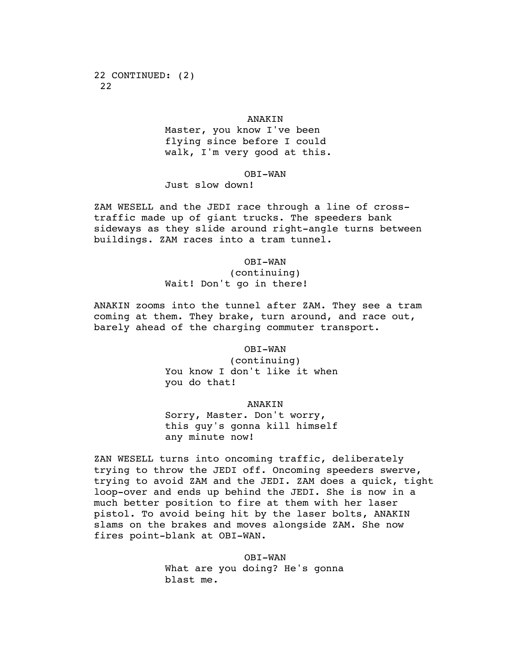### ANAKIN

Master, you know I've been flying since before I could walk, I'm very good at this.

#### OBI-WAN

Just slow down!

ZAM WESELL and the JEDI race through a line of crosstraffic made up of giant trucks. The speeders bank sideways as they slide around right-angle turns between buildings. ZAM races into a tram tunnel.

# OBI-WAN (continuing) Wait! Don't go in there!

ANAKIN zooms into the tunnel after ZAM. They see a tram coming at them. They brake, turn around, and race out, barely ahead of the charging commuter transport.

OBI-WAN

(continuing) You know I don't like it when you do that!

#### ANAKIN

Sorry, Master. Don't worry, this guy's gonna kill himself any minute now!

ZAN WESELL turns into oncoming traffic, deliberately trying to throw the JEDI off. Oncoming speeders swerve, trying to avoid ZAM and the JEDI. ZAM does a quick, tight loop-over and ends up behind the JEDI. She is now in a much better position to fire at them with her laser pistol. To avoid being hit by the laser bolts, ANAKIN slams on the brakes and moves alongside ZAM. She now fires point-blank at OBI-WAN.

> OBI-WAN What are you doing? He's gonna blast me.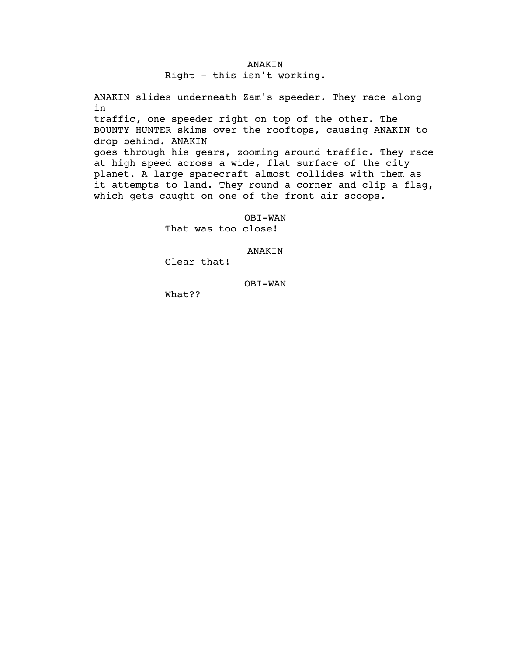### ANAKIN

Right - this isn't working.

ANAKIN slides underneath Zam's speeder. They race along in traffic, one speeder right on top of the other. The BOUNTY HUNTER skims over the rooftops, causing ANAKIN to drop behind. ANAKIN goes through his gears, zooming around traffic. They race at high speed across a wide, flat surface of the city planet. A large spacecraft almost collides with them as it attempts to land. They round a corner and clip a flag, which gets caught on one of the front air scoops.

> OBI-WAN That was too close!

> > ANAKIN

Clear that!

OBI-WAN

What??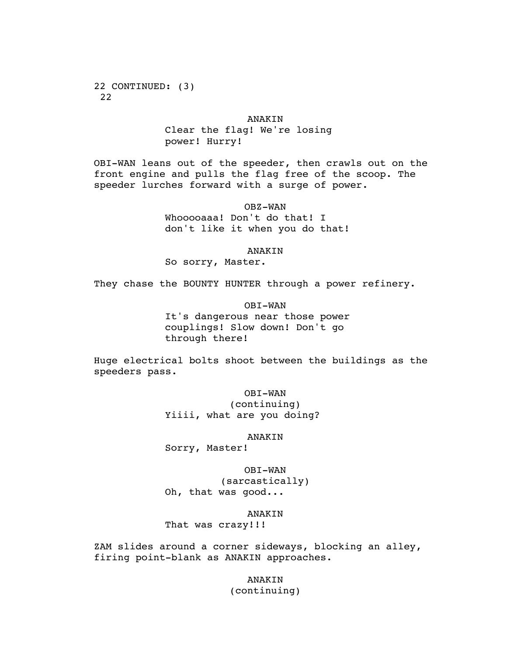22 CONTINUED: (3) 22

#### ANAKIN

Clear the flag! We're losing power! Hurry!

OBI-WAN leans out of the speeder, then crawls out on the front engine and pulls the flag free of the scoop. The speeder lurches forward with a surge of power.

> OBZ-WAN Whooooaaa! Don't do that! I don't like it when you do that!

> > ANAKIN

So sorry, Master.

They chase the BOUNTY HUNTER through a power refinery.

OBI-WAN It's dangerous near those power couplings! Slow down! Don't go through there!

Huge electrical bolts shoot between the buildings as the speeders pass.

> OBI-WAN (continuing) Yiiii, what are you doing?

> > ANAKIN

Sorry, Master!

OBI-WAN (sarcastically) Oh, that was good...

# ANAKIN

That was crazy!!!

ZAM slides around a corner sideways, blocking an alley, firing point-blank as ANAKIN approaches.

> **ANAKIN** (continuing)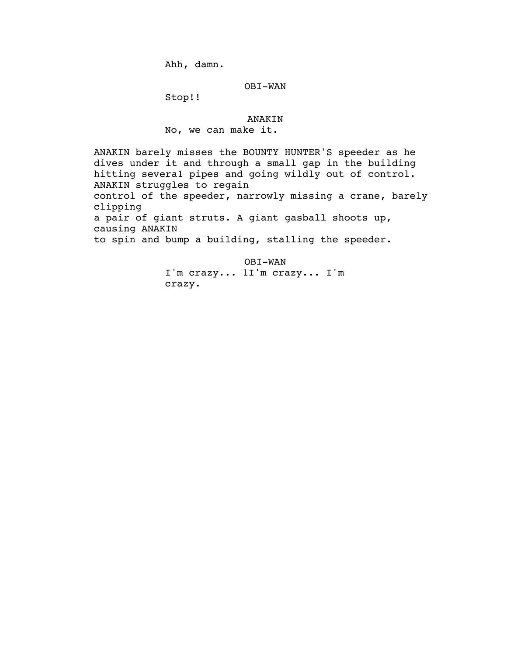Ahh, damn.

# OBI-WAN

Stop!!

### ANAKIN

No, we can make it.

ANAKIN barely misses the BOUNTY HUNTER'S speeder as he dives under it and through a small gap in the building hitting severa1 pipes and going wildly out of control. ANAKIN struggles to regain control of the speeder, narrowly missing a crane, barely clipping a pair of giant struts. A giant gasball shoots up, causing ANAKIN to spin and bump a building, stalling the speeder.

> OBI-WAN I'm crazy... 1I'm crazy... I'm crazy.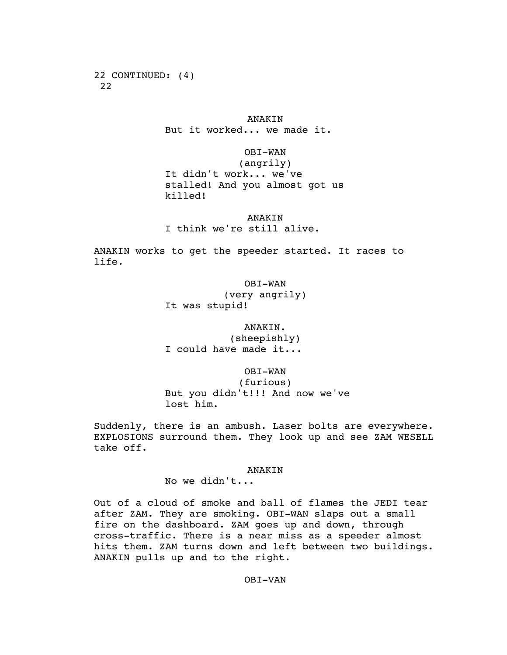22 CONTINUED: (4) 22

> ANAKIN But it worked... we made it.

# OBI-WAN

(angrily) It didn't work... we've stalled! And you almost got us killed!

ANAKIN I think we're still alive.

ANAKIN works to get the speeder started. It races to life.

OBI-WAN

(very angrily)

It was stupid!

ANAKIN. (sheepishly) I could have made it...

OBI-WAN

(furious) But you didn't!!! And now we've lost him.

Suddenly, there is an ambush. Laser bolts are everywhere. EXPLOSIONS surround them. They look up and see ZAM WESELL take off.

### ANAKIN

No we didn't...

Out of a cloud of smoke and ball of flames the JEDI tear after ZAM. They are smoking. OBI-WAN slaps out a small fire on the dashboard. ZAM goes up and down, through cross-traffic. There is a near miss as a speeder almost hits them. ZAM turns down and left between two buildings. ANAKIN pulls up and to the right.

OBI-VAN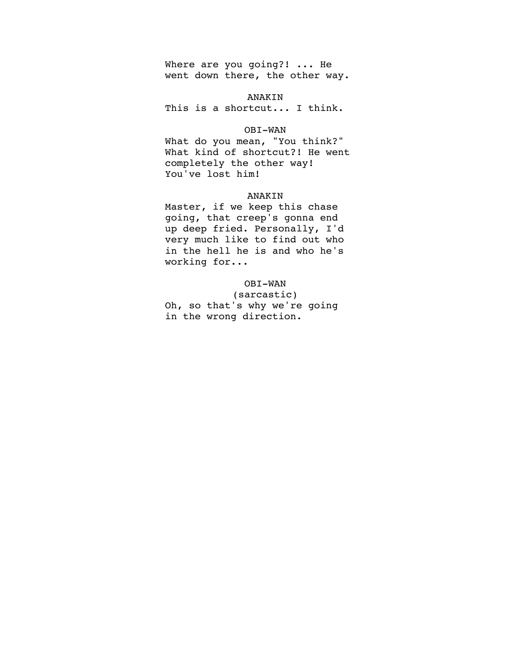Where are you going?! ... He went down there, the other way.

## ANAKIN

This is a shortcut... I think.

### OBI-WAN

What do you mean, "You think?" What kind of shortcut?! He went completely the other way! You've lost him!

# ANAKIN

Master, if we keep this chase going, that creep's gonna end up deep fried. Personally, I'd very much like to find out who in the hell he is and who he's working for...

## OBI-WAN

(sarcastic) Oh, so that's why we're going in the wrong direction.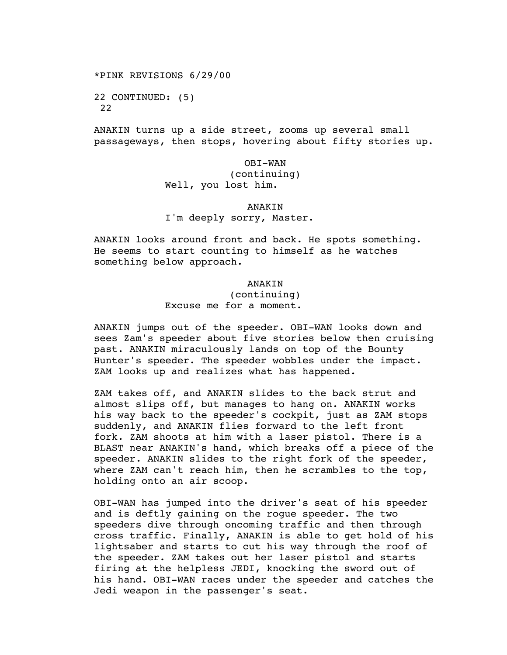\*PINK REVISIONS 6/29/00

22 CONTINUED: (5) 22

ANAKIN turns up a side street, zooms up several small passageways, then stops, hovering about fifty stories up.

# OBI-WAN (continuing) Well, you lost him.

# ANAKIN I'm deeply sorry, Master.

ANAKIN looks around front and back. He spots something. He seems to start counting to himself as he watches something below approach.

### ANAKIN

(continuing) Excuse me for a moment.

ANAKIN jumps out of the speeder. OBI-WAN looks down and sees Zam's speeder about five stories below then cruising past. ANAKIN miraculously lands on top of the Bounty Hunter's speeder. The speeder wobbles under the impact. ZAM looks up and realizes what has happened.

ZAM takes off, and ANAKIN slides to the back strut and almost slips off, but manages to hang on. ANAKIN works his way back to the speeder's cockpit, just as ZAM stops suddenly, and ANAKIN flies forward to the left front fork. ZAM shoots at him with a laser pistol. There is a BLAST near ANAKIN's hand, which breaks off a piece of the speeder. ANAKIN slides to the right fork of the speeder, where ZAM can't reach him, then he scrambles to the top, holding onto an air scoop.

OBI-WAN has jumped into the driver's seat of his speeder and is deftly gaining on the rogue speeder. The two speeders dive through oncoming traffic and then through cross traffic. Finally, ANAKIN is able to get hold of his lightsaber and starts to cut his way through the roof of the speeder. ZAM takes out her laser pistol and starts firing at the helpless JEDI, knocking the sword out of his hand. OBI-WAN races under the speeder and catches the Jedi weapon in the passenger's seat.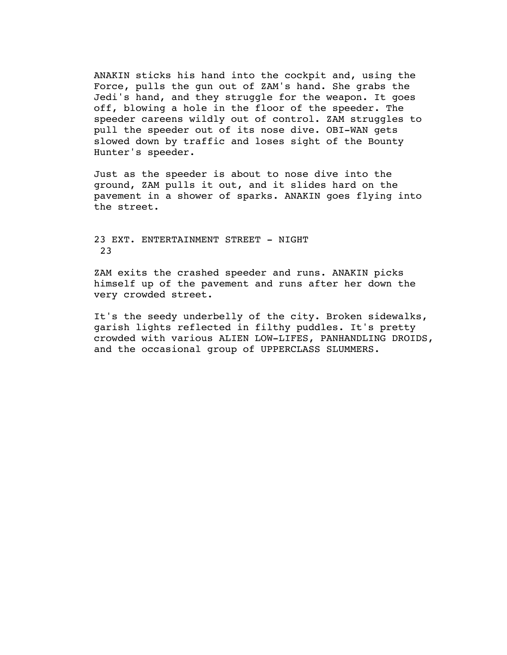ANAKIN sticks his hand into the cockpit and, using the Force, pulls the gun out of ZAM's hand. She grabs the Jedi's hand, and they struggle for the weapon. It goes off, blowing a hole in the floor of the speeder. The speeder careens wildly out of control. ZAM struggles to pull the speeder out of its nose dive. OBI-WAN gets slowed down by traffic and loses sight of the Bounty Hunter's speeder.

Just as the speeder is about to nose dive into the ground, ZAM pulls it out, and it slides hard on the pavement in a shower of sparks. ANAKIN goes flying into the street.

23 EXT. ENTERTAINMENT STREET - NIGHT 23

ZAM exits the crashed speeder and runs. ANAKIN picks himself up of the pavement and runs after her down the very crowded street.

It's the seedy underbelly of the city. Broken sidewalks, garish lights reflected in filthy puddles. It's pretty crowded with various ALIEN LOW-LIFES, PANHANDLING DROIDS, and the occasional group of UPPERCLASS SLUMMERS.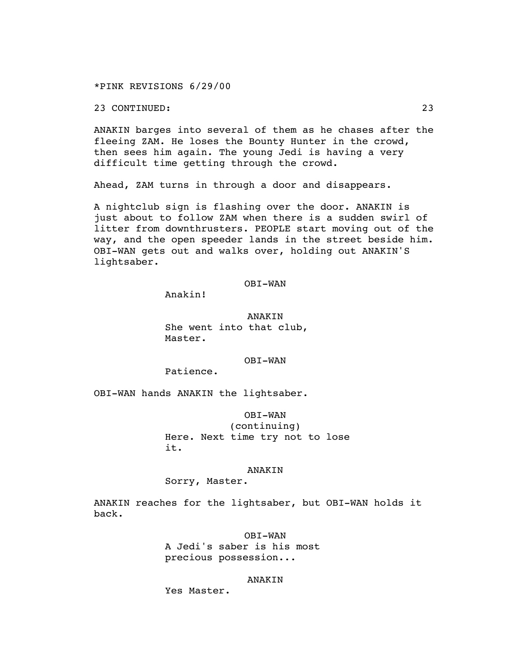\*PINK REVISIONS 6/29/00

23 CONTINUED: 23

ANAKIN barges into several of them as he chases after the fleeing ZAM. He loses the Bounty Hunter in the crowd, then sees him again. The young Jedi is having a very difficult time getting through the crowd.

Ahead, ZAM turns in through a door and disappears.

A nightclub sign is flashing over the door. ANAKIN is just about to follow ZAM when there is a sudden swirl of litter from downthrusters. PEOPLE start moving out of the way, and the open speeder lands in the street beside him. OBI-WAN gets out and walks over, holding out ANAKIN'S lightsaber.

#### OBI-WAN

Anakin!

ANAKIN She went into that club, Master.

OBI-WAN

Patience.

OBI-WAN hands ANAKIN the lightsaber.

OBI-WAN

(continuing) Here. Next time try not to lose it.

#### ANAKIN

Sorry, Master.

ANAKIN reaches for the lightsaber, but OBI-WAN holds it back.

> OBI-WAN A Jedi's saber is his most precious possession...

### **ANAKTN**

Yes Master.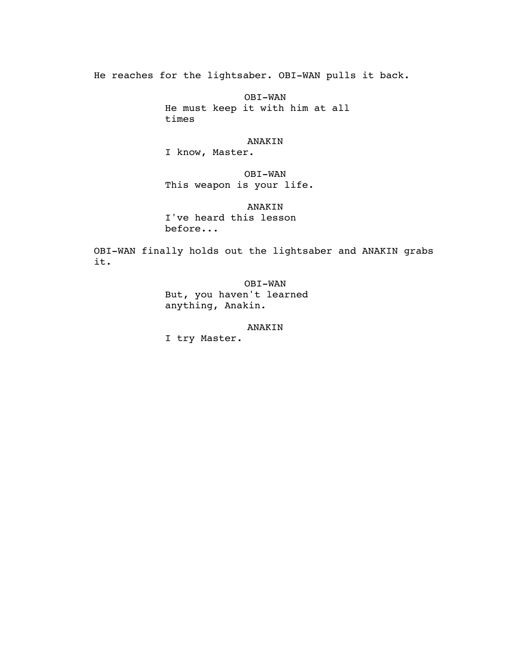He reaches for the lightsaber. OBI-WAN pulls it back.

OBI-WAN He must keep it with him at all times

## ANAKIN

I know, Master.

OBI-WAN This weapon is your life.

ANAKIN I've heard this lesson before...

OBI-WAN finally holds out the lightsaber and ANAKIN grabs it.

OBI-WAN

But, you haven't learned anything, Anakin.

ANAKIN

I try Master.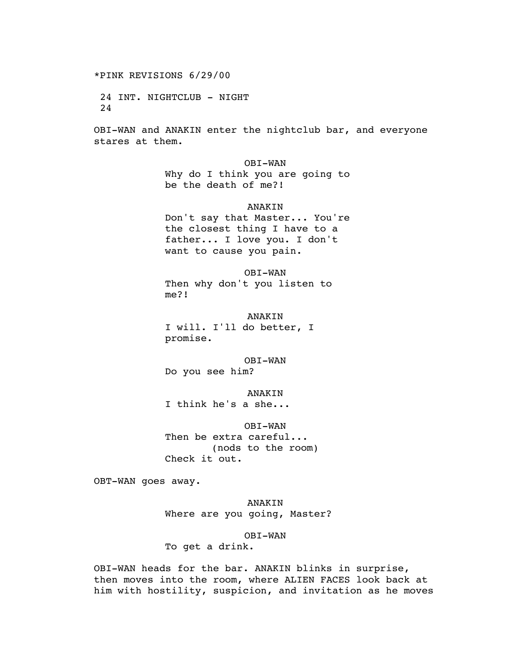\*PINK REVISIONS 6/29/00

24 INT. NIGHTCLUB - NIGHT 24

OBI-WAN and ANAKIN enter the nightclub bar, and everyone stares at them.

> OBI-WAN Why do I think you are going to be the death of me?!

> ANAKIN Don't say that Master... You're the closest thing I have to a father... I love you. I don't want to cause you pain.

OBI-WAN Then why don't you listen to me?!

ANAKIN I will. I'll do better, I promise.

OBI-WAN Do you see him?

ANAKIN I think he's a she...

OBI-WAN Then be extra careful... (nods to the room) Check it out.

OBT-WAN goes away.

ANAKIN Where are you going, Master?

OBI-WAN

To get a drink.

OBI-WAN heads for the bar. ANAKIN blinks in surprise, then moves into the room, where ALIEN FACES look back at him with hostility, suspicion, and invitation as he moves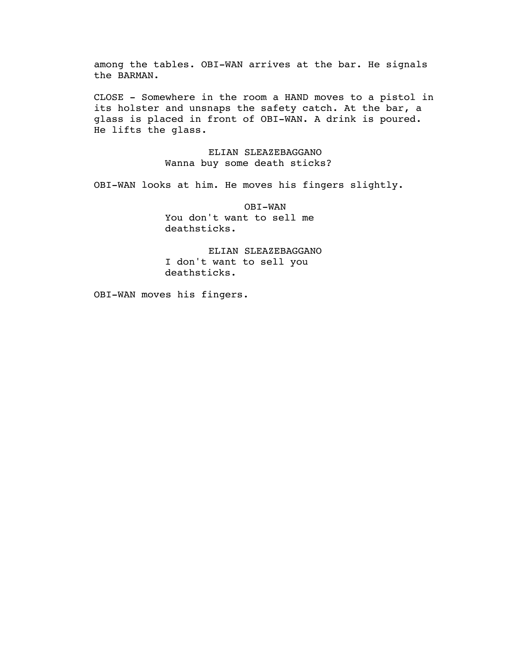among the tables. OBI-WAN arrives at the bar. He signals the BARMAN.

CLOSE - Somewhere in the room a HAND moves to a pistol in its holster and unsnaps the safety catch. At the bar, a glass is placed in front of OBI-WAN. A drink is poured. He lifts the glass.

> ELIAN SLEAZEBAGGANO Wanna buy some death sticks?

OBI-WAN looks at him. He moves his fingers slightly.

OBI-WAN You don't want to sell me deathsticks.

ELIAN SLEAZEBAGGANO I don't want to sell you deathsticks.

OBI-WAN moves his fingers.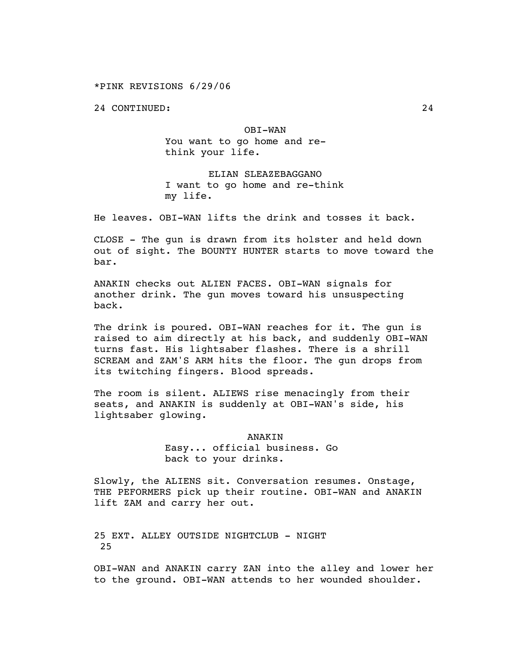24 CONTINUED: 24

OBI-WAN You want to go home and rethink your life.

ELIAN SLEAZEBAGGANO I want to go home and re-think my life.

He leaves. OBI-WAN lifts the drink and tosses it back.

CLOSE - The gun is drawn from its holster and held down out of sight. The BOUNTY HUNTER starts to move toward the bar.

ANAKIN checks out ALIEN FACES. OBI-WAN signals for another drink. The gun moves toward his unsuspecting back.

The drink is poured. OBI-WAN reaches for it. The gun is raised to aim directly at his back, and suddenly OBI-WAN turns fast. His lightsaber flashes. There is a shrill SCREAM and ZAM'S ARM hits the floor. The gun drops from its twitching fingers. Blood spreads.

The room is silent. ALIEWS rise menacingly from their seats, and ANAKIN is suddenly at OBI-WAN's side, his lightsaber glowing.

> ANAKIN Easy... official business. Go back to your drinks.

Slowly, the ALIENS sit. Conversation resumes. Onstage, THE PEFORMERS pick up their routine. OBI-WAN and ANAKIN lift ZAM and carry her out.

25 EXT. ALLEY OUTSIDE NIGHTCLUB - NIGHT 25

OBI-WAN and ANAKIN carry ZAN into the alley and lower her to the ground. OBI-WAN attends to her wounded shoulder.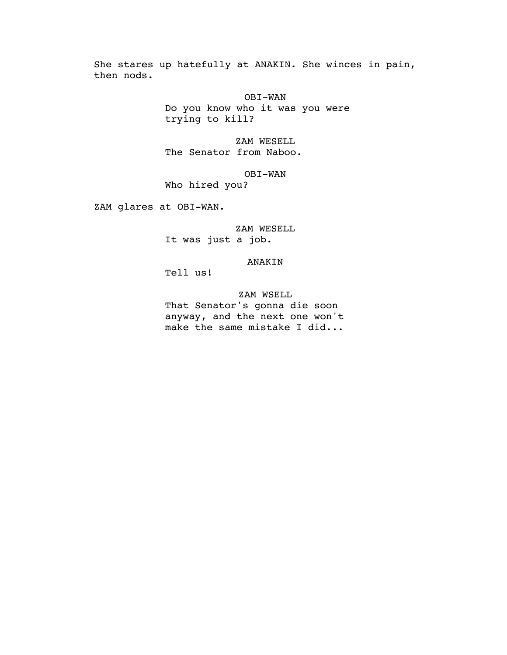She stares up hatefully at ANAKIN. She winces in pain, then nods.

# OBI-WAN

Do you know who it was you were trying to kill?

ZAM WESELL The Senator from Naboo.

OBI-WAN

Who hired you?

ZAM glares at OBI-WAN.

ZAM WESELL It was just a job.

## ANAKIN

Tell us!

ZAM WSELL

That Senator's gonna die soon anyway, and the next one won't make the same mistake I did...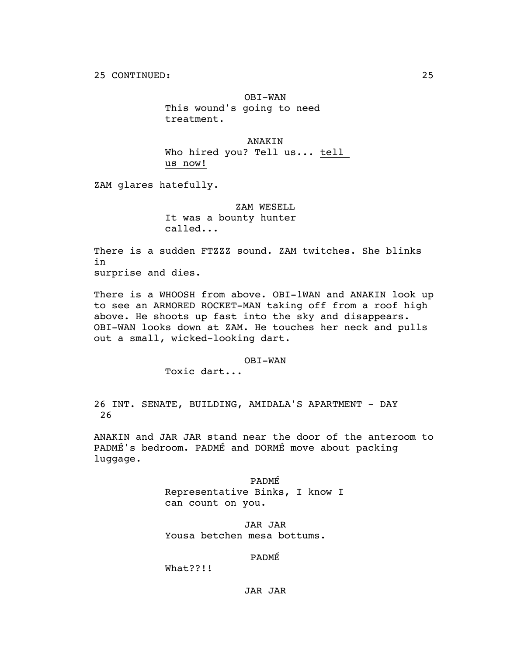## OBI-WAN

This wound's going to need treatment.

ANAKIN Who hired you? Tell us... tell us now!

ZAM glares hatefully.

ZAM WESELL It was a bounty hunter called...

There is a sudden FTZZZ sound. ZAM twitches. She blinks in surprise and dies.

There is a WHOOSH from above. OBI-1WAN and ANAKIN look up to see an ARMORED ROCKET-MAN taking off from a roof high above. He shoots up fast into the sky and disappears. OBI-WAN looks down at ZAM. He touches her neck and pulls out a small, wicked-looking dart.

### OBI-WAN

Toxic dart...

26 INT. SENATE, BUILDING, AMIDALA'S APARTMENT - DAY 26

ANAKIN and JAR JAR stand near the door of the anteroom to PADMÉ's bedroom. PADMÉ and DORMÉ move about packing luggage.

> PADMÉ Representative Binks, I know I can count on you.

JAR JAR Yousa betchen mesa bottums.

## PADMÉ

What??!!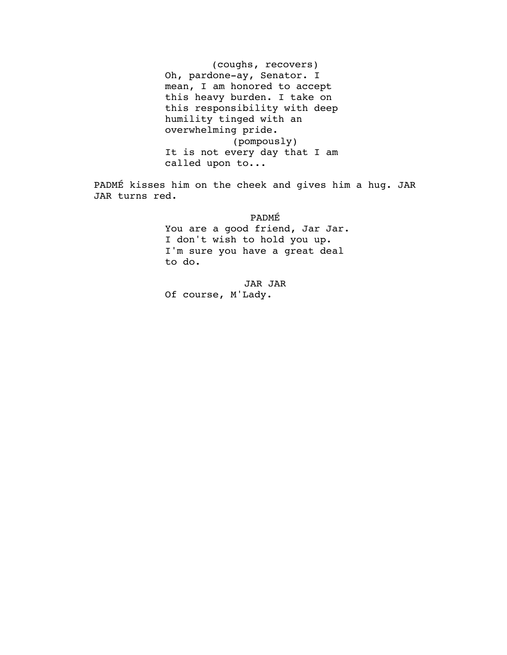(coughs, recovers) Oh, pardone-ay, Senator. I mean, I am honored to accept this heavy burden. I take on this responsibility with deep humility tinged with an overwhelming pride. (pompously) It is not every day that I am called upon to...

PADMÉ kisses him on the cheek and gives him a hug. JAR JAR turns red.

PADMÉ

You are a good friend, Jar Jar. I don't wish to hold you up. I'm sure you have a great deal to do.

JAR JAR

Of course, M'Lady.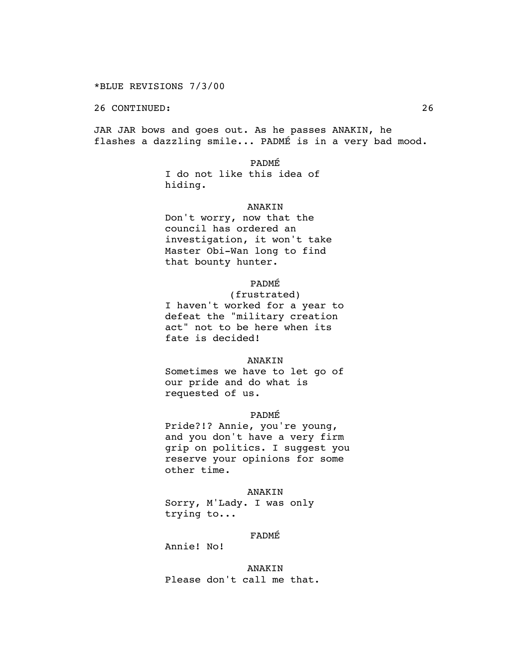## 26 CONTINUED: 26

JAR JAR bows and goes out. As he passes ANAKIN, he flashes a dazzling smile... PADMÉ is in a very bad mood.

#### PADMÉ

I do not like this idea of hiding.

#### ANAKIN

Don't worry, now that the council has ordered an investigation, it won't take Master Obi-Wan long to find that bounty hunter.

### PADMÉ

(frustrated) I haven't worked for a year to defeat the "military creation act" not to be here when its fate is decided!

#### ANAKIN

Sometimes we have to let go of our pride and do what is requested of us.

## PADMÉ

Pride?!? Annie, you're young, and you don't have a very firm grip on politics. I suggest you reserve your opinions for some other time.

#### ANAKIN

Sorry, M'Lady. I was only trying to...

#### FADMÉ

Annie! No!

ANAKIN Please don't call me that.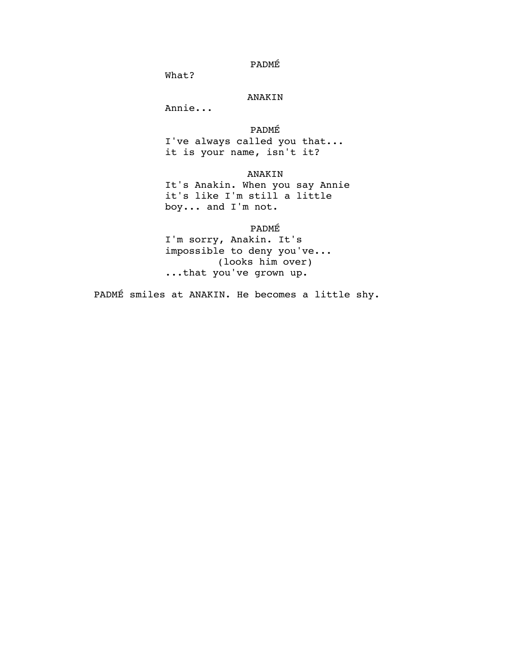# PADMÉ

What?

# ANAKIN

Annie...

# PADMÉ

I've always called you that... it is your name, isn't it?

ANAKIN

It's Anakin. When you say Annie it's like I'm still a little boy... and I'm not.

## PADMÉ

I'm sorry, Anakin. It's impossible to deny you've... (looks him over) ...that you've grown up.

PADMÉ smiles at ANAKIN. He becomes a little shy.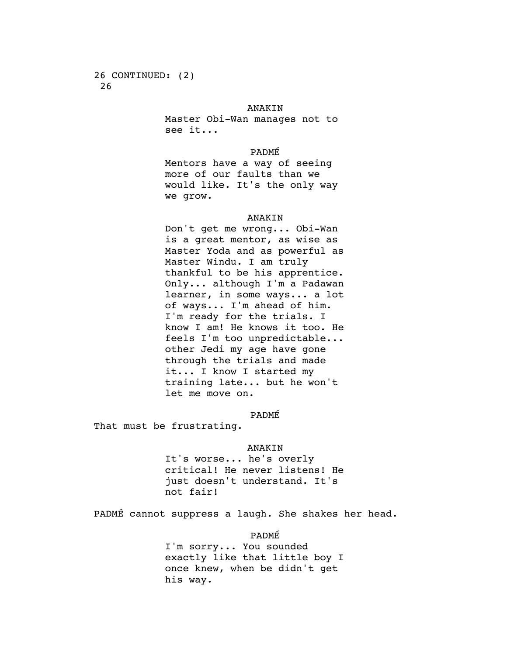### ANAKIN

Master Obi-Wan manages not to see it...

### PADMÉ

Mentors have a way of seeing more of our faults than we would like. It's the only way we grow.

### ANAKIN

Don't get me wrong... Obi-Wan is a great mentor, as wise as Master Yoda and as powerful as Master Windu. I am truly thankful to be his apprentice. Only... although I'm a Padawan learner, in some ways... a lot of ways... I'm ahead of him. I'm ready for the trials. I know I am! He knows it too. He feels I'm too unpredictable... other Jedi my age have gone through the trials and made it... I know I started my training late... but he won't let me move on.

### PADMÉ

That must be frustrating.

#### ANAKIN

It's worse... he's overly critical! He never listens! He just doesn't understand. It's not fair!

PADMÉ cannot suppress a laugh. She shakes her head.

#### PADMÉ

I'm sorry... You sounded exactly like that little boy I once knew, when be didn't get his way.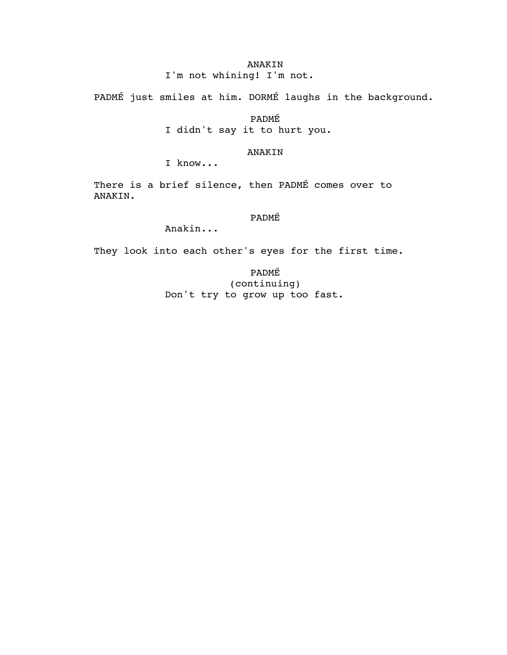## ANAKIN I'm not whining! I'm not.

PADMÉ just smiles at him. DORMÉ laughs in the background.

PADMÉ I didn't say it to hurt you.

# ANAKIN

I know...

There is a brief silence, then PADMÉ comes over to ANAKIN.

# PADMÉ

Anakin...

They look into each other's eyes for the first time.

PADMÉ (continuing) Don't try to grow up too fast.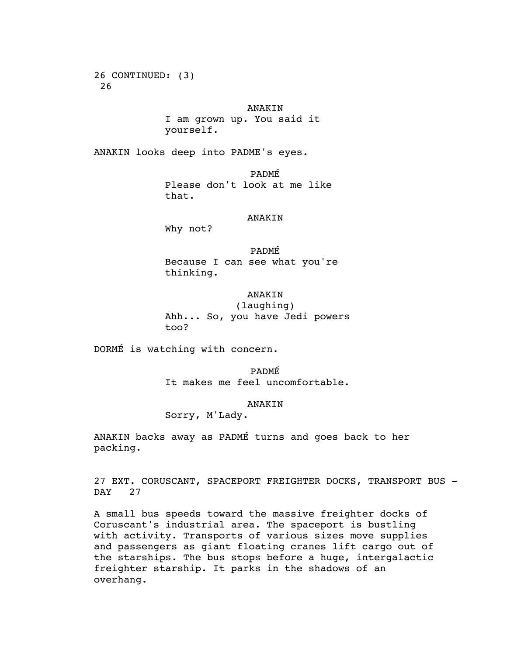26 CONTINUED: (3) 26

ANAKIN

I am grown up. You said it yourself.

ANAKIN looks deep into PADME's eyes.

PADMÉ Please don't look at me like that.

## ANAKIN

Why not?

PADMÉ Because I can see what you're thinking.

ANAKIN (laughing) Ahh... So, you have Jedi powers too?

DORMÉ is watching with concern.

PADMÉ It makes me feel uncomfortable.

#### ANAKIN

Sorry, M'Lady.

ANAKIN backs away as PADMÉ turns and goes back to her packing.

27 EXT. CORUSCANT, SPACEPORT FREIGHTER DOCKS, TRANSPORT BUS - DAY 27

A small bus speeds toward the massive freighter docks of Coruscant's industrial area. The spaceport is bustling with activity. Transports of various sizes move supplies and passengers as giant floating cranes lift cargo out of the starships. The bus stops before a huge, intergalactic freighter starship. It parks in the shadows of an overhang.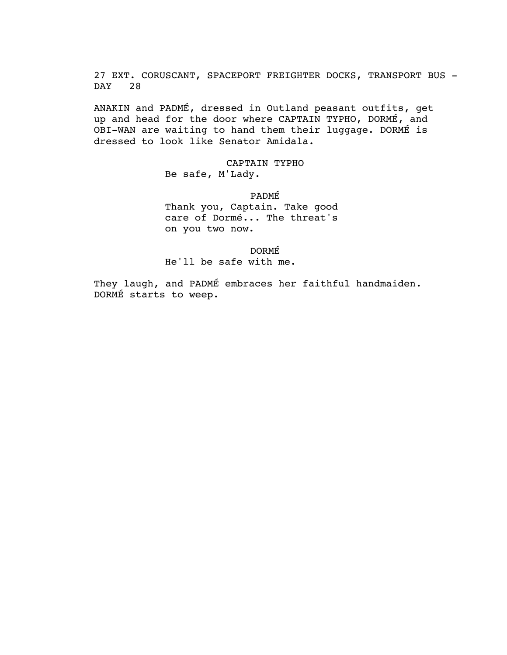27 EXT. CORUSCANT, SPACEPORT FREIGHTER DOCKS, TRANSPORT BUS - DAY 28

ANAKIN and PADMÉ, dressed in Outland peasant outfits, get up and head for the door where CAPTAIN TYPHO, DORMÉ, and OBI-WAN are waiting to hand them their luggage. DORMÉ is dressed to look like Senator Amidala.

> CAPTAIN TYPHO Be safe, M'Lady.

> > PADMÉ

Thank you, Captain. Take good care of Dormé... The threat's on you two now.

DORMÉ

He'll be safe with me.

They laugh, and PADMÉ embraces her faithful handmaiden. DORMÉ starts to weep.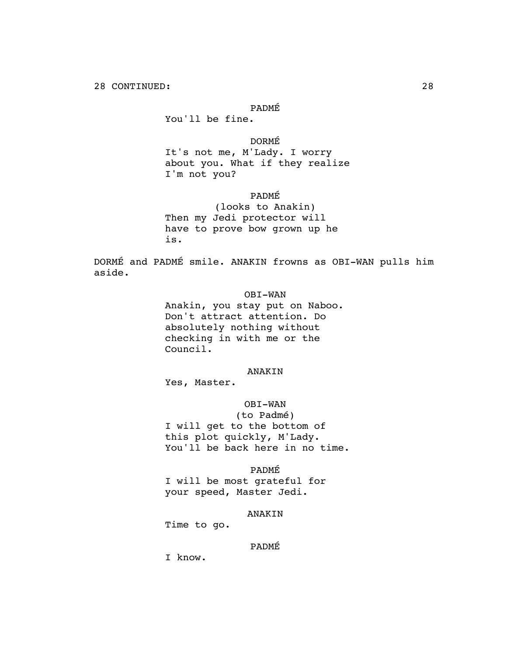## PADMÉ

You'll be fine.

DORMÉ

It's not me, M'Lady. I worry about you. What if they realize I'm not you?

PADMÉ

(looks to Anakin) Then my Jedi protector will have to prove bow grown up he is.

DORMÉ and PADMÉ smile. ANAKIN frowns as OBI-WAN pulls him aside.

### OBI-WAN

Anakin, you stay put on Naboo. Don't attract attention. Do absolutely nothing without checking in with me or the Council.

## ANAKIN

Yes, Master.

### OBI-WAN

(to Padmé) I will get to the bottom of this plot quickly, M'Lady. You'll be back here in no time.

#### PADMÉ

I will be most grateful for your speed, Master Jedi.

## ANAKIN

Time to go.

# PADMÉ

I know.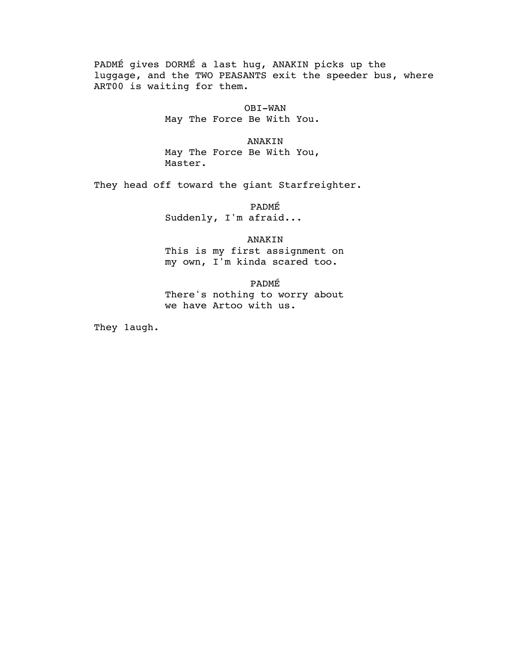PADMÉ gives DORMÉ a last hug, ANAKIN picks up the luggage, and the TWO PEASANTS exit the speeder bus, where ART00 is waiting for them.

> OBI-WAN May The Force Be With You.

> ANAKIN May The Force Be With You, Master.

They head off toward the giant Starfreighter.

PADMÉ Suddenly, I'm afraid...

#### ANAKIN

This is my first assignment on my own, I'm kinda scared too.

PADMÉ

There's nothing to worry about we have Artoo with us.

They 1augh.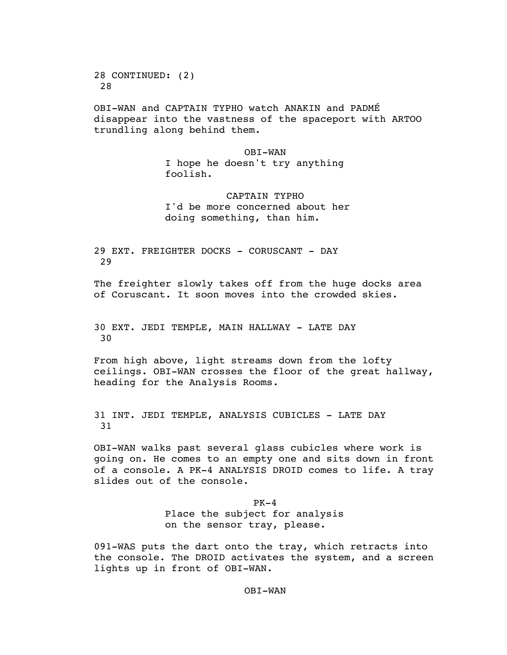28 CONTINUED: (2) 28

OBI-WAN and CAPTAIN TYPHO watch ANAKIN and PADMÉ disappear into the vastness of the spaceport with ARTOO trundling along behind them.

#### OBI-WAN

I hope he doesn't try anything foolish.

CAPTAIN TYPHO I'd be more concerned about her doing something, than him.

29 EXT. FREIGHTER DOCKS - CORUSCANT - DAY 29

The freighter slowly takes off from the huge docks area of Coruscant. It soon moves into the crowded skies.

30 EXT. JEDI TEMPLE, MAIN HALLWAY - LATE DAY 30

From high above, light streams down from the lofty ceilings. OBI-WAN crosses the floor of the great hallway, heading for the Analysis Rooms.

31 INT. JEDI TEMPLE, ANALYSIS CUBICLES - LATE DAY 31

OBI-WAN walks past several glass cubicles where work is going on. He comes to an empty one and sits down in front of a console. A PK-4 ANALYSIS DROID comes to life. A tray slides out of the console.

 $PK-4$ 

Place the subject for analysis on the sensor tray, please.

091-WAS puts the dart onto the tray, which retracts into the console. The DROID activates the system, and a screen lights up in front of OBI-WAN.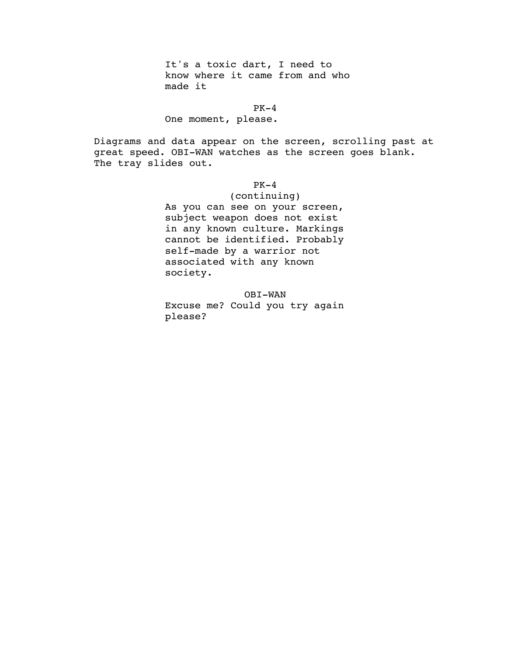It's a toxic dart, I need to know where it came from and who made it

 $PK-4$ 

One moment, please.

Diagrams and data appear on the screen, scrolling past at great speed. OBI-WAN watches as the screen goes blank. The tray slides out.

## $PK-4$

(continuing) As you can see on your screen, subject weapon does not exist in any known culture. Markings cannot be identified. Probably self-made by a warrior not associated with any known society.

OBI-WAN Excuse me? Could you try again please?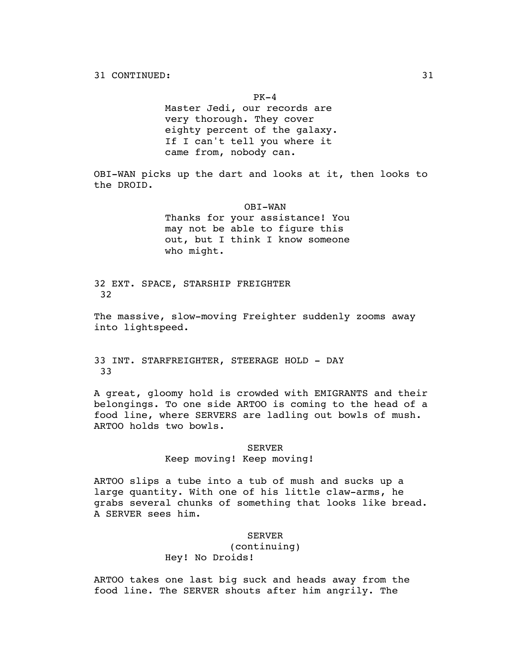#### $PK-4$

Master Jedi, our records are very thorough. They cover eighty percent of the galaxy. If I can't tell you where it came from, nobody can.

OBI-WAN picks up the dart and looks at it, then looks to the DROID.

> OBI-WAN Thanks for your assistance! You may not be able to figure this out, but I think I know someone who might.

32 EXT. SPACE, STARSHIP FREIGHTER 32

The massive, slow-moving Freighter suddenly zooms away into lightspeed.

33 INT. STARFREIGHTER, STEERAGE HOLD - DAY 33

A great, gloomy hold is crowded with EMIGRANTS and their belongings. To one side ARTOO is coming to the head of a food line, where SERVERS are ladling out bowls of mush. ARTOO holds two bowls.

### SERVER

## Keep moving! Keep moving!

ARTOO slips a tube into a tub of mush and sucks up a large quantity. With one of his little claw-arms, he grabs several chunks of something that looks like bread. A SERVER sees him.

### SERVER

(continuing) Hey! No Droids!

ARTOO takes one last big suck and heads away from the food line. The SERVER shouts after him angrily. The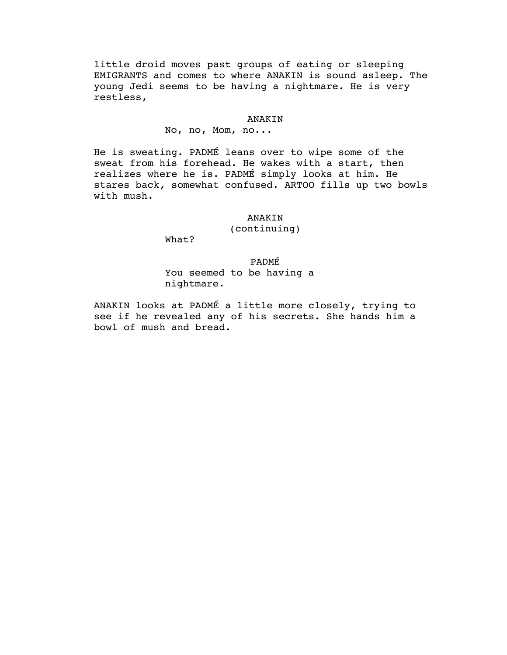little droid moves past groups of eating or sleeping EMIGRANTS and comes to where ANAKIN is sound asleep. The young Jedi seems to be having a nightmare. He is very restless,

#### ANAKIN

## No, no, Mom, no...

He is sweating. PADMÉ leans over to wipe some of the sweat from his forehead. He wakes with a start, then realizes where he is. PADMÉ simply looks at him. He stares back, somewhat confused. ARTOO fills up two bowls with mush.

### ANAKIN

(continuing)

What?

PADMÉ You seemed to be having a nightmare.

ANAKIN looks at PADMÉ a little more closely, trying to see if he revealed any of his secrets. She hands him a bowl of mush and bread.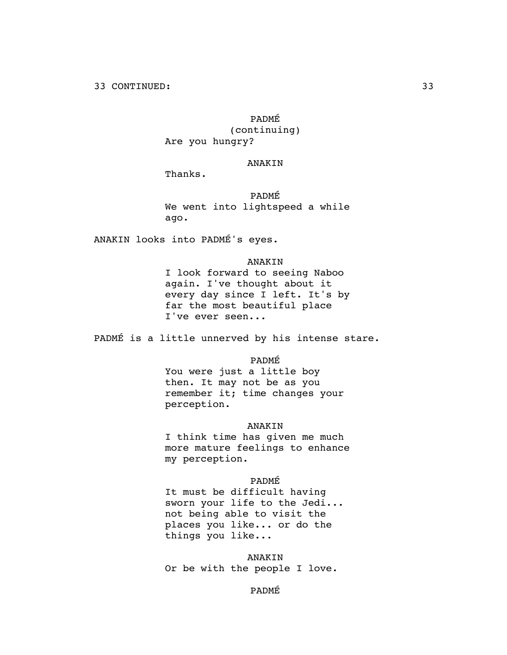# PADMÉ

(continuing)

Are you hungry?

# ANAKIN

Thanks.

PADMÉ We went into lightspeed a while ago.

ANAKIN looks into PADMÉ's eyes.

#### ANAKIN

I look forward to seeing Naboo again. I've thought about it every day since I left. It's by far the most beautiful place I've ever seen...

PADMÉ is a little unnerved by his intense stare.

PADMÉ

You were just a little boy then. It may not be as you remember it; time changes your perception.

### **ANAKIN**

I think time has given me much more mature feelings to enhance my perception.

## PADMÉ

It must be difficult having sworn your life to the Jedi... not being able to visit the places you like... or do the things you like...

ANAKIN Or be with the people I love.

PADMÉ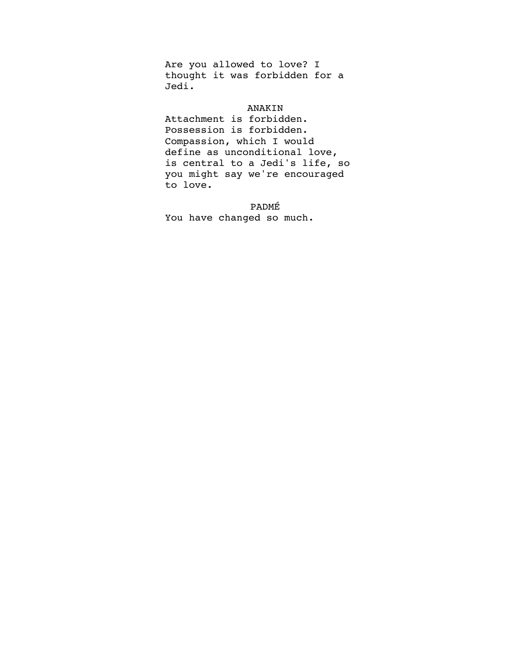Are you allowed to love? I thought it was forbidden for a Jedi.

## ANAKIN

Attachment is forbidden. Possession is forbidden. Compassion, which I would define as unconditional love, is central to a Jedi's life, so you might say we're encouraged to love.

PADMÉ You have changed so much.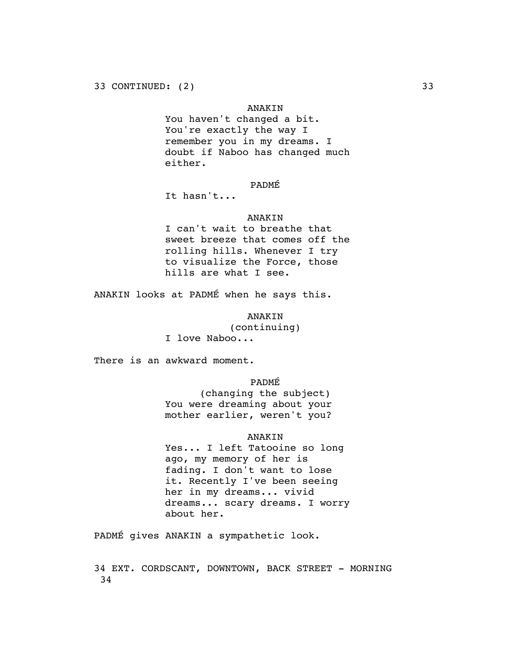### ANAKIN

You haven't changed a bit. You're exactly the way I remember you in my dreams. I doubt if Naboo has changed much either.

# PADMÉ

It hasn't...

## ANAKIN

I can't wait to breathe that sweet breeze that comes off the rolling hills. Whenever I try to visualize the Force, those hills are what I see.

ANAKIN looks at PADMÉ when he says this.

ANAKIN (continuing) I love Naboo...

There is an awkward moment.

PADMÉ

(changing the subject) You were dreaming about your mother earlier, weren't you?

#### ANAKIN

Yes... I left Tatooine so long ago, my memory of her is fading. I don't want to lose it. Recently I've been seeing her in my dreams... vivid dreams... scary dreams. I worry about her.

PADMÉ gives ANAKIN a sympathetic look.

34 EXT. CORDSCANT, DOWNTOWN, BACK STREET - MORNING 34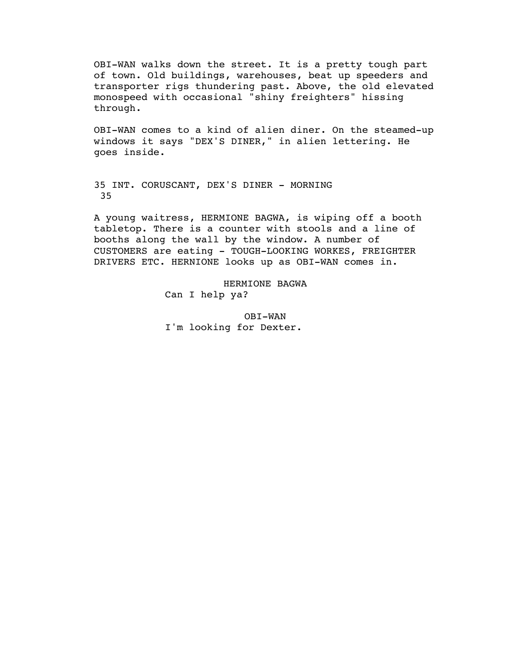OBI-WAN walks down the street. It is a pretty tough part of town. Old buildings, warehouses, beat up speeders and transporter rigs thundering past. Above, the old elevated monospeed with occasional "shiny freighters" hissing through.

OBI-WAN comes to a kind of alien diner. On the steamed-up windows it says "DEX'S DINER," in alien lettering. He goes inside.

35 INT. CORUSCANT, DEX'S DINER - MORNING 35

A young waitress, HERMIONE BAGWA, is wiping off a booth tabletop. There is a counter with stools and a line of booths along the wall by the window. A number of CUSTOMERS are eating - TOUGH-LOOKING WORKES, FREIGHTER DRIVERS ETC. HERNIONE looks up as OBI-WAN comes in.

> HERMIONE BAGWA Can I help ya?

OBI-WAN I'm looking for Dexter.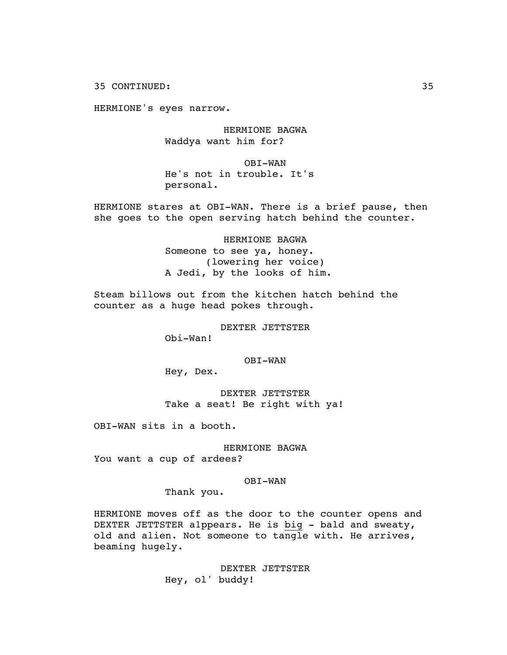35 CONTINUED: 35

HERMIONE's eyes narrow.

HERMIONE BAGWA Waddya want him for?

OBI-WAN He's not in trouble. It's personal.

HERMIONE stares at OBI-WAN. There is a brief pause, then she goes to the open serving hatch behind the counter.

> HERMIONE BAGWA Someone to see ya, honey. (lowering her voice) A Jedi, by the looks of him.

Steam billows out from the kitchen hatch behind the counter as a huge head pokes through.

DEXTER JETTSTER

Obi-Wan!

OBI-WAN

Hey, Dex.

DEXTER JETTSTER Take a seat! Be right with ya!

OBI-WAN sits in a booth.

HERMIONE BAGWA

You want a cup of ardees?

### OBI-WAN

Thank you.

HERMIONE moves off as the door to the counter opens and DEXTER JETTSTER alppears. He is big - bald and sweaty, old and alien. Not someone to tangle with. He arrives, beaming hugely.

> DEXTER JETTSTER Hey, ol' buddy!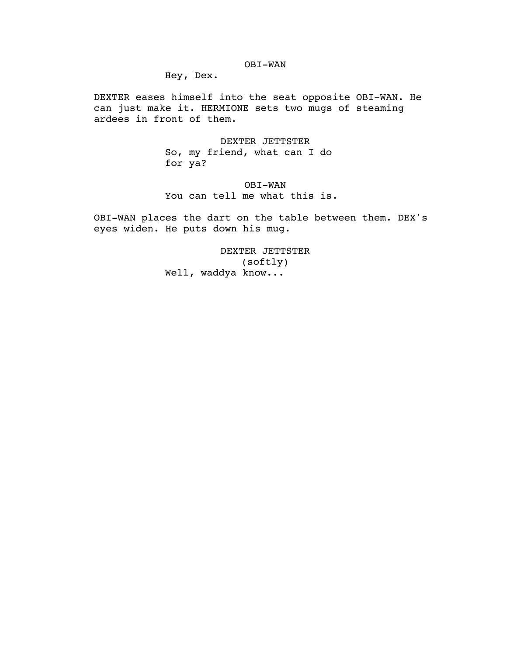### OBI-WAN

Hey, Dex.

DEXTER eases himself into the seat opposite OBI-WAN. He can just make it. HERMIONE sets two mugs of steaming ardees in front of them.

> DEXTER JETTSTER So, my friend, what can I do for ya?

# OBI-WAN You can tell me what this is.

OBI-WAN places the dart on the table between them. DEX's eyes widen. He puts down his mug.

> DEXTER JETTSTER (softly) Well, waddya know...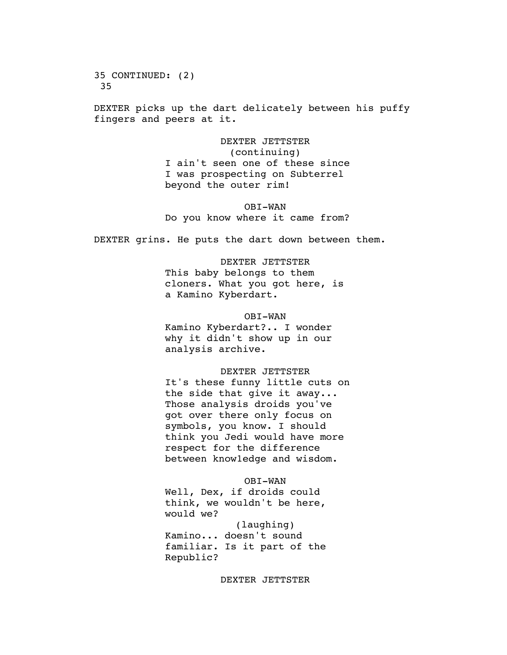35 CONTINUED: (2) 35

DEXTER picks up the dart delicately between his puffy fingers and peers at it.

> DEXTER JETTSTER (continuing) I ain't seen one of these since I was prospecting on Subterrel beyond the outer rim!

### OBI-WAN Do you know where it came from?

DEXTER grins. He puts the dart down between them.

DEXTER JETTSTER This baby belongs to them cloners. What you got here, is a Kamino Kyberdart.

OBI-WAN Kamino Kyberdart?.. I wonder why it didn't show up in our analysis archive.

DEXTER JETTSTER It's these funny little cuts on the side that give it away... Those analysis droids you've got over there only focus on symbols, you know. I should think you Jedi would have more respect for the difference between know1edge and wisdom.

OBI-WAN Well, Dex, if droids could think, we wouldn't be here, would we? (laughing)

Kamino... doesn't sound familiar. Is it part of the Republic?

DEXTER JETTSTER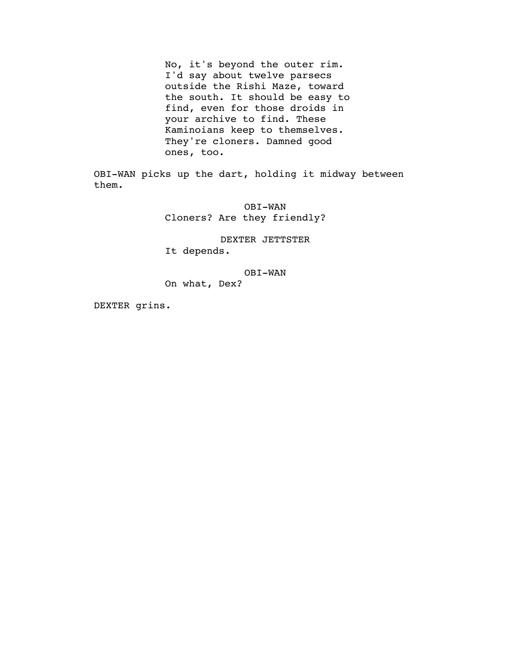No, it's beyond the outer rim. I'd say about twelve parsecs outside the Rishi Maze, toward the south. It should be easy to find, even for those droids in your archive to find. These Kaminoians keep to themselves. They're cloners. Damned good ones, too.

OBI-WAN picks up the dart, holding it midway between them.

> OBI-WAN Cloners? Are they friendly?

DEXTER JETTSTER It depends.

OBI-WAN

On what, Dex?

DEXTER grins.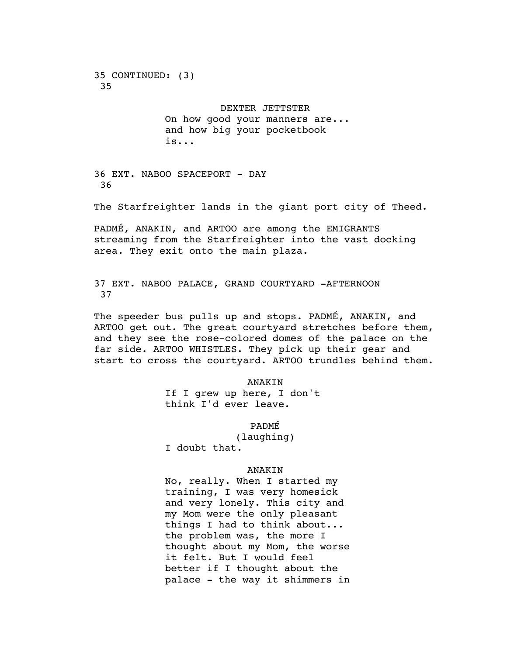35 CONTINUED: (3) 35 DEXTER JETTSTER On how good your manners are... and how big your pocketbook is... 36 EXT. NABOO SPACEPORT - DAY 36 The Starfreighter lands in the giant port city of Theed. PADMÉ, ANAKIN, and ARTOO are among the EMIGRANTS streaming from the Starfreighter into the vast docking area. They exit onto the main plaza. 37 EXT. NABOO PALACE, GRAND COURTYARD -AFTERNOON 37 The speeder bus pulls up and stops. PADMÉ, ANAKIN, and ARTOO get out. The great courtyard stretches before them, and they see the rose-colored domes of the palace on the far side. ARTOO WHISTLES. They pick up their gear and start to cross the courtyard. ARTOO trundles behind them. ANAKIN If I grew up here, I don't think I'd ever leave. PADMÉ (laughing) I doubt that. ANAKIN No, really. When I started my training, I was very homesick and very lonely. This city and my Mom were the only pleasant things I had to think about...

the problem was, the more I thought about my Mom, the worse it felt. But I would feel better if I thought about the palace - the way it shimmers in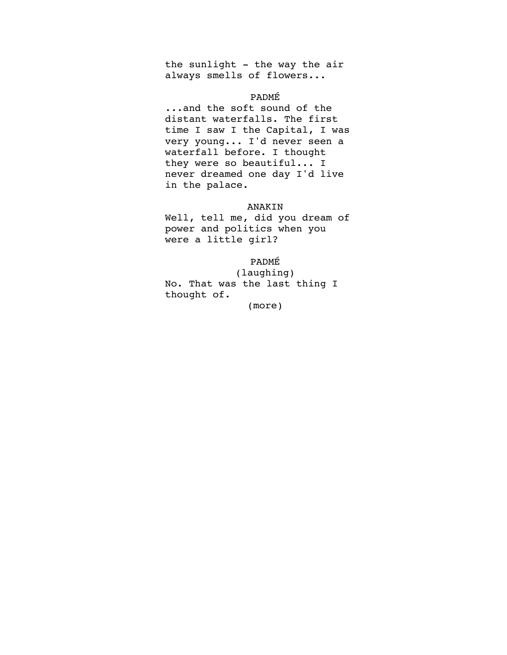the sunlight - the way the air always smells of flowers...

## PADMÉ

...and the soft sound of the distant waterfalls. The first time I saw I the Capital, I was very young... I'd never seen a waterfall before. I thought they were so beautiful... I never dreamed one day I'd live in the palace.

### ANAKIN

Well, tell me, did you dream of power and politics when you were a little girl?

PADMÉ

(laughing) No. That was the last thing I thought of.

(more)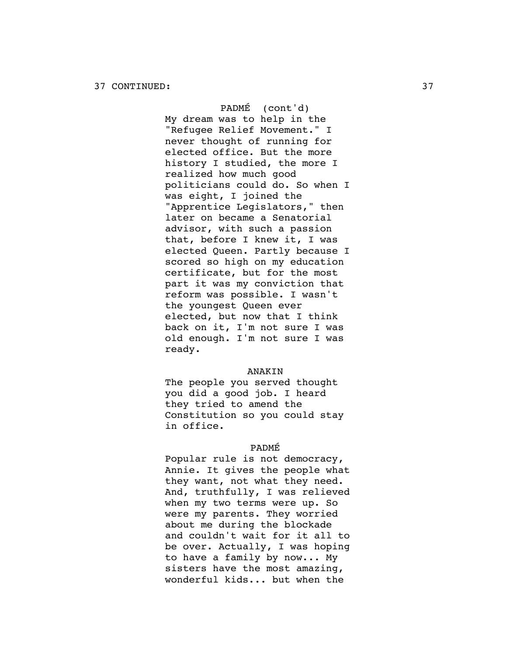PADMÉ (cont'd) My dream was to help in the "Refugee Relief Movement." I never thought of running for elected office. But the more history I studied, the more I realized how much good politicians could do. So when I was eight, I joined the "Apprentice Legislators," then later on became a Senatorial advisor, with such a passion that, before I knew it, I was elected Queen. Partly because I scored so high on my education certificate, but for the most part it was my conviction that reform was possible. I wasn't the youngest Queen ever elected, but now that I think back on it, I'm not sure I was old enough. I'm not sure I was ready.

#### ANAKIN

The people you served thought you did a good job. I heard they tried to amend the Constitution so you could stay in office.

### PADMÉ

Popular rule is not democracy, Annie. It gives the people what they want, not what they need. And, truthfully, I was relieved when my two terms were up. So were my parents. They worried about me during the blockade and couldn't wait for it all to be over. Actually, I was hoping to have a family by now... My sisters have the most amazing, wonderful kids... but when the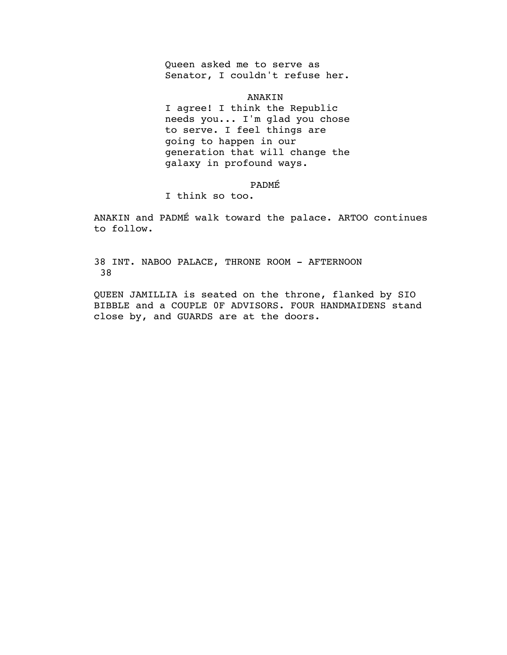Queen asked me to serve as Senator, I couldn't refuse her.

### ANAKIN

I agree! I think the Republic needs you... I'm glad you chose to serve. I feel things are going to happen in our generation that will change the galaxy in profound ways.

PADMÉ

I think so too.

ANAKIN and PADMÉ walk toward the palace. ARTOO continues to follow.

38 INT. NABOO PALACE, THRONE ROOM - AFTERNOON 38

QUEEN JAMILLIA is seated on the throne, flanked by SIO BIBBLE and a COUPLE 0F ADVISORS. FOUR HANDMAIDENS stand close by, and GUARDS are at the doors.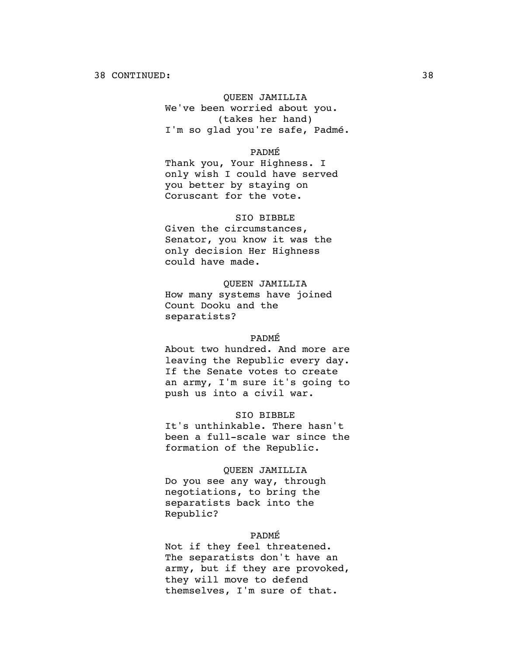## QUEEN JAMILLIA

We've been worried about you. (takes her hand) I'm so glad you're safe, Padmé.

### PADMÉ

Thank you, Your Highness. I only wish I could have served you better by staying on Coruscant for the vote.

# SIO BIBBLE

Given the circumstances, Senator, you know it was the only decision Her Highness could have made.

# QUEEN JAMILLIA

How many systems have joined Count Dooku and the separatists?

# PADMÉ

About two hundred. And more are leaving the Republic every day. If the Senate votes to create an army, I'm sure it's going to push us into a civil war.

### SIO BIBBLE

It's unthinkable. There hasn't been a full-scale war since the formation of the Republic.

### QUEEN JAMILLIA

Do you see any way, through negotiations, to bring the separatists back into the Republic?

### PADMÉ

Not if they feel threatened. The separatists don't have an army, but if they are provoked, they will move to defend themselves, I'm sure of that.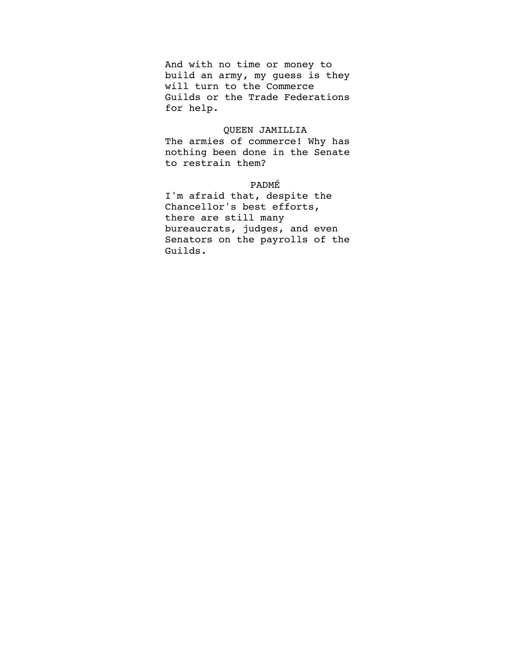And with no time or money to build an army, my guess is they will turn to the Commerce Guilds or the Trade Federations for help.

## QUEEN JAMILLIA

The armies of commerce! Why has nothing been done in the Senate to restrain them?

# PADMÉ

I'm afraid that, despite the Chancellor's best efforts, there are still many bureaucrats, judges, and even Senators on the payrolls of the Guilds.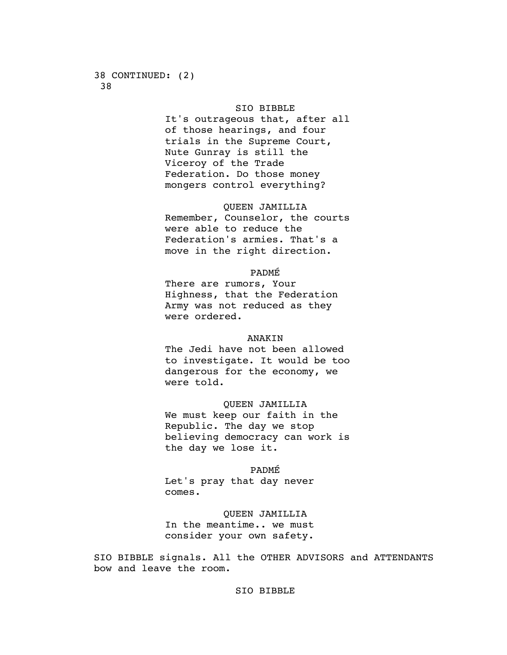38 CONTINUED: (2) 38

### SIO BIBBLE

It's outrageous that, after all of those hearings, and four trials in the Supreme Court, Nute Gunray is still the Viceroy of the Trade Federation. Do those money mongers control everything?

#### QUEEN JAMILLIA

Remember, Counselor, the courts were able to reduce the Federation's armies. That's a move in the right direction.

### PADMÉ

There are rumors, Your Highness, that the Federation Army was not reduced as they were ordered.

#### ANAKIN

The Jedi have not been allowed to investigate. It would be too dangerous for the economy, we were told.

### QUEEN JAMILLIA

We must keep our faith in the Republic. The day we stop believing democracy can work is the day we lose it.

### PADMÉ

Let's pray that day never comes.

QUEEN JAMILLIA In the meantime.. we must consider your own safety.

SIO BIBBLE signals. All the OTHER ADVISORS and ATTENDANTS bow and leave the room.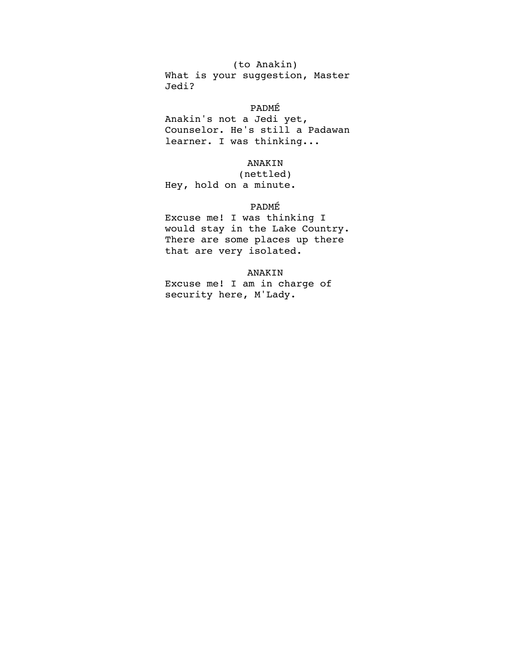(to Anakin) What is your suggestion, Master Jedi?

# PADMÉ

Anakin's not a Jedi yet, Counselor. He's still a Padawan learner. I was thinking...

# ANAKIN

(nettled) Hey, hold on a minute.

# PADMÉ

Excuse me! I was thinking I would stay in the Lake Country. There are some places up there that are very isolated.

ANAKIN

Excuse me! I am in charge of security here, M'Lady.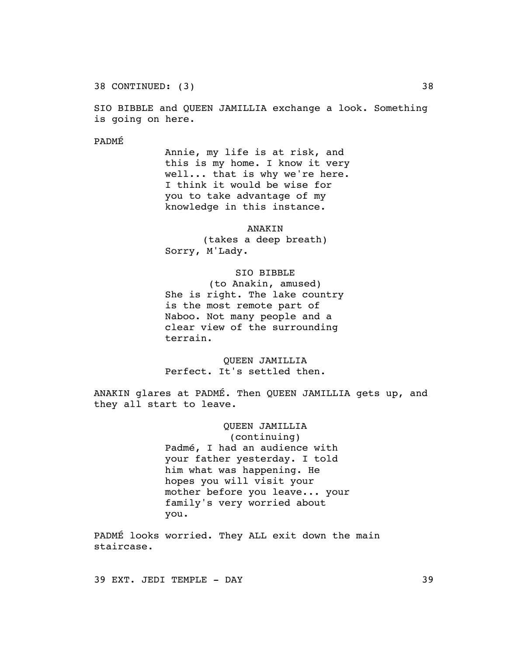38 CONTINUED: (3) 38

SIO BIBBLE and QUEEN JAMILLIA exchange a look. Something is going on here.

PADMÉ

Annie, my life is at risk, and this is my home. I know it very well... that is why we're here. I think it would be wise for you to take advantage of my knowledge in this instance.

### ANAKIN

(takes a deep breath) Sorry, M'Lady.

## SIO BIBBLE

(to Anakin, amused) She is right. The lake country is the most remote part of Naboo. Not many people and a clear view of the surrounding terrain.

QUEEN JAMILLIA Perfect. It's settled then.

ANAKIN glares at PADMÉ. Then QUEEN JAMILLIA gets up, and they all start to leave.

> QUEEN JAMILLIA (continuing) Padmé, I had an audience with your father yesterday. I told him what was happening. He hopes you will visit your mother before you leave... your family's very worried about you.

PADMÉ looks worried. They ALL exit down the main staircase.

39 EXT. JEDI TEMPLE - DAY 39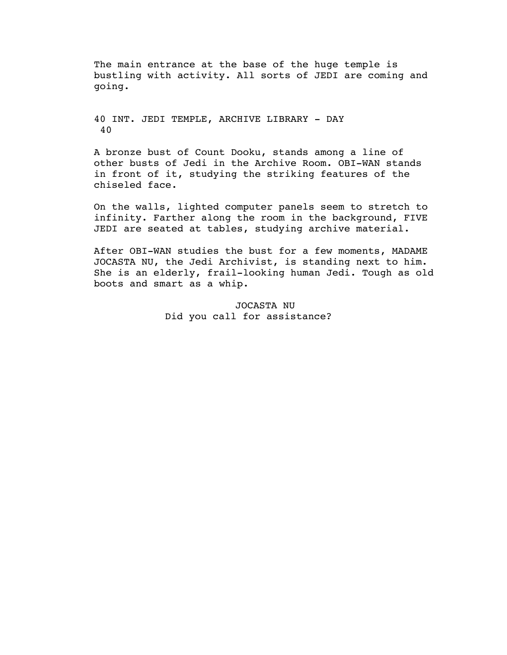The main entrance at the base of the huge temple is bustling with activity. All sorts of JEDI are coming and going.

40 INT. JEDI TEMPLE, ARCHIVE LIBRARY - DAY 40

A bronze bust of Count Dooku, stands among a line of other busts of Jedi in the Archive Room. OBI-WAN stands in front of it, studying the striking features of the chiseled face.

On the walls, lighted computer panels seem to stretch to infinity. Farther along the room in the background, FIVE JEDI are seated at tables, studying archive material.

After OBI-WAN studies the bust for a few moments, MADAME JOCASTA NU, the Jedi Archivist, is standing next to him. She is an elderly, frail-looking human Jedi. Tough as old boots and smart as a whip.

> JOCASTA NU Did you call for assistance?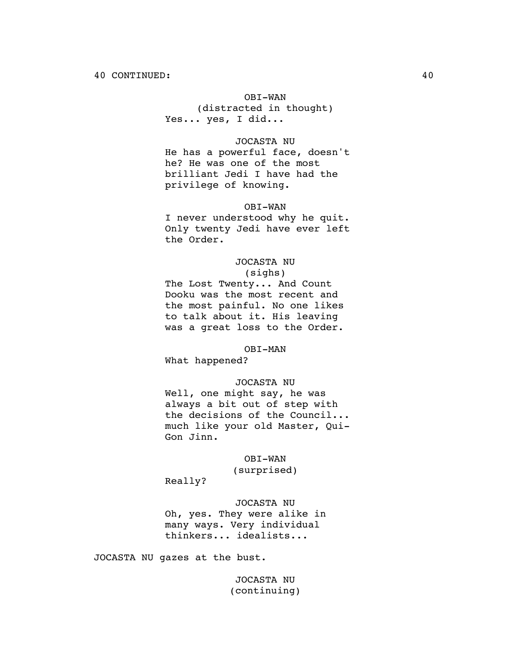## OBI-WAN

(distracted in thought) Yes... yes, I did...

### JOCASTA NU

He has a powerful face, doesn't he? He was one of the most brilliant Jedi I have had the privilege of knowing.

### OBI-WAN

I never understood why he quit. Only twenty Jedi have ever left the Order.

## JOCASTA NU (sighs)

The Lost Twenty... And Count Dooku was the most recent and the most painful. No one likes to talk about it. His leaving was a great loss to the Order.

### OBI-MAN

What happened?

### JOCASTA NU

Well, one might say, he was always a bit out of step with the decisions of the Council... much like your old Master, Qui-Gon Jinn.

## OBI-WAN

## (surprised)

Really?

### JOCASTA NU

Oh, yes. They were alike in many ways. Very individual thinkers... idealists...

JOCASTA NU gazes at the bust.

JOCASTA NU (continuing)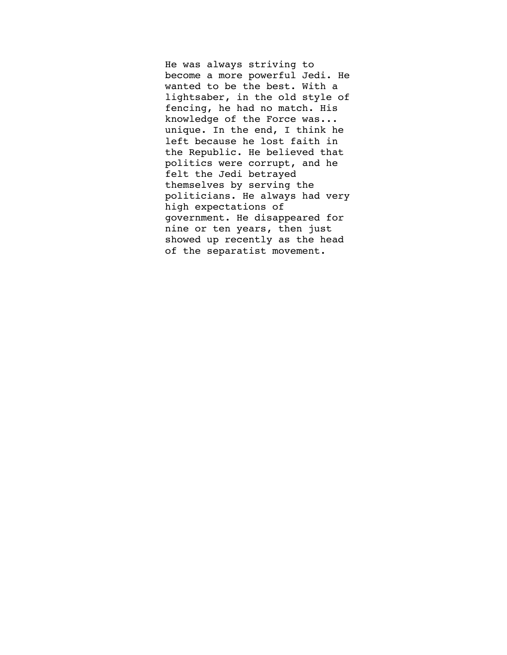He was always striving to become a more powerful Jedi. He wanted to be the best. With a lightsaber, in the old style of fencing, he had no match. His knowledge of the Force was... unique. In the end, I think he left because he lost faith in the Republic. He believed that politics were corrupt, and he felt the Jedi betrayed themselves by serving the politicians. He always had very high expectations of government. He disappeared for nine or ten years, then just showed up recently as the head of the separatist movement.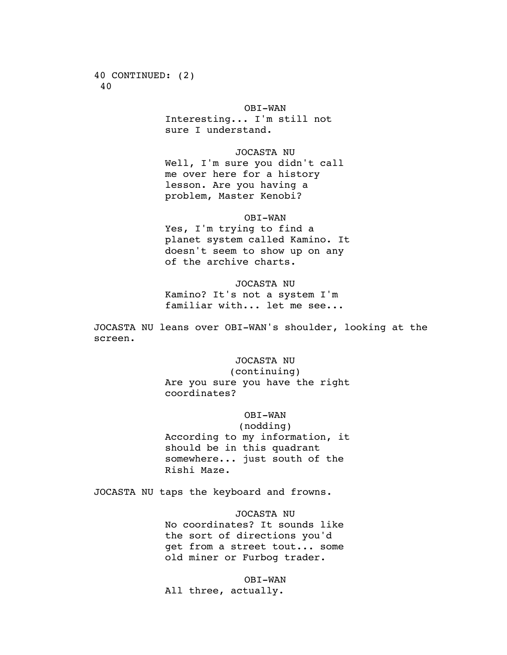40 CONTINUED: (2) 40

> OBI-WAN Interesting... I'm still not sure I understand.

JOCASTA NU Well, I'm sure you didn't call me over here for a history lesson. Are you having a problem, Master Kenobi?

## OBI-WAN

Yes, I'm trying to find a planet system called Kamino. It doesn't seem to show up on any of the archive charts.

### JOCASTA NU

Kamino? It's not a system I'm familiar with... let me see...

JOCASTA NU leans over OBI-WAN's shoulder, looking at the screen.

## JOCASTA NU

(continuing) Are you sure you have the right coordinates?

## OBI-WAN

(nodding) According to my information, it should be in this quadrant somewhere... just south of the Rishi Maze.

JOCASTA NU taps the keyboard and frowns.

JOCASTA NU No coordinates? It sounds like the sort of directions you'd get from a street tout... some old miner or Furbog trader.

OBI-WAN All three, actually.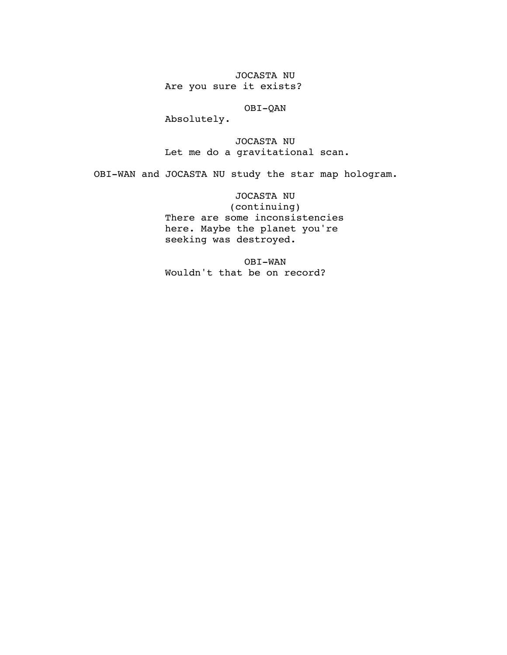JOCASTA NU Are you sure it exists?

# OBI-QAN

Absolutely.

JOCASTA NU Let me do a gravitational scan.

OBI-WAN and JOCASTA NU study the star map hologram.

JOCASTA NU (continuing) There are some inconsistencies here. Maybe the planet you're seeking was destroyed.

OBI-WAN Wouldn't that be on record?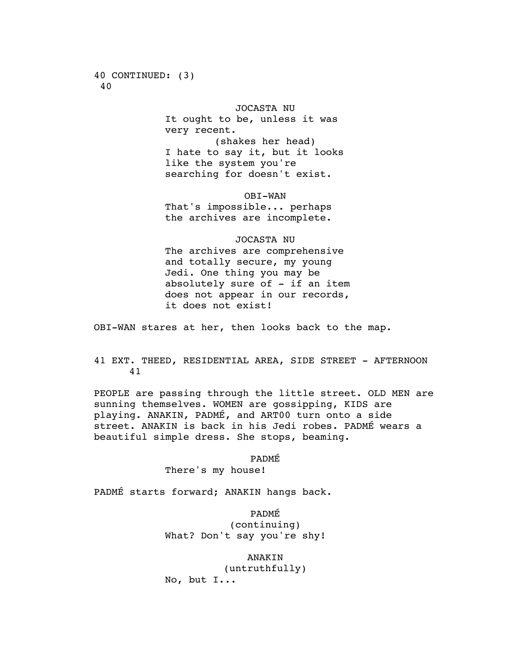40 CONTINUED: (3) 40

> JOCASTA NU It ought to be, unless it was very recent. (shakes her head) I hate to say it, but it looks like the system you're searching for doesn't exist.

OBI-WAN That's impossible... perhaps the archives are incomplete.

JOCASTA NU The archives are comprehensive and totally secure, my young Jedi. One thing you may be absolutely sure of - if an item does not appear in our records, it does not exist!

OBI-WAN stares at her, then looks back to the map.

41 EXT. THEED, RESIDENTIAL AREA, SIDE STREET - AFTERNOON 41

PEOPLE are passing through the little street. OLD MEN are sunning themselves. WOMEN are gossipping, KIDS are playing. ANAKIN, PADMÉ, and ART00 turn onto a side street. ANAKIN is back in his Jedi robes. PADMÉ wears a beautiful simple dress. She stops, beaming.

PADMÉ

There's my house!

PADMÉ starts forward; ANAKIN hangs back.

PADMÉ (continuing) What? Don't say you're shy!

ANAKIN (untruthfully) No, but I...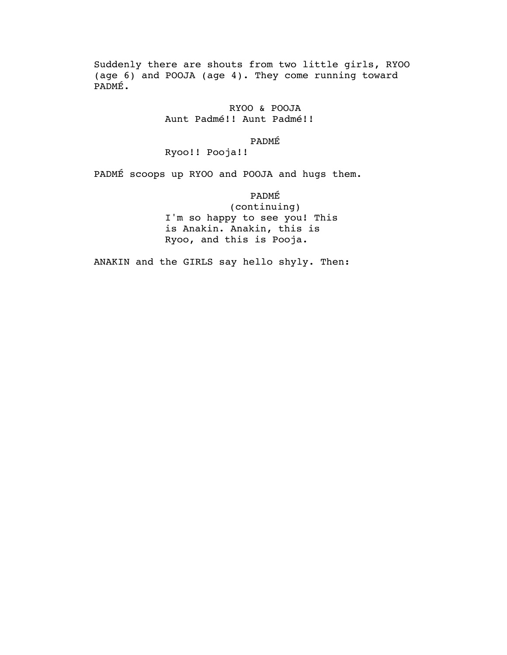Suddenly there are shouts from two little girls, RYOO (age 6) and POOJA (age 4). They come running toward PADMÉ.

> RYOO & POOJA Aunt Padmé!! Aunt Padmé!!

> > PADMÉ

Ryoo!! Pooja!!

PADMÉ scoops up RYOO and POOJA and hugs them.

PADMÉ

(continuing) I'm so happy to see you! This is Anakin. Anakin, this is Ryoo, and this is Pooja.

ANAKIN and the GIRLS say hello shyly. Then: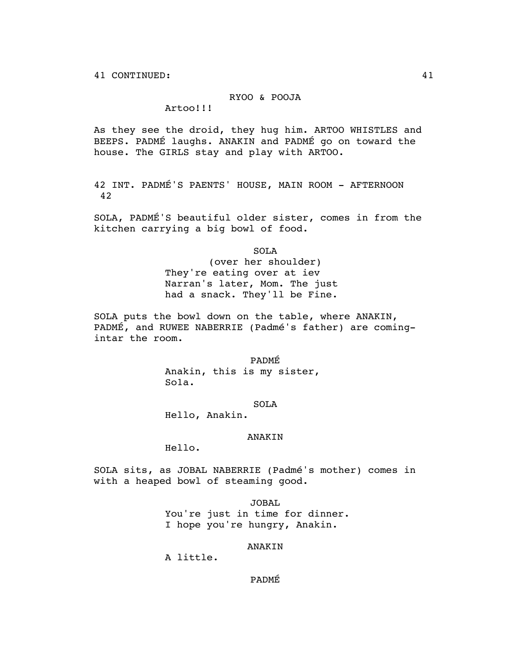# RYOO & POOJA

Artoo!!!

As they see the droid, they hug him. ARTOO WHISTLES and BEEPS. PADMÉ laughs. ANAKIN and PADMÉ go on toward the house. The GIRLS stay and play with ARTOO.

42 INT. PADMÉ'S PAENTS' HOUSE, MAIN ROOM - AFTERNOON 42

SOLA, PADMÉ'S beautiful older sister, comes in from the kitchen carrying a big bowl of food.

SOLA

(over her shoulder) They're eating over at iev Narran's later, Mom. The just had a snack. They'll be Fine.

SOLA puts the bowl down on the table, where ANAKIN, PADMÉ, and RUWEE NABERRIE (Padmé's father) are comingintar the room.

> PADMÉ Anakin, this is my sister, So1a.

> > SOLA

Hello, Anakin.

## ANAKIN

Hello.

SOLA sits, as JOBAL NABERRIE (Padmé's mother) comes in with a heaped bowl of steaming good.

> JOBAL You're just in time for dinner. I hope you're hungry, Anakin.

## ANAKIN

A little.

PADMÉ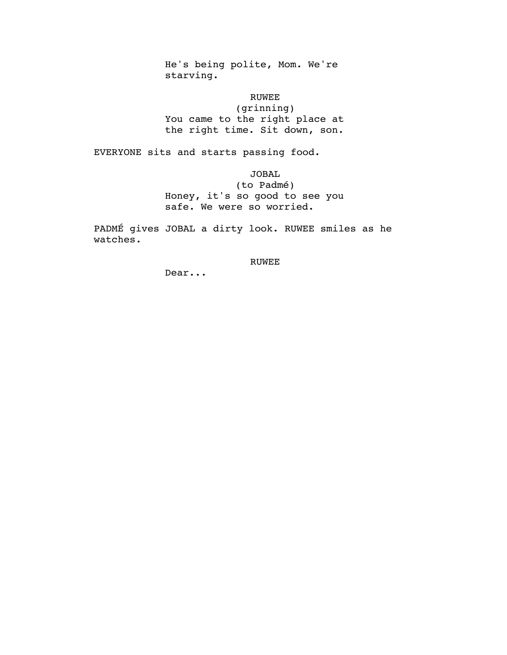He's being polite, Mom. We're starving.

# RUWEE

(grinning) You came to the right place at the right time. Sit down, son.

EVERYONE sits and starts passing food.

JOBAL

(to Padmé) Honey, it's so good to see you safe. We were so worried.

PADMÉ gives JOBAL a dirty look. RUWEE smiles as he watches.

# RUWEE

Dear...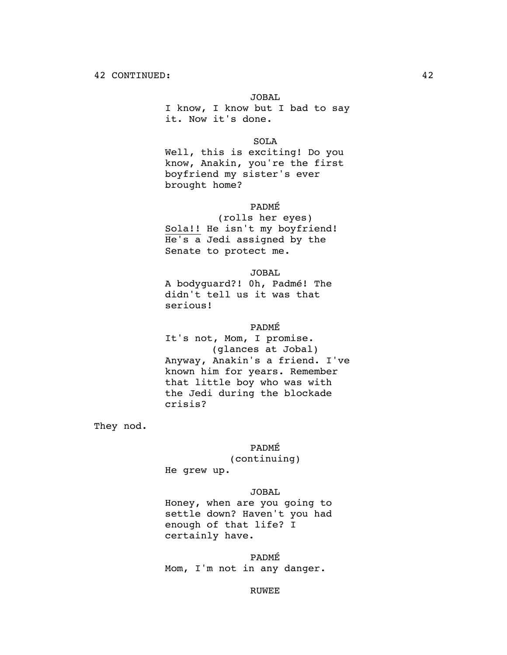### JOBAL

I know, I know but I bad to say it. Now it's done.

SOLA

Well, this is exciting! Do you know, Anakin, you're the first boyfriend my sister's ever brought home?

### PADMÉ

(rolls her eyes) Sola!! He isn't my boyfriend! He's a Jedi assigned by the Senate to protect me.

JOBAL

A bodyguard?! 0h, Padmé! The didn't tell us it was that serious!

### PADMÉ

It's not, Mom, I promise. (glances at Jobal) Anyway, Anakin's a friend. I've known him for years. Remember that little boy who was with the Jedi during the blockade crisis?

They nod.

### PADMÉ

## (continuing)

He grew up.

## JOBAL

Honey, when are you going to settle down? Haven't you had enough of that life? I certainly have.

PADMÉ Mom, I'm not in any danger.

## RUWEE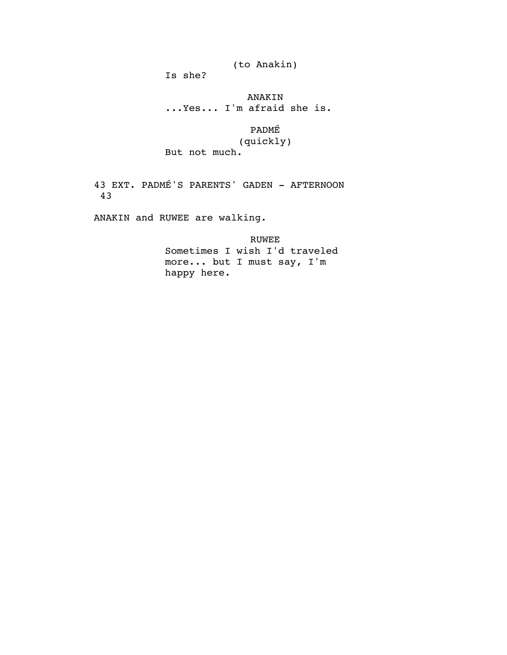(to Anakin) Is she?

ANAKIN ...Yes... I'm afraid she is.

PADMÉ (quickly) But not much.

43 EXT. PADMÉ'S PARENTS' GADEN - AFTERNOON 43

ANAKIN and RUWEE are walking.

RUWEE

Sometimes I wish I'd traveled more... but I must say, I'm happy here.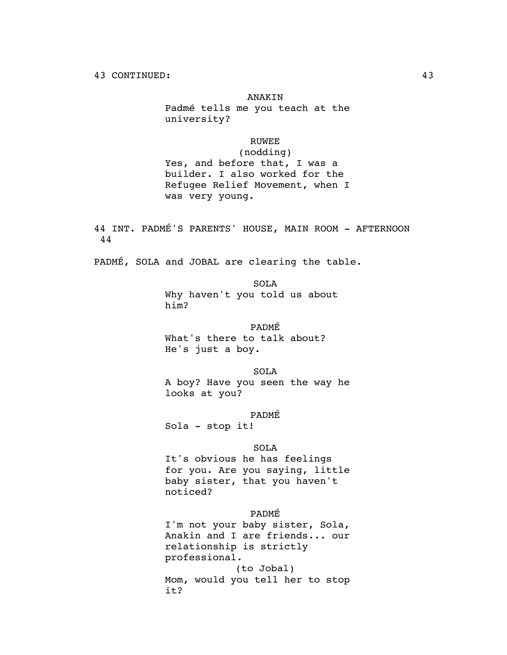### ANAKIN

Padmé tells me you teach at the university?

### RUWEE

(nodding) Yes, and before that, I was a builder. I also worked for the Refugee Relief Movement, when I was very young.

44 INT. PADMÉ'S PARENTS' HOUSE, MAIN ROOM - AFTERNOON 44

PADMÉ, SOLA and JOBAL are clearing the table.

SOLA

Why haven't you told us about him?

PADMÉ What's there to talk about? He's just a boy.

SOLA A boy? Have you seen the way he looks at you?

PADMÉ

Sola - stop it!

### SOLA

It's obvious he has feelings for you. Are you saying, little baby sister, that you haven't noticed?

## PADMÉ

I'm not your baby sister, Sola, Anakin and I are friends... our relationship is strictly professional. (to Jobal) Mom, would you tell her to stop it?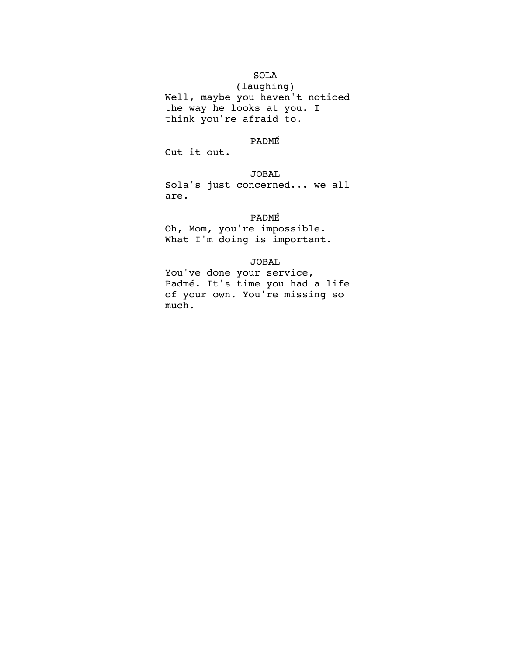# SOLA

(laughing) Well, maybe you haven't noticed the way he looks at you. I think you're afraid to.

# PADMÉ

Cut it out.

## JOBAL

Sola's just concerned... we all are.

# PADMÉ

Oh, Mom, you're impossible. What I'm doing is important.

### JOBAL

You've done your service, Padmé. It's time you had a life of your own. You're missing so much.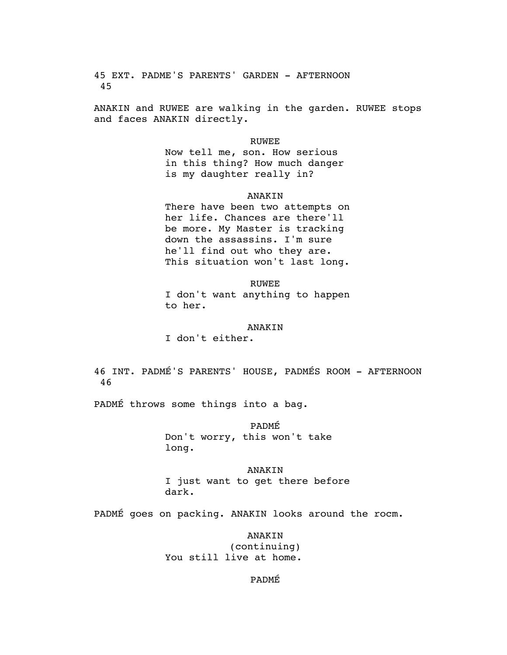45 EXT. PADME'S PARENTS' GARDEN - AFTERNOON 45

ANAKIN and RUWEE are walking in the garden. RUWEE stops and faces ANAKIN directly.

## RUWEE

Now tell me, son. How serious in this thing? How much danger is my daughter really in?

## ANAKIN

There have been two attempts on her life. Chances are there'll be more. My Master is tracking down the assassins. I'm sure he'll find out who they are. This situation won't last long.

RUWEE

I don't want anything to happen to her.

### ANAKIN

I don't either.

46 INT. PADMÉ'S PARENTS' HOUSE, PADMÉS ROOM - AFTERNOON 46

PADMÉ throws some things into a bag.

PADMÉ Don't worry, this won't take long.

### ANAKIN

I just want to get there before dark.

PADMÉ goes on packing. ANAKIN looks around the rocm.

ANAKIN (continuing) You still live at home.

## PADMÉ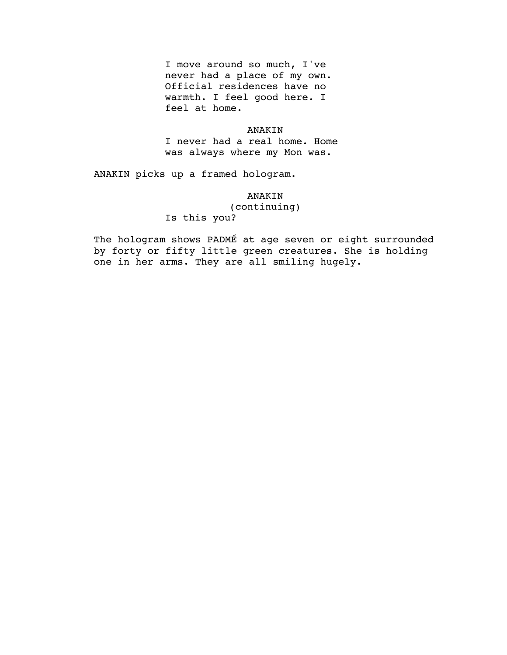I move around so much, I've never had a place of my own. Official residences have no warmth. I feel good here. I feel at home.

### ANAKIN

I never had a real home. Home was always where my Mon was.

ANAKIN picks up a framed hologram.

ANAKIN

# (continuing)

Is this you?

The hologram shows PADMÉ at age seven or eight surrounded by forty or fifty little green creatures. She is holding one in her arms. They are all smiling hugely.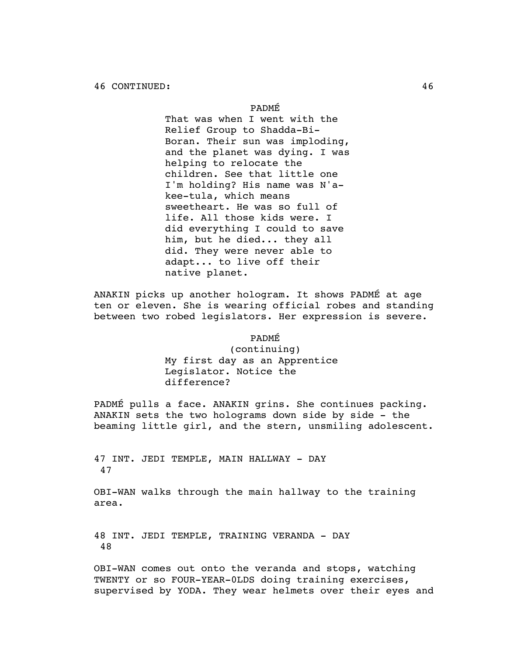### PADMÉ

That was when I went with the Relief Group to Shadda-Bi-Boran. Their sun was imploding, and the planet was dying. I was helping to relocate the children. See that little one I'm holding? His name was N'akee-tula, which means sweetheart. He was so full of life. All those kids were. I did everything I could to save him, but he died... they all did. They were never able to adapt... to live off their native planet.

ANAKIN picks up another hologram. It shows PADMÉ at age ten or eleven. She is wearing official robes and standing between two robed legislators. Her expression is severe.

> PADMÉ (continuing) My first day as an Apprentice Legislator. Notice the difference?

PADMÉ pulls a face. ANAKIN grins. She continues packing. ANAKIN sets the two holograms down side by side - the beaming little girl, and the stern, unsmiling adolescent.

47 INT. JEDI TEMPLE, MAIN HALLWAY - DAY 47

OBI-WAN walks through the main hallway to the training area.

48 INT. JEDI TEMPLE, TRAINING VERANDA - DAY 48

OBI-WAN comes out onto the veranda and stops, watching TWENTY or so FOUR-YEAR-0LDS doing training exercises, supervised by YODA. They wear helmets over their eyes and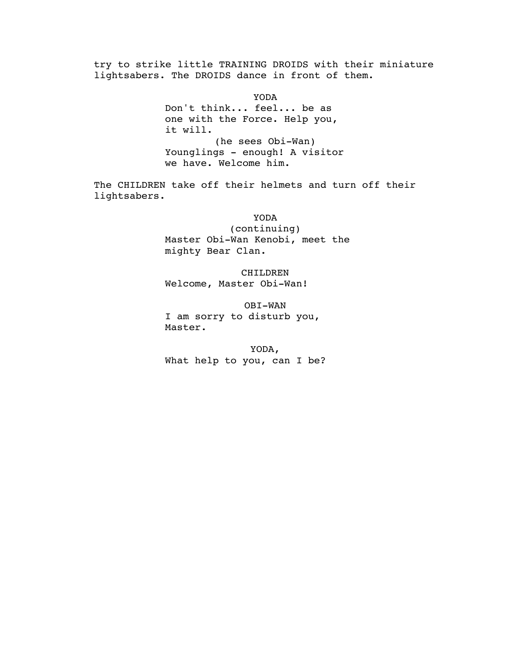try to strike little TRAINING DROIDS with their miniature lightsabers. The DROIDS dance in front of them.

> YODA Don't think... feel... be as one with the Force. Help you, it will. (he sees Obi-Wan) Younglings - enough! A visitor we have. Welcome him.

The CHILDREN take off their helmets and turn off their lightsabers.

> YODA (continuing) Master Obi-Wan Kenobi, meet the mighty Bear Clan.

CHILDREN Welcome, Master Obi-Wan!

OBI-WAN I am sorry to disturb you, Master.

YODA, What help to you, can I be?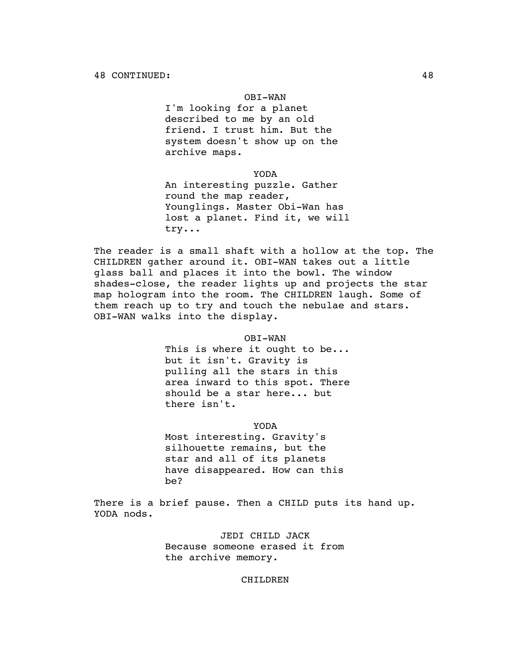### OBI-WAN

I'm looking for a planet described to me by an old friend. I trust him. But the system doesn't show up on the archive maps.

YODA

An interesting puzzle. Gather round the map reader, Younglings. Master Obi-Wan has lost a planet. Find it, we will try...

The reader is a small shaft with a hollow at the top. The CHILDREN gather around it. OBI-WAN takes out a little glass ball and places it into the bowl. The window shades-close, the reader lights up and projects the star map hologram into the room. The CHILDREN laugh. Some of them reach up to try and touch the nebulae and stars. OBI-WAN walks into the display.

OBI-WAN

This is where it ought to be... but it isn't. Gravity is pulling all the stars in this area inward to this spot. There should be a star here... but there isn't.

YODA

Most interesting. Gravity's silhouette remains, but the star and all of its planets have disappeared. How can this be?

There is a brief pause. Then a CHILD puts its hand up. YODA nods.

> JEDI CHILD JACK Because someone erased it from the archive memory.

> > **CHILDREN**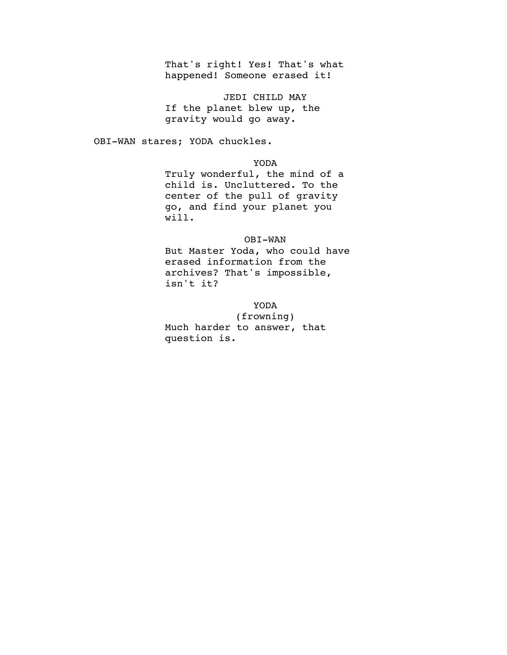That's right! Yes! That's what happened! Someone erased it!

JEDI CHILD MAY If the planet blew up, the gravity would go away.

OBI-WAN stares; YODA chuckles.

YODA

Truly wonderful, the mind of a child is. Uncluttered. To the center of the pull of gravity go, and find your planet you will.

## OBI-WAN

But Master Yoda, who could have erased information from the archives? That's impossible, isn't it?

YODA

(frowning) Much harder to answer, that question is.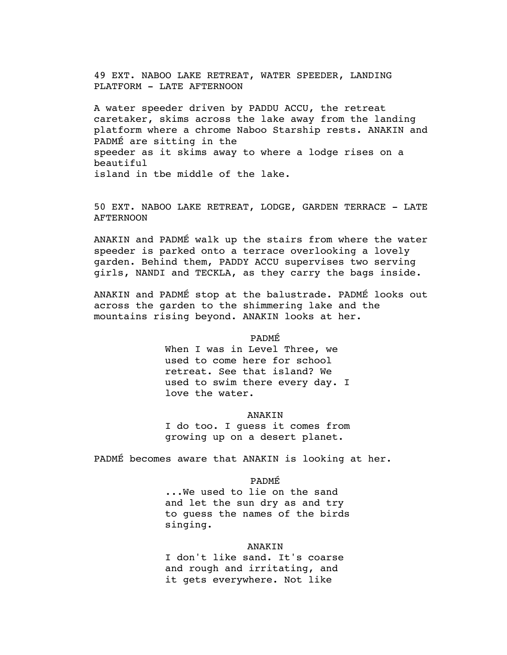49 EXT. NABOO LAKE RETREAT, WATER SPEEDER, LANDING PLATFORM - LATE AFTERNOON

A water speeder driven by PADDU ACCU, the retreat caretaker, skims across the lake away from the landing platform where a chrome Naboo Starship rests. ANAKIN and PADMÉ are sitting in the speeder as it skims away to where a lodge rises on a beautiful island in tbe middle of the lake.

50 EXT. NABOO LAKE RETREAT, LODGE, GARDEN TERRACE - LATE AFTERNOON

ANAKIN and PADMÉ walk up the stairs from where the water speeder is parked onto a terrace overlooking a lovely garden. Behind them, PADDY ACCU supervises two serving girls, NANDI and TECKLA, as they carry the bags inside.

ANAKIN and PADMÉ stop at the balustrade. PADMÉ looks out across the garden to the shimmering lake and the mountains rising beyond. ANAKIN looks at her.

PADMÉ

When I was in Level Three, we used to come here for school retreat. See that island? We used to swim there every day. I love the water.

ANAKIN

I do too. I guess it comes from growing up on a desert planet.

PADMÉ becomes aware that ANAKIN is looking at her.

PADMÉ

...We used to lie on the sand and let the sun dry as and try to guess the names of the birds singing.

### ANAKIN

I don't like sand. It's coarse and rough and irritating, and it gets everywhere. Not like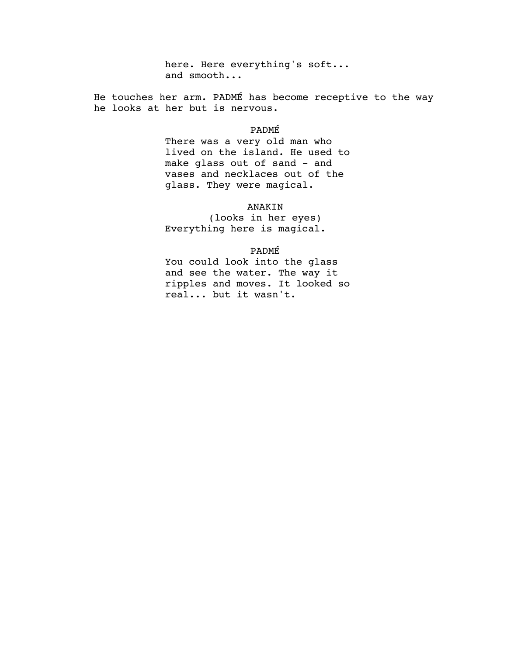here. Here everything's soft... and smooth...

He touches her arm. PADMÉ has become receptive to the way he looks at her but is nervous.

## PADMÉ

There was a very old man who lived on the island. He used to make glass out of sand - and vases and necklaces out of the glass. They were magical.

ANAKIN

(looks in her eyes) Everything here is magical.

PADMÉ

You could look into the glass and see the water. The way it ripples and moves. It looked so real... but it wasn't.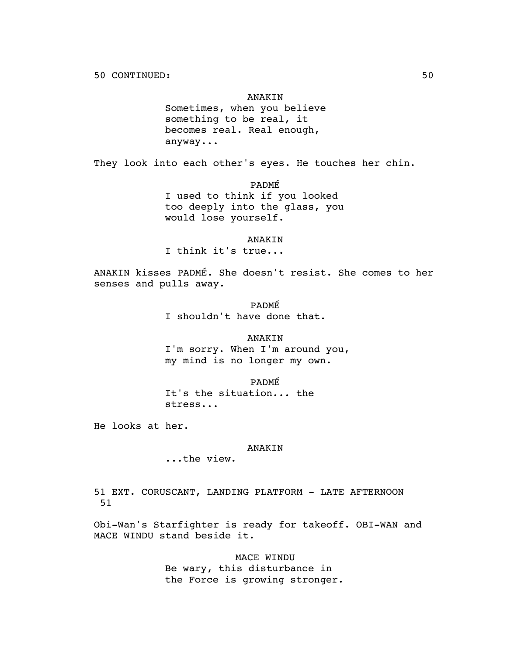### ANAKIN

Sometimes, when you believe something to be real, it becomes real. Real enough, anyway...

They look into each other's eyes. He touches her chin.

PADMÉ

I used to think if you looked too deeply into the glass, you would lose yourself.

### ANAKIN

I think it's true...

ANAKIN kisses PADMÉ. She doesn't resist. She comes to her senses and pulls away.

> PADMÉ I shouldn't have done that.

### ANAKIN

I'm sorry. When I'm around you, my mind is no longer my own.

PADMÉ It's the situation... the stress...

He looks at her.

#### **ANAKTN**

...the view.

51 EXT. CORUSCANT, LANDING PLATFORM - LATE AFTERNOON 51

Obi-Wan's Starfighter is ready for takeoff. OBI-WAN and MACE WINDU stand beside it.

> MACE WINDU Be wary, this disturbance in the Force is growing stronger.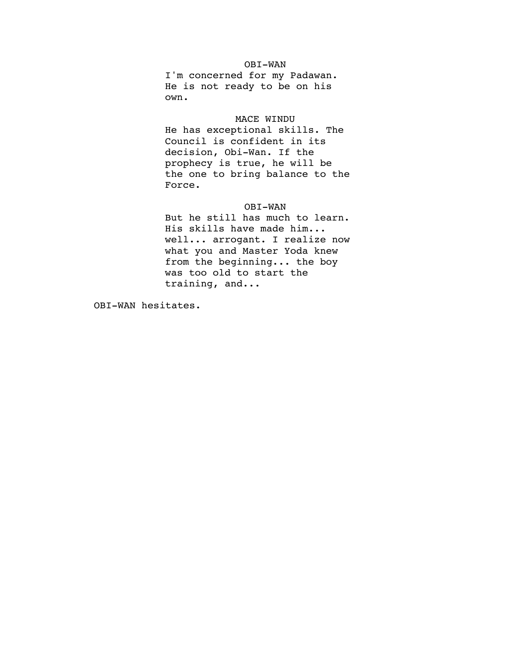# OBI-WAN

I'm concerned for my Padawan. He is not ready to be on his own.

## MACE WINDU

He has exceptional skills. The Council is confident in its decision, Obi-Wan. If the prophecy is true, he will be the one to bring balance to the Force.

### OBI-WAN

But he still has much to learn. His skills have made him... well... arrogant. I realize now what you and Master Yoda knew from the beginning... the boy was too old to start the training, and...

OBI-WAN hesitates.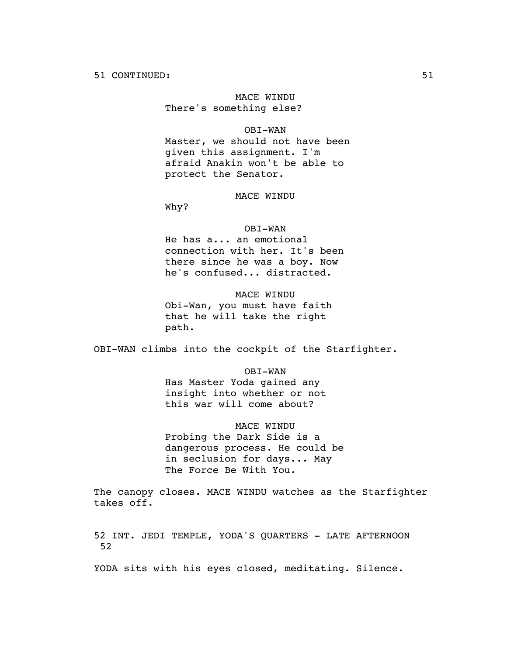# MACE WINDU There's something else?

# OBI-WAN

Master, we should not have been given this assignment. I'm afraid Anakin won't be able to protect the Senator.

# MACE WINDU

Why?

### OBI-WAN

He has a... an emotional connection with her. It's been there since he was a boy. Now he's confused... distracted.

# MACE WINDU

Obi-Wan, you must have faith that he will take the right path.

OBI-WAN climbs into the cockpit of the Starfighter.

OBI-WAN Has Master Yoda gained any insight into whether or not this war will come about?

# MACE WINDU Probing the Dark Side is a dangerous process. He could be in seclusion for days... May The Force Be With You.

The canopy closes. MACE WINDU watches as the Starfighter takes off.

52 INT. JEDI TEMPLE, YODA'S QUARTERS - LATE AFTERNOON 52

YODA sits with his eyes closed, meditating. Silence.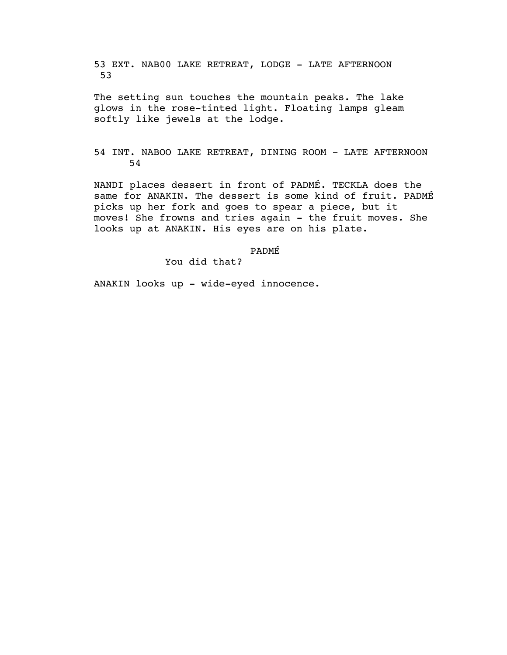53 EXT. NAB00 LAKE RETREAT, LODGE - LATE AFTERNOON 53

The setting sun touches the mountain peaks. The lake glows in the rose-tinted light. Floating lamps gleam softly like jewels at the lodge.

54 INT. NABOO LAKE RETREAT, DINING ROOM - LATE AFTERNOON 54

NANDI places dessert in front of PADMÉ. TECKLA does the same for ANAKIN. The dessert is some kind of fruit. PADMÉ picks up her fork and goes to spear a piece, but it moves! She frowns and tries again - the fruit moves. She looks up at ANAKIN. His eyes are on his plate.

PADMÉ

You did that?

ANAKIN looks up - wide-eyed innocence.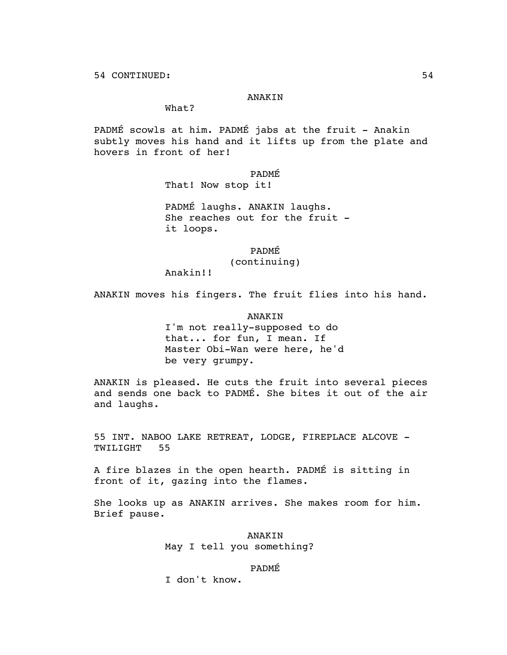### ANAKIN

What?

PADMÉ scowls at him. PADMÉ jabs at the fruit - Anakin subtly moves his hand and it lifts up from the plate and hovers in front of her!

PADMÉ

That! Now stop it!

PADMÉ laughs. ANAKIN laughs. She reaches out for the fruit it loops.

PADMÉ

### (continuing)

Anakin!!

ANAKIN moves his fingers. The fruit flies into his hand.

ANAKIN I'm not really-supposed to do that... for fun, I mean. If Master Obi-Wan were here, he'd be very grumpy.

ANAKIN is pleased. He cuts the fruit into several pieces and sends one back to PADMÉ. She bites it out of the air and laughs.

55 INT. NABOO LAKE RETREAT, LODGE, FIREPLACE ALCOVE - TWILIGHT 55

A fire blazes in the open hearth. PADMÉ is sitting in front of it, gazing into the flames.

She looks up as ANAKIN arrives. She makes room for him. Brief pause.

> ANAKIN May I tell you something?

> > PADMÉ

I don't know.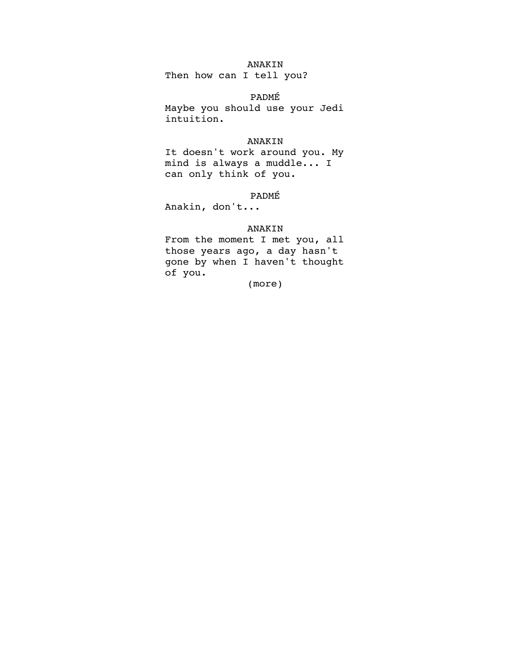# ANAKIN

Then how can I tell you?

# PADMÉ

Maybe you should use your Jedi intuition.

# ANAKIN

It doesn't work around you. My mind is always a muddle... I can only think of you.

# PADMÉ

Anakin, don't...

## ANAKIN

From the moment I met you, all those years ago, a day hasn't gone by when I haven't thought of you.

(more)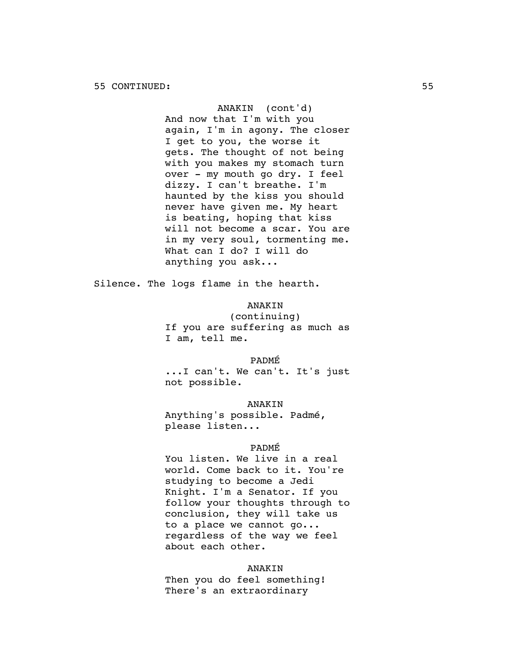ANAKIN (cont'd) And now that I'm with you again, I'm in agony. The closer I get to you, the worse it gets. The thought of not being with you makes my stomach turn over - my mouth go dry. I feel dizzy. I can't breathe. I'm haunted by the kiss you should never have given me. My heart is beating, hoping that kiss will not become a scar. You are in my very soul, tormenting me. What can I do? I will do anything you ask...

Silence. The logs flame in the hearth.

## ANAKIN

(continuing) If you are suffering as much as I am, tell me.

### PADMÉ

...I can't. We can't. It's just not possible.

ANAKIN Anything's possible. Padmé, please listen...

## PADMÉ

You listen. We live in a real world. Come back to it. You're studying to become a Jedi Knight. I'm a Senator. If you follow your thoughts through to conclusion, they will take us to a place we cannot go... regardless of the way we feel about each other.

### ANAKIN

Then you do feel something! There's an extraordinary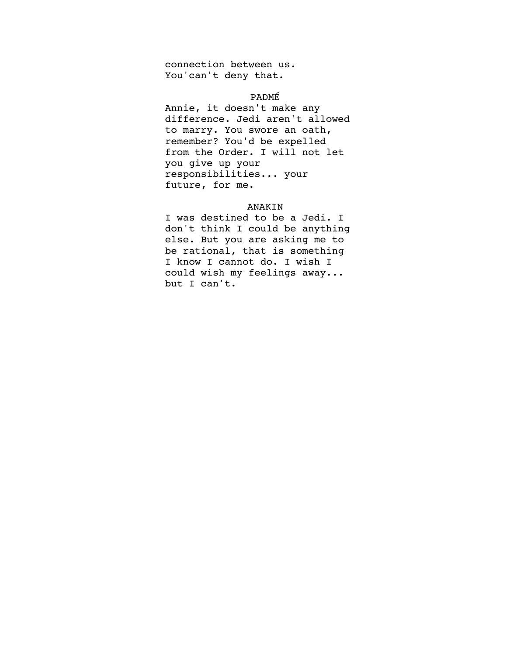connection between us. You'can't deny that.

# PADMÉ

Annie, it doesn't make any difference. Jedi aren't allowed to marry. You swore an oath, remember? You'd be expelled from the Order. I will not let you give up your responsibilities... your future, for me.

### ANAKIN

I was destined to be a Jedi. I don't think I could be anything else. But you are asking me to be rational, that is something I know I cannot do. I wish I could wish my feelings away... but I can't.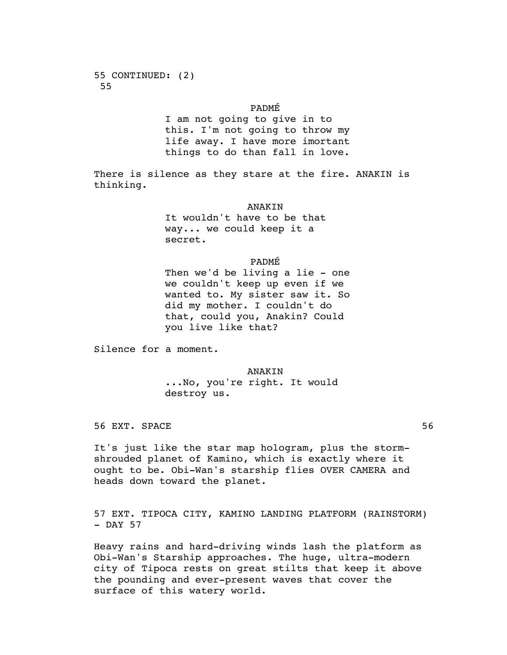55 CONTINUED: (2) 55

### PADMÉ

I am not going to give in to this. I'm not going to throw my life away. I have more imortant things to do than fall in love.

There is silence as they stare at the fire. ANAKIN is thinking.

> ANAKIN It wouldn't have to be that way... we could keep it a secret.

### PADMÉ

Then we'd be living a lie - one we couldn't keep up even if we wanted to. My sister saw it. So did my mother. I couldn't do that, could you, Anakin? Could you live like that?

Silence for a moment.

ANAKIN ...No, you're right. It would destroy us.

56 EXT. SPACE 56 SERIES SOLUTION SERIES SOLUTION SOLUTION SOLUTION SOLUTION SOLUTION SOLUTION SOLUTION SOLUTION

It's just like the star map hologram, plus the stormshrouded planet of Kamino, which is exactly where it ought to be. Obi-Wan's starship flies OVER CAMERA and heads down toward the planet.

57 EXT. TIPOCA CITY, KAMINO LANDING PLATFORM (RAINSTORM) - DAY 57

Heavy rains and hard-driving winds lash the platform as Obi-Wan's Starship approaches. The huge, ultra-modern city of Tipoca rests on great stilts that keep it above the pounding and ever-present waves that cover the surface of this watery world.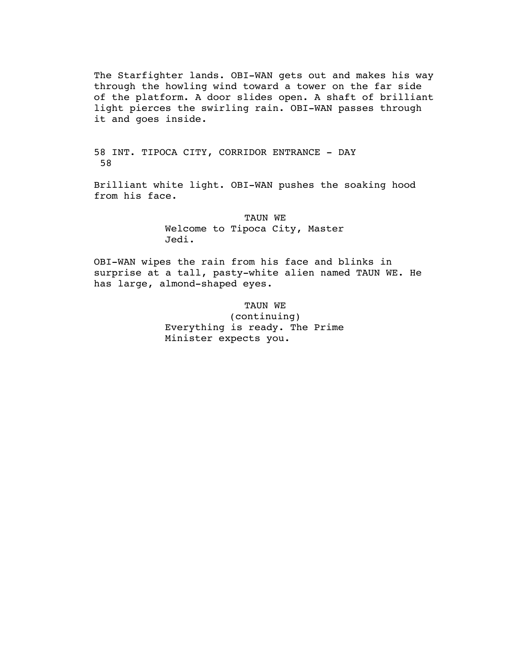The Starfighter lands. OBI-WAN gets out and makes his way through the howling wind toward a tower on the far side of the platform. A door slides open. A shaft of brilliant light pierces the swirling rain. OBI-WAN passes through it and goes inside.

58 INT. TIPOCA CITY, CORRIDOR ENTRANCE - DAY 58

Brilliant white light. OBI-WAN pushes the soaking hood from his face.

> TAUN WE Welcome to Tipoca City, Master Jedi.

OBI-WAN wipes the rain from his face and blinks in surprise at a tall, pasty-white alien named TAUN WE. He has large, almond-shaped eyes.

> TAUN WE (continuing) Everything is ready. The Prime Minister expects you.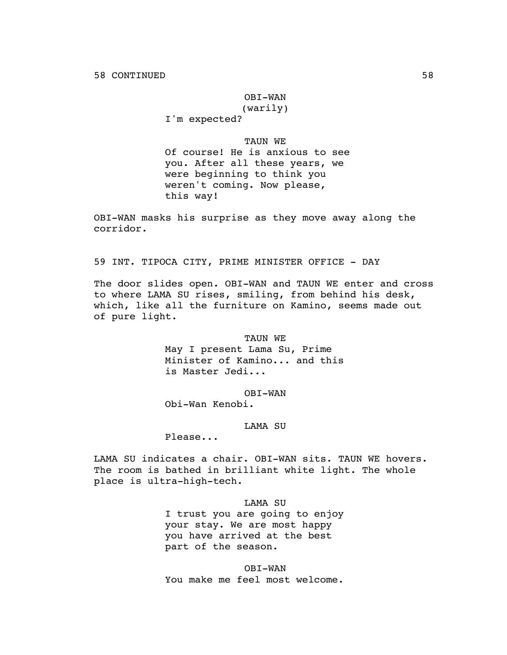# OBI-WAN (warily) I'm expected?

TAUN WE Of course! He is anxious to see you. After all these years, we were beginning to think you weren't coming. Now please, this way!

OBI-WAN masks his surprise as they move away along the corridor.

59 INT. TIPOCA CITY, PRIME MINISTER OFFICE - DAY

The door slides open. OBI-WAN and TAUN WE enter and cross to where LAMA SU rises, smiling, from behind his desk, which, like all the furniture on Kamino, seems made out of pure light.

#### TAUN WE

May I present Lama Su, Prime Minister of Kamino... and this is Master Jedi...

OBI-WAN Obi-Wan Kenobi.

#### LAMA SU

Please...

LAMA SU indicates a chair. OBI-WAN sits. TAUN WE hovers. The room is bathed in brilliant white light. The whole place is ultra-high-tech.

### LAMA SU

I trust you are going to enjoy your stay. We are most happy you have arrived at the best part of the season.

OBI-WAN You make me feel most welcome.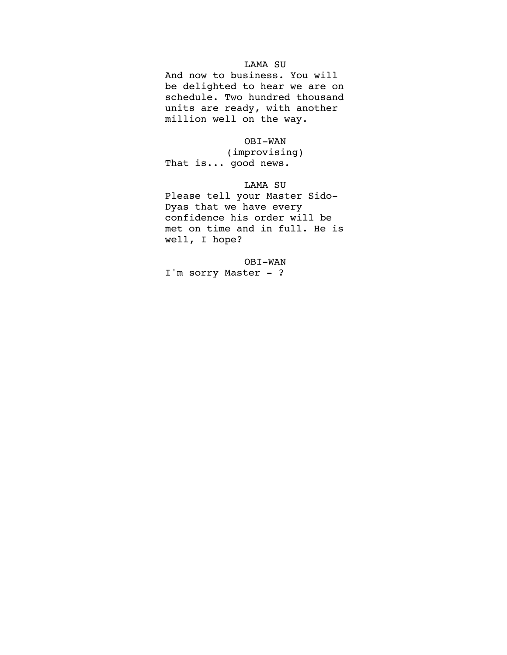# LAMA SU

And now to business. You will be delighted to hear we are on schedule. Two hundred thousand units are ready, with another million well on the way.

OBI-WAN

(improvising) That is... good news.

LAMA SU Please tell your Master Sido-Dyas that we have every confidence his order will be met on time and in full. He is well, I hope?

OBI-WAN I'm sorry Master - ?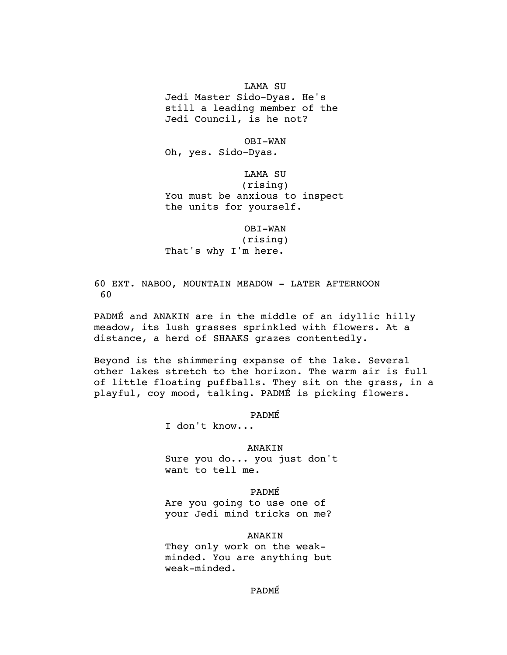LAMA SU

Jedi Master Sido-Dyas. He's still a leading member of the Jedi Council, is he not?

OBI-WAN Oh, yes. Sido-Dyas.

LAMA SU (rising) You must be anxious to inspect the units for yourself.

OBI-WAN (rising) That's why I'm here.

60 EXT. NABOO, MOUNTAIN MEADOW - LATER AFTERNOON 60

PADMÉ and ANAKIN are in the middle of an idyllic hilly meadow, its lush grasses sprinkled with flowers. At a distance, a herd of SHAAKS grazes contentedly.

Beyond is the shimmering expanse of the lake. Several other lakes stretch to the horizon. The warm air is full of little floating puffballs. They sit on the grass, in a playful, coy mood, talking. PADMÉ is picking flowers.

PADMÉ

I don't know...

ANAKIN

Sure you do... you just don't want to tell me.

PADMÉ

Are you going to use one of your Jedi mind tricks on me?

ANAKIN

They only work on the weakminded. You are anything but weak-minded.

PADMÉ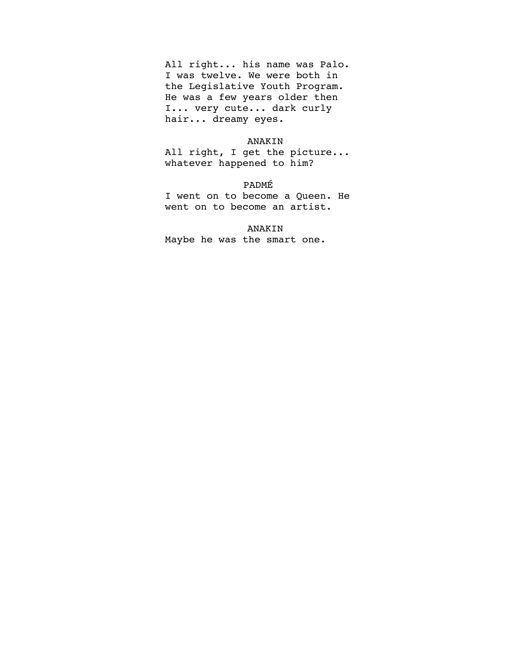All right... his name was Palo. I was twelve. We were both in the Legislative Youth Program. He was a few years older then I... very cute... dark curly hair... dreamy eyes.

#### ANAKIN

All right, I get the picture... whatever happened to him?

PADMÉ

I went on to become a Queen. He went on to become an artist.

ANAKIN Maybe he was the smart one.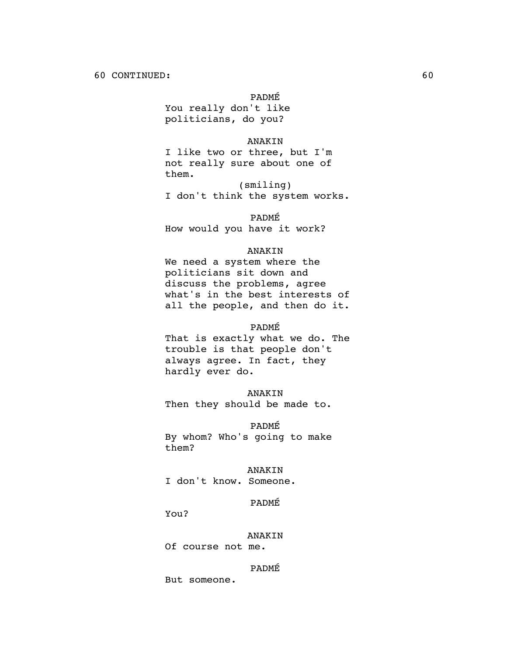### PADMÉ

You really don't like politicians, do you?

### ANAKIN

I like two or three, but I'm not really sure about one of them.

(smiling) I don't think the system works.

PADMÉ How would you have it work?

### ANAKIN

We need a system where the politicians sit down and discuss the problems, agree what's in the best interests of all the people, and then do it.

#### PADMÉ

That is exactly what we do. The trouble is that people don't always agree. In fact, they hardly ever do.

#### ANAKIN

Then they should be made to.

PADMÉ

By whom? Who's going to make them?

### ANAKIN

I don't know. Someone.

# PADMÉ

You?

# ANAKIN

Of course not me.

### PADMÉ

But someone.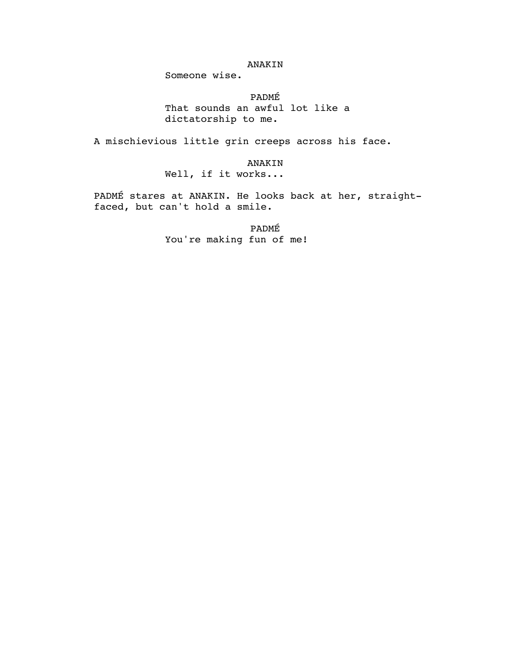# ANAKIN

Someone wise.

# PADMÉ

That sounds an awful lot like a dictatorship to me.

A mischievious little grin creeps across his face.

ANAKIN Well, if it works...

PADMÉ stares at ANAKIN. He looks back at her, straightfaced, but can't hold a smile.

> PADMÉ You're making fun of me!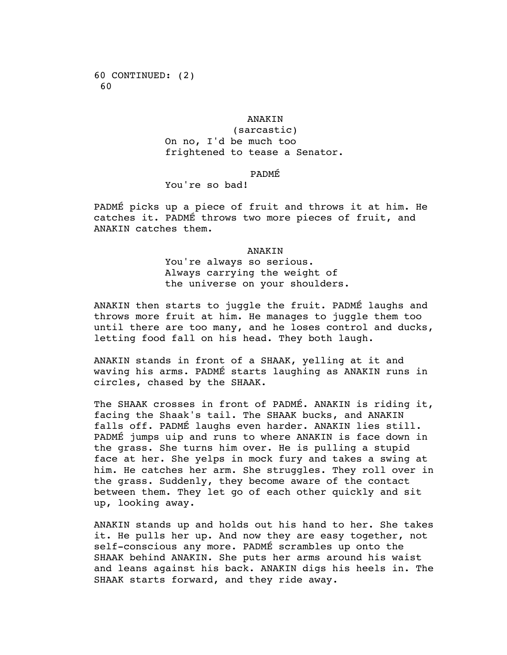### ANAKIN

(sarcastic) On no, I'd be much too frightened to tease a Senator.

### PADMÉ

You're so bad!

PADMÉ picks up a piece of fruit and throws it at him. He catches it. PADMÉ throws two more pieces of fruit, and ANAKIN catches them.

### ANAKIN

You're always so serious. Always carrying the weight of the universe on your shoulders.

ANAKIN then starts to juggle the fruit. PADMÉ laughs and throws more fruit at him. He manages to juggle them too until there are too many, and he loses control and ducks, letting food fall on his head. They both laugh.

ANAKIN stands in front of a SHAAK, yelling at it and waving his arms. PADMÉ starts laughing as ANAKIN runs in circles, chased by the SHAAK.

The SHAAK crosses in front of PADMÉ. ANAKIN is riding it, facing the Shaak's tail. The SHAAK bucks, and ANAKIN falls off. PADMÉ laughs even harder. ANAKIN lies still. PADMÉ jumps uip and runs to where ANAKIN is face down in the grass. She turns him over. He is pulling a stupid face at her. She yelps in mock fury and takes a swing at him. He catches her arm. She struggles. They roll over in the grass. Suddenly, they become aware of the contact between them. They let go of each other quickly and sit up, looking away.

ANAKIN stands up and holds out his hand to her. She takes it. He pulls her up. And now they are easy together, not self-conscious any more. PADMÉ scrambles up onto the SHAAK behind ANAKIN. She puts her arms around his waist and leans against his back. ANAKIN digs his heels in. The SHAAK starts forward, and they ride away.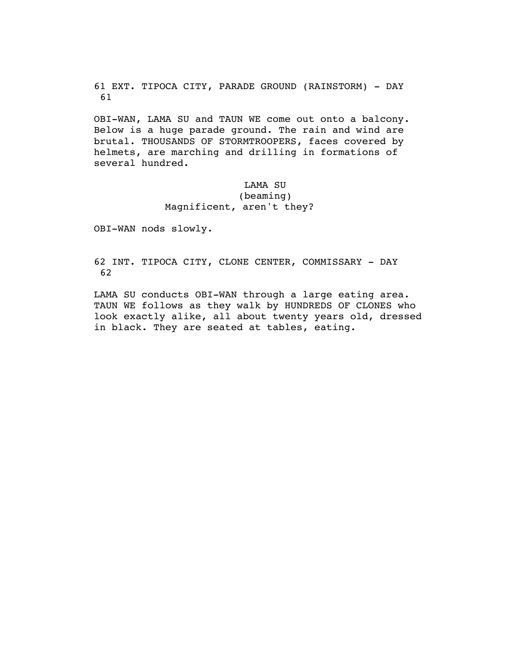61 EXT. TIPOCA CITY, PARADE GROUND (RAINSTORM) - DAY 61

OBI-WAN, LAMA SU and TAUN WE come out onto a balcony. Below is a huge parade ground. The rain and wind are brutal. THOUSANDS OF STORMTROOPERS, faces covered by helmets, are marching and drilling in formations of several hundred.

# LAMA SU (beaming) Magnificent, aren't they?

OBI-WAN nods slowly.

62 INT. TIPOCA CITY, CLONE CENTER, COMMISSARY - DAY 62

LAMA SU conducts OBI-WAN through a large eating area. TAUN WE follows as they walk by HUNDREDS OF CLONES who look exactly alike, all about twenty years old, dressed in black. They are seated at tables, eating.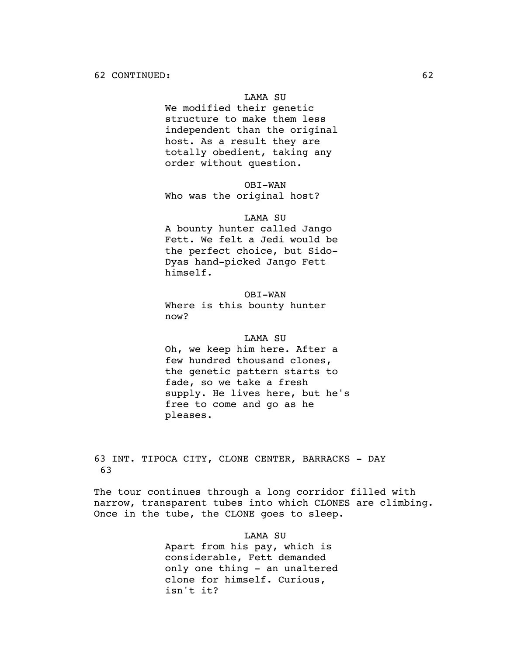### LAMA SU

We modified their genetic structure to make them less independent than the original host. As a result they are totally obedient, taking any order without question.

#### OBI-WAN

Who was the original host?

# LAMA SU

A bounty hunter called Jango Fett. We felt a Jedi would be the perfect choice, but Sido-Dyas hand-picked Jango Fett himself.

### OBI-WAN

Where is this bounty hunter now?

#### LAMA SU

Oh, we keep him here. After a few hundred thousand clones, the genetic pattern starts to fade, so we take a fresh supply. He lives here, but he's free to come and go as he pleases.

# 63 INT. TIPOCA CITY, CLONE CENTER, BARRACKS - DAY 63

The tour continues through a long corridor filled with narrow, transparent tubes into which CLONES are climbing. Once in the tube, the CLONE goes to sleep.

#### LAMA SU

Apart from his pay, which is considerable, Fett demanded only one thing - an unaltered clone for himself. Curious, isn't it?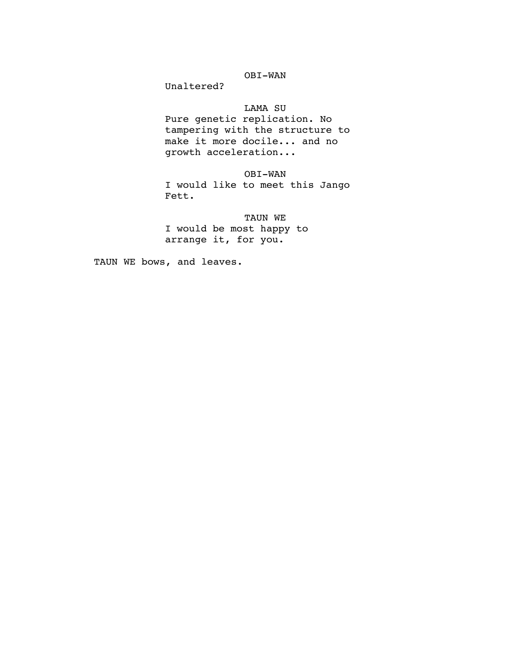# OBI-WAN

Unaltered?

# LAMA SU

Pure genetic replication. No tampering with the structure to make it more docile... and no growth acceleration...

OBI-WAN

I would like to meet this Jango Fett.

TAUN WE

I would be most happy to arrange it, for you.

TAUN WE bows, and leaves.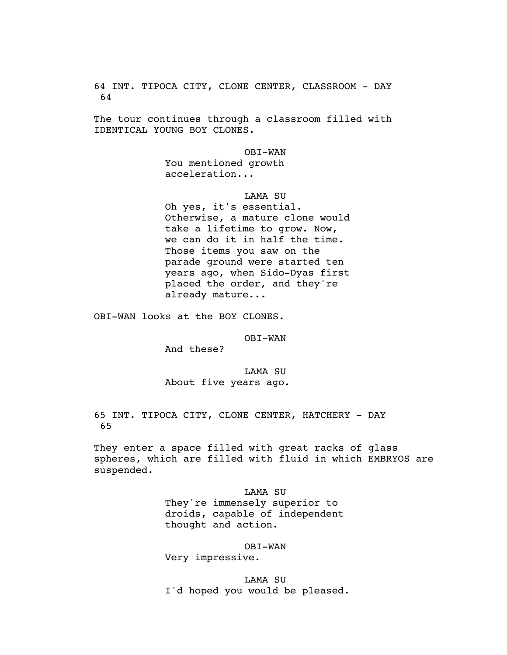64 INT. TIPOCA CITY, CLONE CENTER, CLASSROOM - DAY 64

The tour continues through a classroom filled with IDENTICAL YOUNG BOY CLONES.

OBI-WAN

You mentioned growth acceleration...

# LAMA SU

Oh yes, it's essential. Otherwise, a mature clone would take a lifetime to grow. Now, we can do it in half the time. Those items you saw on the parade ground were started ten years ago, when Sido-Dyas first placed the order, and they're already mature...

OBI-WAN looks at the BOY CLONES.

OBI-WAN

And these?

LAMA SU About five years ago.

65 INT. TIPOCA CITY, CLONE CENTER, HATCHERY - DAY 65

They enter a space filled with great racks of glass spheres, which are filled with fluid in which EMBRYOS are suspended.

#### LAMA SU

They're immensely superior to droids, capable of independent thought and action.

OBI-WAN Very impressive.

LAMA SU I'd hoped you would be pleased.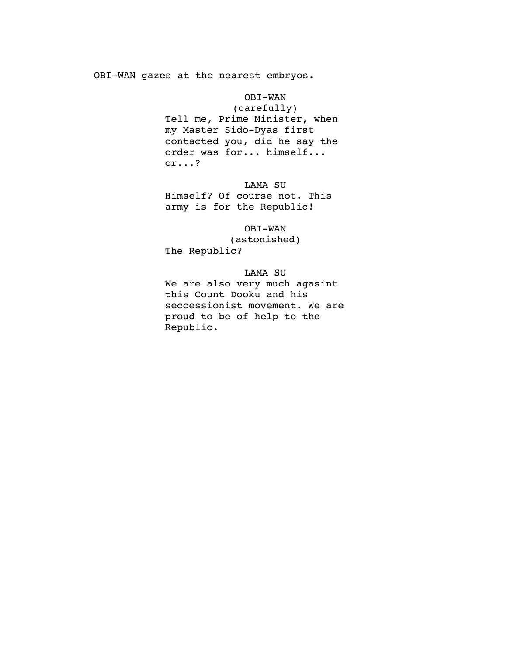OBI-WAN gazes at the nearest embryos.

# OBI-WAN

(carefully) Tell me, Prime Minister, when my Master Sido-Dyas first contacted you, did he say the order was for... himself... or...?

LAMA SU Himself? Of course not. This army is for the Republic!

OBI-WAN

(astonished)

The Republic?

### LAMA SU

We are also very much agasint this Count Dooku and his seccessionist movement. We are proud to be of help to the Republic.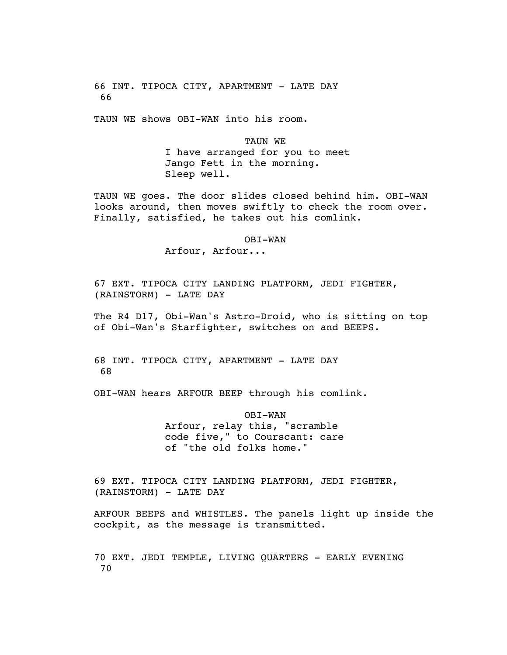66 INT. TIPOCA CITY, APARTMENT - LATE DAY 66

TAUN WE shows OBI-WAN into his room.

TAUN WE I have arranged for you to meet Jango Fett in the morning. Sleep well.

TAUN WE goes. The door slides closed behind him. OBI-WAN looks around, then moves swiftly to check the room over. Finally, satisfied, he takes out his comlink.

OBI-WAN

Arfour, Arfour...

67 EXT. TIPOCA CITY LANDING PLATFORM, JEDI FIGHTER, (RAINSTORM) - LATE DAY

The R4 D17, Obi-Wan's Astro-Droid, who is sitting on top of Obi-Wan's Starfighter, switches on and BEEPS.

68 INT. TIPOCA CITY, APARTMENT - LATE DAY 68

OBI-WAN hears ARFOUR BEEP through his comlink.

OBI-WAN Arfour, relay this, "scramble code five," to Courscant: care of "the old folks home."

69 EXT. TIPOCA CITY LANDING PLATFORM, JEDI FIGHTER, (RAINSTORM) - LATE DAY

ARFOUR BEEPS and WHISTLES. The panels light up inside the cockpit, as the message is transmitted.

70 EXT. JEDI TEMPLE, LIVING QUARTERS - EARLY EVENING 70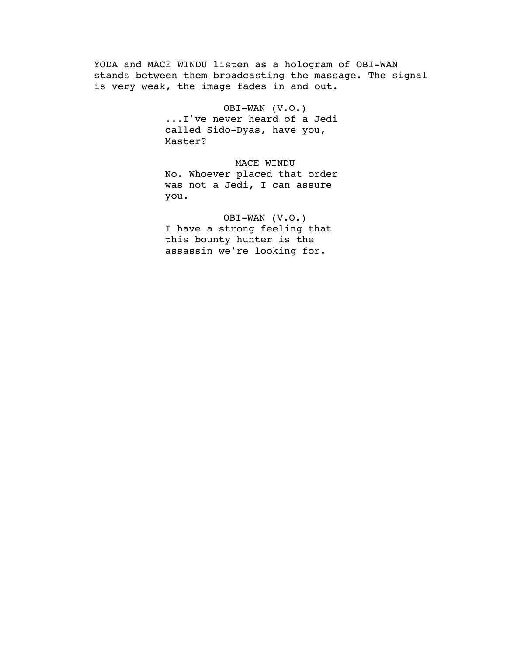YODA and MACE WINDU listen as a hologram of OBI-WAN stands between them broadcasting the massage. The signal is very weak, the image fades in and out.

> OBI-WAN (V.O.) ...I've never heard of a Jedi called Sido-Dyas, have you, Master?

> MACE WINDU No. Whoever placed that order was not a Jedi, I can assure you.

OBI-WAN (V.O.) I have a strong feeling that this bounty hunter is the assassin we're looking for.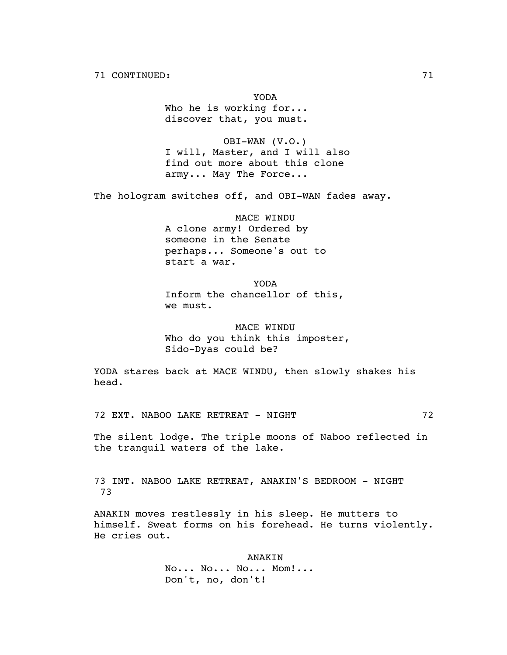#### YODA

Who he is working for... discover that, you must.

OBI-WAN (V.O.) I will, Master, and I will also find out more about this clone army... May The Force...

The hologram switches off, and OBI-WAN fades away.

# MACE WINDU

A clone army! Ordered by someone in the Senate perhaps... Someone's out to start a war.

YODA

Inform the chancellor of this, we must.

# MACE WINDU

Who do you think this imposter, Sido-Dyas could be?

YODA stares back at MACE WINDU, then slowly shakes his head.

72 EXT. NABOO LAKE RETREAT - NIGHT 72

The silent lodge. The triple moons of Naboo reflected in the tranquil waters of the lake.

73 INT. NABOO LAKE RETREAT, ANAKIN'S BEDROOM - NIGHT 73

ANAKIN moves restlessly in his sleep. He mutters to himself. Sweat forms on his forehead. He turns violently. He cries out.

> ANAKIN No... No... No... Mom!... Don't, no, don't!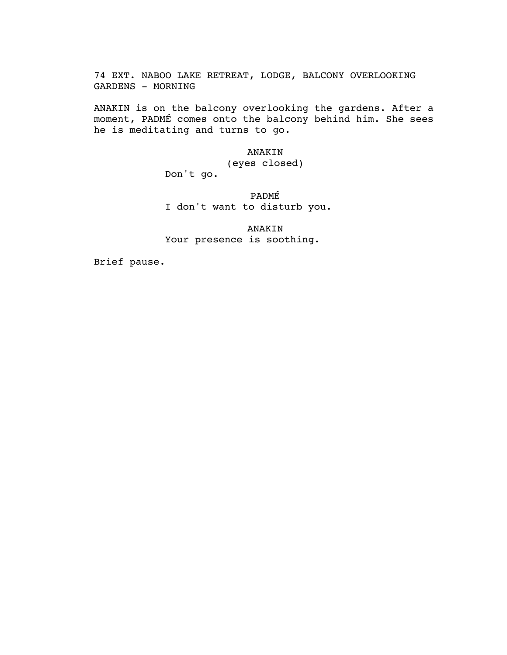74 EXT. NABOO LAKE RETREAT, LODGE, BALCONY OVERLOOKING GARDENS - MORNING

ANAKIN is on the balcony overlooking the gardens. After a moment, PADMÉ comes onto the balcony behind him. She sees he is meditating and turns to go.

> ANAKIN (eyes closed) Don't go.

PADMÉ I don't want to disturb you.

ANAKIN Your presence is soothing.

Brief pause.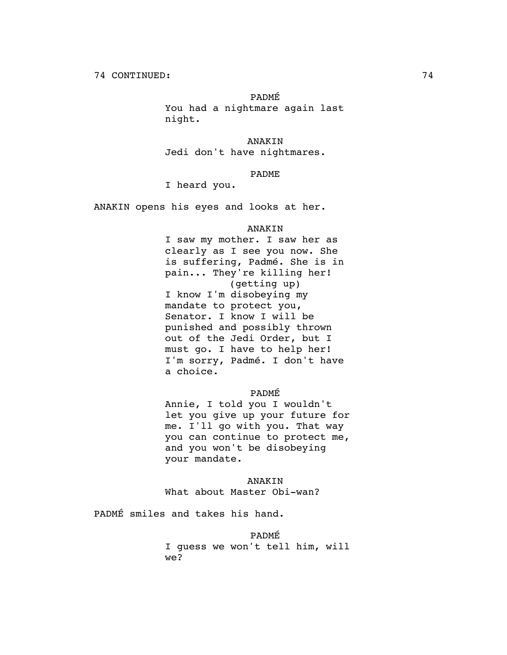### PADMÉ

You had a nightmare again last night.

ANAKIN Jedi don't have nightmares.

#### PADME

I heard you.

ANAKIN opens his eyes and looks at her.

#### ANAKIN

I saw my mother. I saw her as clearly as I see you now. She is suffering, Padmé. She is in pain... They're killing her! (getting up) I know I'm disobeying my mandate to protect you, Senator. I know I will be punished and possibly thrown out of the Jedi Order, but I must go. I have to help her! I'm sorry, Padmé. I don't have a choice.

# PADMÉ

Annie, I told you I wouldn't let you give up your future for me. I'll go with you. That way you can continue to protect me, and you won't be disobeying your mandate.

# **ANAKTN**

What about Master Obi-wan?

PADMÉ smiles and takes his hand.

#### PADMÉ

I guess we won't tell him, will we?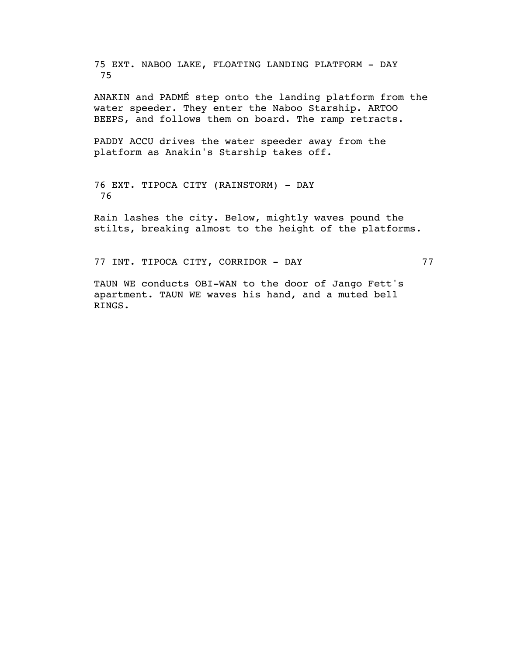75 EXT. NABOO LAKE, FLOATING LANDING PLATFORM - DAY 75

ANAKIN and PADMÉ step onto the landing platform from the water speeder. They enter the Naboo Starship. ARTOO BEEPS, and follows them on board. The ramp retracts.

PADDY ACCU drives the water speeder away from the platform as Anakin's Starship takes off.

76 EXT. TIPOCA CITY (RAINSTORM) - DAY 76

Rain lashes the city. Below, mightly waves pound the stilts, breaking almost to the height of the platforms.

77 INT. TIPOCA CITY, CORRIDOR - DAY 77

TAUN WE conducts OBI-WAN to the door of Jango Fett's apartment. TAUN WE waves his hand, and a muted bell RINGS.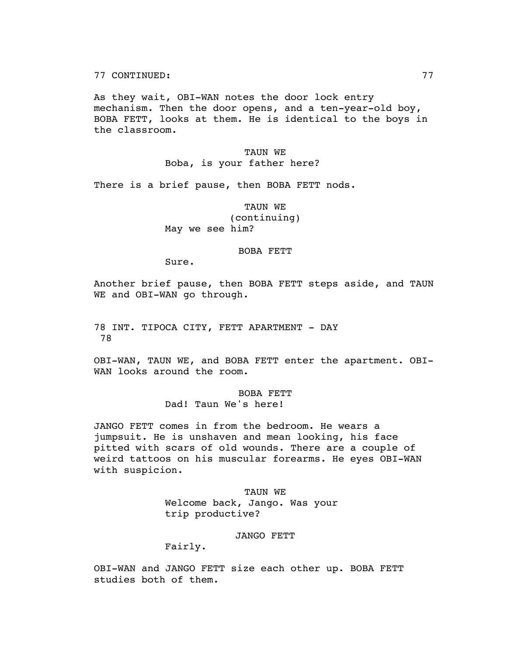As they wait, OBI-WAN notes the door lock entry mechanism. Then the door opens, and a ten-year-old boy, BOBA FETT, looks at them. He is identical to the boys in the classroom.

# TAUN WE Boba, is your father here?

There is a brief pause, then BOBA FETT nods.

TAUN WE (continuing) May we see him?

# BOBA FETT

Sure.

Another brief pause, then BOBA FETT steps aside, and TAUN WE and OBI-WAN go through.

78 INT. TIPOCA CITY, FETT APARTMENT - DAY 78

OBI-WAN, TAUN WE, and BOBA FETT enter the apartment. OBI-WAN looks around the room.

> BOBA FETT Dad! Taun We's here!

JANGO FETT comes in from the bedroom. He wears a jumpsuit. He is unshaven and mean looking, his face pitted with scars of old wounds. There are a couple of weird tattoos on his muscular forearms. He eyes OBI-WAN with suspicion.

> TAUN WE Welcome back, Jango. Was your trip productive?

> > JANGO FETT

Fairly.

OBI-WAN and JANGO FETT size each other up. BOBA FETT studies both of them.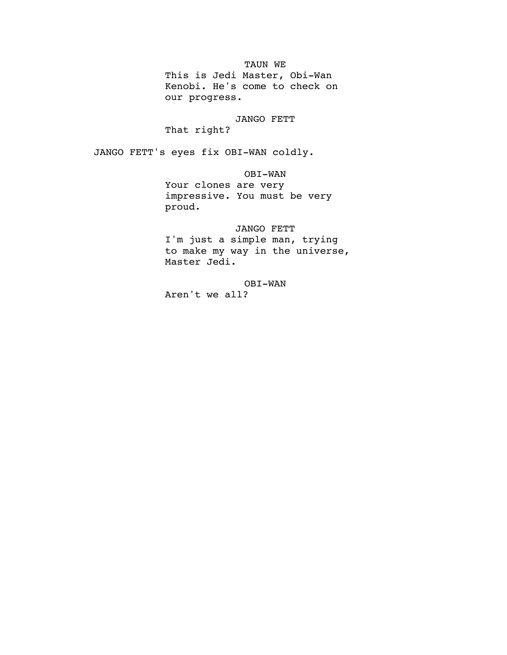# TAUN WE

This is Jedi Master, Obi-Wan Kenobi. He's come to check on our progress.

### JANGO FETT

That right?

JANGO FETT's eyes fix OBI-WAN coldly.

OBI-WAN

Your clones are very impressive. You must be very proud.

JANGO FETT I'm just a simple man, trying to make my way in the universe, Master Jedi.

OBI-WAN Aren't we all?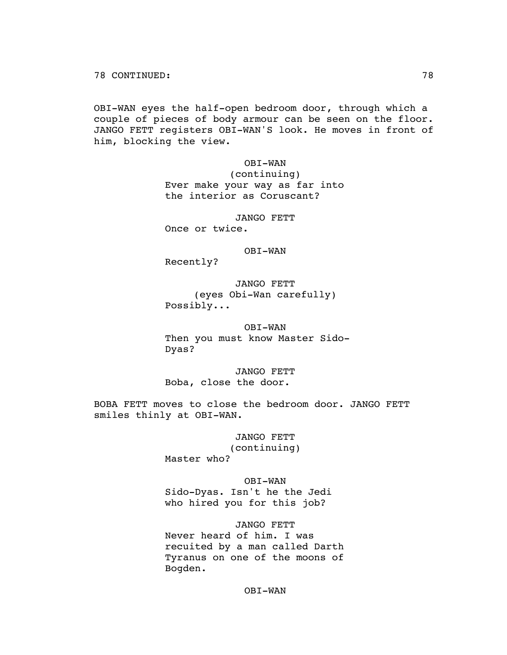78 CONTINUED: 78

OBI-WAN eyes the half-open bedroom door, through which a couple of pieces of body armour can be seen on the floor. JANGO FETT registers OBI-WAN'S look. He moves in front of him, blocking the view.

> OBI-WAN (continuing) Ever make your way as far into the interior as Coruscant?

JANGO FETT Once or twice.

OBI-WAN

Recently?

JANGO FETT (eyes Obi-Wan carefully) Possibly...

OBI-WAN Then you must know Master Sido-Dyas?

JANGO FETT Boba, close the door.

BOBA FETT moves to close the bedroom door. JANGO FETT smiles thinly at OBI-WAN.

> JANGO FETT (continuing) Master who?

OBI-WAN Sido-Dyas. Isn't he the Jedi who hired you for this job?

JANGO FETT Never heard of him. I was recuited by a man called Darth Tyranus on one of the moons of Bogden.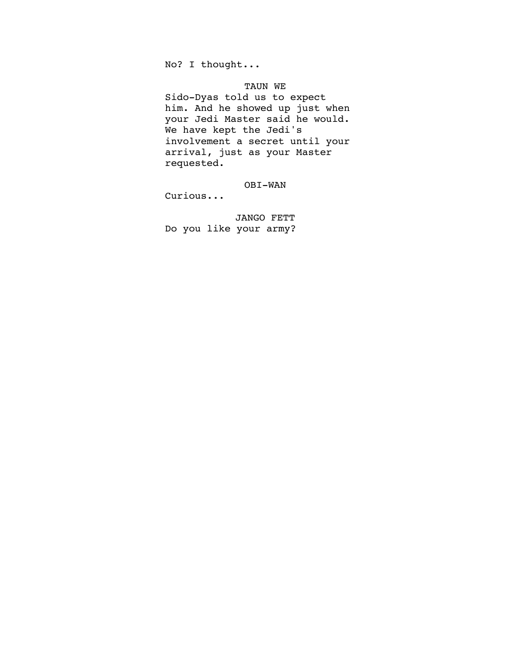No? I thought...

# TAUN WE

Sido-Dyas told us to expect him. And he showed up just when your Jedi Master said he would. We have kept the Jedi's involvement a secret until your arrival, just as your Master requested.

OBI-WAN

Curious...

JANGO FETT Do you like your army?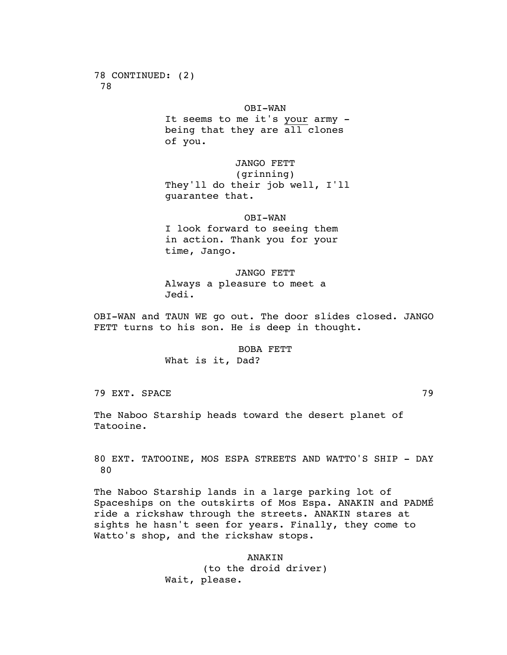78 CONTINUED: (2) 78

# OBI-WAN

It seems to me it's your army being that they are all clones of you.

# JANGO FETT

(grinning) They'll do their job well, I'll guarantee that.

#### OBI-WAN

I look forward to seeing them in action. Thank you for your time, Jango.

# JANGO FETT Always a pleasure to meet a Jedi.

OBI-WAN and TAUN WE go out. The door slides closed. JANGO FETT turns to his son. He is deep in thought.

#### BOBA FETT

What is it, Dad?

79 EXT. SPACE 79

The Naboo Starship heads toward the desert planet of Tatooine.

80 EXT. TATOOINE, MOS ESPA STREETS AND WATTO'S SHIP - DAY 80

The Naboo Starship lands in a large parking lot of Spaceships on the outskirts of Mos Espa. ANAKIN and PADMÉ ride a rickshaw through the streets. ANAKIN stares at sights he hasn't seen for years. Finally, they come to Watto's shop, and the rickshaw stops.

> ANAKIN (to the droid driver) Wait, please.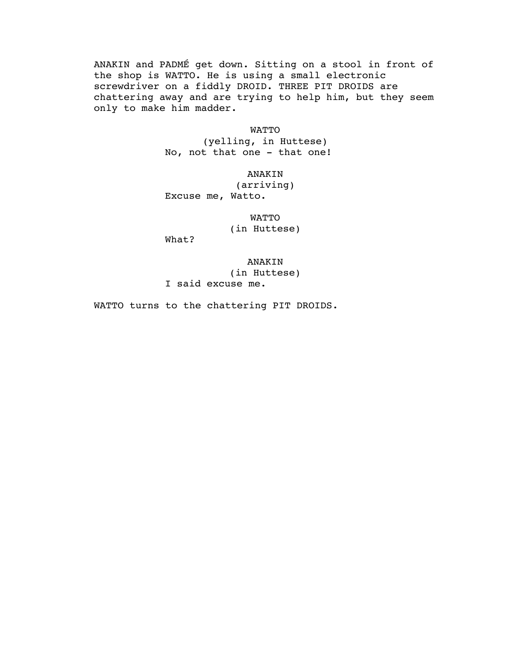ANAKIN and PADMÉ get down. Sitting on a stool in front of the shop is WATTO. He is using a small electronic screwdriver on a fiddly DROID. THREE PIT DROIDS are chattering away and are trying to help him, but they seem only to make him madder.

WATTO

(yelling, in Huttese) No, not that one - that one!

ANAKIN

(arriving)

Excuse me, Watto.

WATTO (in Huttese)

What?

ANAKIN (in Huttese) I said excuse me.

WATTO turns to the chattering PIT DROIDS.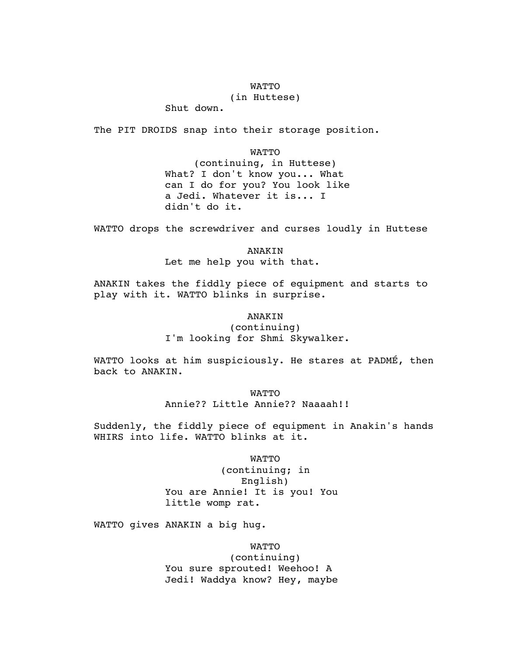# **WATTO**

# (in Huttese)

Shut down.

The PIT DROIDS snap into their storage position.

WATTO

(continuing, in Huttese) What? I don't know you... What can I do for you? You look like a Jedi. Whatever it is... I didn't do it.

WATTO drops the screwdriver and curses loudly in Huttese

ANAKIN Let me help you with that.

ANAKIN takes the fiddly piece of equipment and starts to play with it. WATTO blinks in surprise.

ANAKIN

(continuing) I'm looking for Shmi Skywalker.

WATTO looks at him suspiciously. He stares at PADMÉ, then back to ANAKIN.

> WATTO Annie?? Little Annie?? Naaaah!!

Suddenly, the fiddly piece of equipment in Anakin's hands WHIRS into life. WATTO blinks at it.

> WATTO (continuing; in English) You are Annie! It is you! You little womp rat.

WATTO gives ANAKIN a big hug.

WATTO (continuing) You sure sprouted! Weehoo! A Jedi! Waddya know? Hey, maybe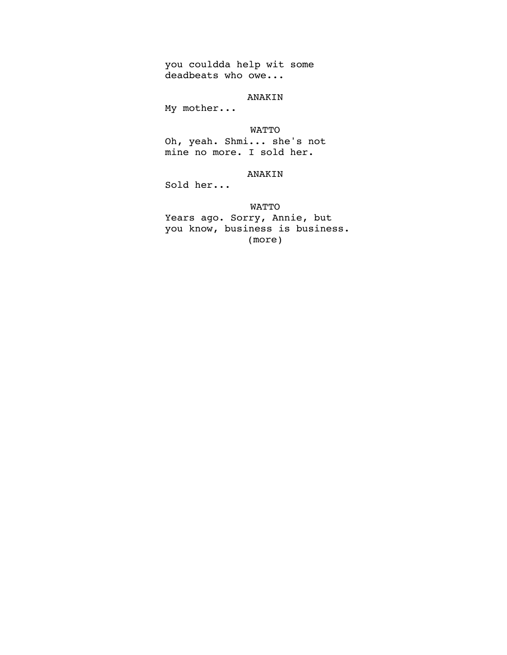you couldda help wit some deadbeats who owe...

# ANAKIN

My mother...

# WATTO

Oh, yeah. Shmi... she's not mine no more. I sold her.

# ANAKIN

Sold her...

WATTO Years ago. Sorry, Annie, but you know, business is business. (more)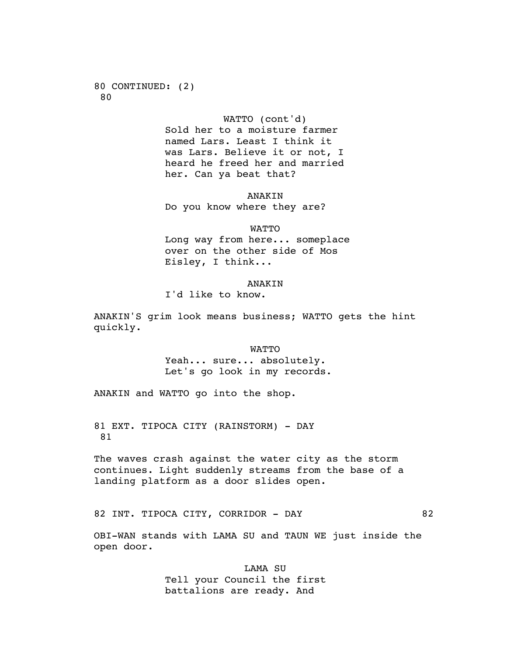80 CONTINUED: (2) 80

> WATTO (cont'd) Sold her to a moisture farmer named Lars. Least I think it was Lars. Believe it or not, I heard he freed her and married her. Can ya beat that?

ANAKIN Do you know where they are?

WATTO

Long way from here... someplace over on the other side of Mos Eisley, I think...

ANAKIN

I'd like to know.

ANAKIN'S grim look means business; WATTO gets the hint quickly.

WATTO

Yeah... sure... absolutely. Let's go look in my records.

ANAKIN and WATTO go into the shop.

81 EXT. TIPOCA CITY (RAINSTORM) - DAY 81

The waves crash against the water city as the storm continues. Light suddenly streams from the base of a landing platform as a door slides open.

82 INT. TIPOCA CITY, CORRIDOR - DAY 82

OBI-WAN stands with LAMA SU and TAUN WE just inside the open door.

> LAMA SU Tell your Council the first battalions are ready. And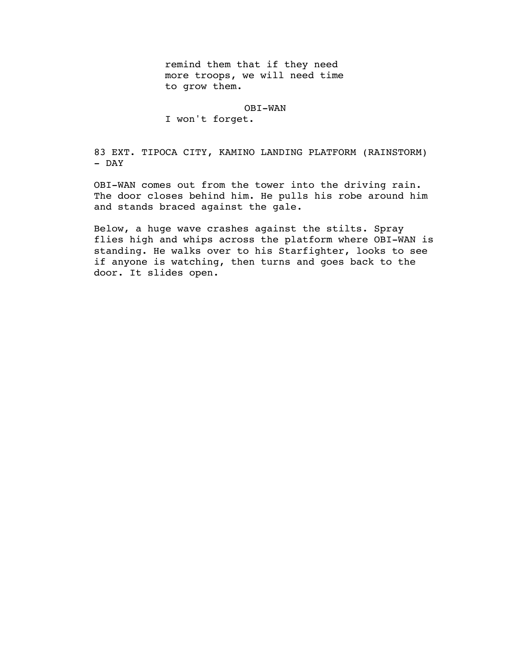remind them that if they need more troops, we will need time to grow them.

OBI-WAN

I won't forget.

83 EXT. TIPOCA CITY, KAMINO LANDING PLATFORM (RAINSTORM) - DAY

OBI-WAN comes out from the tower into the driving rain. The door closes behind him. He pulls his robe around him and stands braced against the gale.

Below, a huge wave crashes against the stilts. Spray flies high and whips across the platform where OBI-WAN is standing. He walks over to his Starfighter, looks to see if anyone is watching, then turns and goes back to the door. It slides open.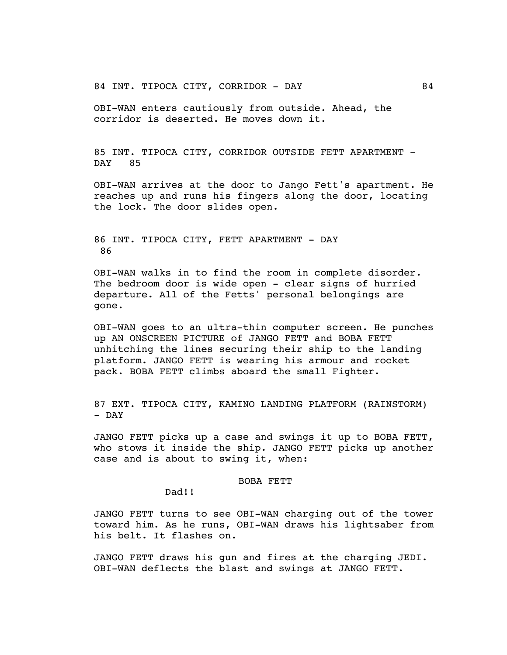84 INT. TIPOCA CITY, CORRIDOR - DAY 84

OBI-WAN enters cautiously from outside. Ahead, the corridor is deserted. He moves down it.

85 INT. TIPOCA CITY, CORRIDOR OUTSIDE FETT APARTMENT - DAY 85

OBI-WAN arrives at the door to Jango Fett's apartment. He reaches up and runs his fingers along the door, locating the lock. The door slides open.

86 INT. TIPOCA CITY, FETT APARTMENT - DAY 86

OBI-WAN walks in to find the room in complete disorder. The bedroom door is wide open - clear signs of hurried departure. All of the Fetts' personal belongings are gone.

OBI-WAN goes to an ultra-thin computer screen. He punches up AN ONSCREEN PICTURE of JANGO FETT and BOBA FETT unhitching the lines securing their ship to the landing platform. JANGO FETT is wearing his armour and rocket pack. BOBA FETT climbs aboard the small Fighter.

87 EXT. TIPOCA CITY, KAMINO LANDING PLATFORM (RAINSTORM) - DAY

JANGO FETT picks up a case and swings it up to BOBA FETT, who stows it inside the ship. JANGO FETT picks up another case and is about to swing it, when:

#### BOBA FETT

Dad!!

JANGO FETT turns to see OBI-WAN charging out of the tower toward him. As he runs, OBI-WAN draws his lightsaber from his belt. It flashes on.

JANGO FETT draws his gun and fires at the charging JEDI. OBI-WAN deflects the blast and swings at JANGO FETT.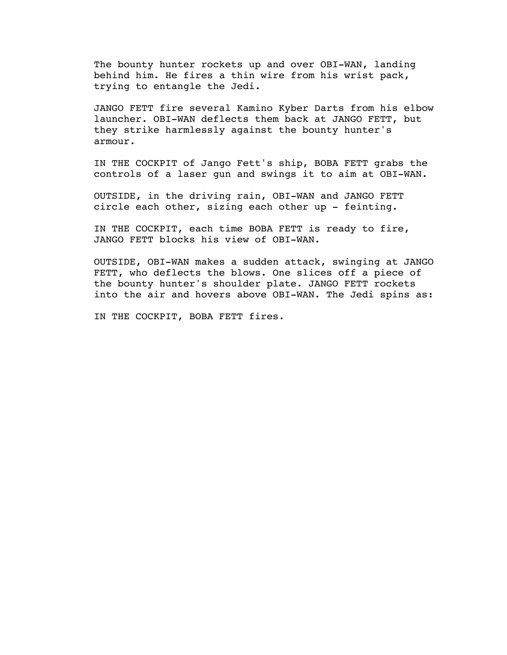The bounty hunter rockets up and over OBI-WAN, landing behind him. He fires a thin wire from his wrist pack, trying to entangle the Jedi.

JANGO FETT fire several Kamino Kyber Darts from his elbow launcher. OBI-WAN deflects them back at JANGO FETT, but they strike harmlessly against the bounty hunter's armour.

IN THE COCKPIT of Jango Fett's ship, BOBA FETT grabs the controls of a laser gun and swings it to aim at OBI-WAN.

OUTSIDE, in the driving rain, OBI-WAN and JANGO FETT circle each other, sizing each other up - feinting.

IN THE COCKPIT, each time BOBA FETT is ready to fire, JANGO FETT blocks his view of OBI-WAN.

OUTSIDE, OBI-WAN makes a sudden attack, swinging at JANGO FETT, who deflects the blows. One slices off a piece of the bounty hunter's shoulder plate. JANGO FETT rockets into the air and hovers above OBI-WAN. The Jedi spins as:

IN THE COCKPIT, BOBA FETT fires.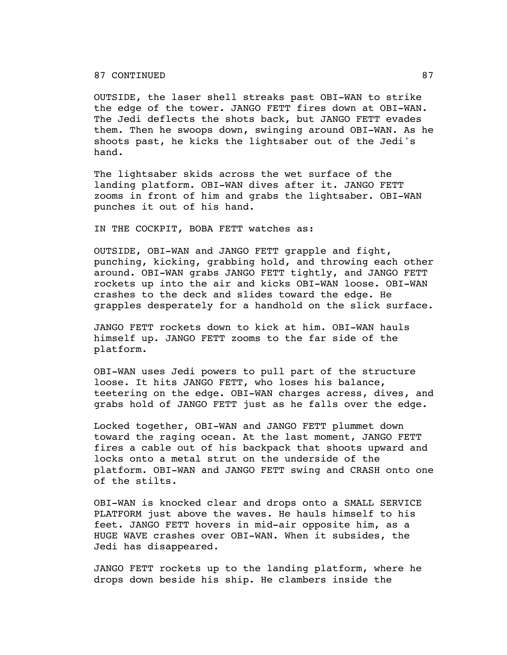#### 87 CONTINUED 87

OUTSIDE, the laser shell streaks past OBI-WAN to strike the edge of the tower. JANGO FETT fires down at OBI-WAN. The Jedi deflects the shots back, but JANGO FETT evades them. Then he swoops down, swinging around OBI-WAN. As he shoots past, he kicks the lightsaber out of the Jedi's hand.

The lightsaber skids across the wet surface of the landing platform. OBI-WAN dives after it. JANGO FETT zooms in front of him and grabs the lightsaber. OBI-WAN punches it out of his hand.

IN THE COCKPIT, BOBA FETT watches as:

OUTSIDE, OBI-WAN and JANGO FETT grapple and fight, punching, kicking, grabbing hold, and throwing each other around. OBI-WAN grabs JANGO FETT tightly, and JANGO FETT rockets up into the air and kicks OBI-WAN loose. OBI-WAN crashes to the deck and slides toward the edge. He grapples desperately for a handhold on the slick surface.

JANGO FETT rockets down to kick at him. OBI-WAN hauls himself up. JANGO FETT zooms to the far side of the platform.

OBI-WAN uses Jedi powers to pull part of the structure loose. It hits JANGO FETT, who loses his balance, teetering on the edge. OBI-WAN charges acress, dives, and grabs hold of JANGO FETT just as he falls over the edge.

Locked together, OBI-WAN and JANGO FETT plummet down toward the raging ocean. At the last moment, JANGO FETT fires a cable out of his backpack that shoots upward and locks onto a metal strut on the underside of the platform. OBI-WAN and JANGO FETT swing and CRASH onto one of the stilts.

OBI-WAN is knocked clear and drops onto a SMALL SERVICE PLATFORM just above the waves. He hauls himself to his feet. JANGO FETT hovers in mid-air opposite him, as a HUGE WAVE crashes over OBI-WAN. When it subsides, the Jedi has disappeared.

JANGO FETT rockets up to the landing platform, where he drops down beside his ship. He clambers inside the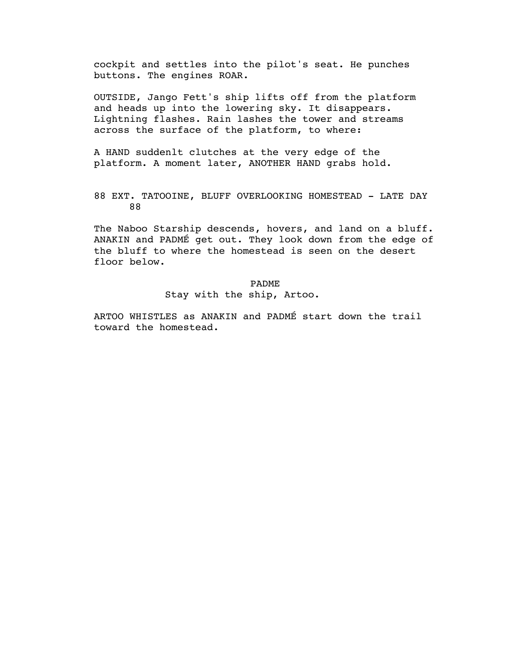cockpit and settles into the pilot's seat. He punches buttons. The engines ROAR.

OUTSIDE, Jango Fett's ship lifts off from the platform and heads up into the lowering sky. It disappears. Lightning flashes. Rain lashes the tower and streams across the surface of the platform, to where:

A HAND suddenlt clutches at the very edge of the platform. A moment later, ANOTHER HAND grabs hold.

88 EXT. TATOOINE, BLUFF OVERLOOKING HOMESTEAD - LATE DAY 88

The Naboo Starship descends, hovers, and land on a bluff. ANAKIN and PADMÉ get out. They look down from the edge of the bluff to where the homestead is seen on the desert floor below.

PADME

Stay with the ship, Artoo.

ARTOO WHISTLES as ANAKIN and PADMÉ start down the trail toward the homestead.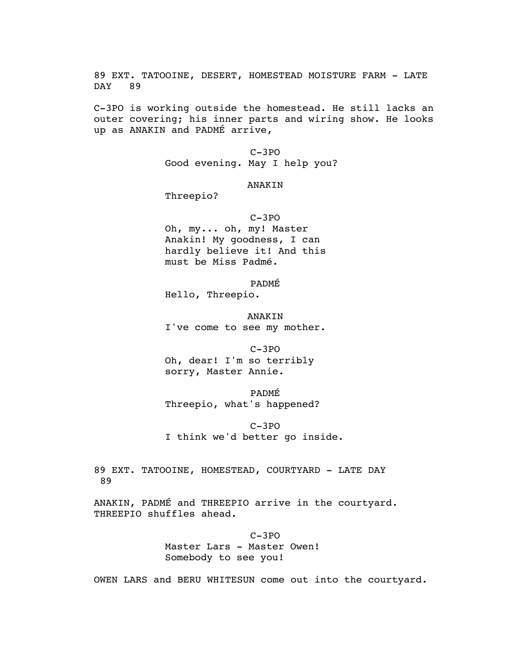89 EXT. TATOOINE, DESERT, HOMESTEAD MOISTURE FARM - LATE DAY 89

C-3PO is working outside the homestead. He still lacks an outer covering; his inner parts and wiring show. He looks up as ANAKIN and PADMÉ arrive,

C-3PO

Good evening. May I help you?

#### ANAKIN

Threepio?

# C-3PO

Oh, my... oh, my! Master Anakin! My goodness, I can hardly believe it! And this must be Miss Padmé.

PADMÉ

Hello, Threepio.

ANAKIN I've come to see my mother.

C-3PO

Oh, dear! I'm so terribly sorry, Master Annie.

PADMÉ Threepio, what's happened?

C-3PO I think we'd better go inside.

89 EXT. TATOOINE, HOMESTEAD, COURTYARD - LATE DAY 89

ANAKIN, PADMÉ and THREEPIO arrive in the courtyard. THREEPIO shuffles ahead.

> $C-3PO$ Master Lars - Master Owen! Somebody to see you!

OWEN LARS and BERU WHITESUN come out into the courtyard.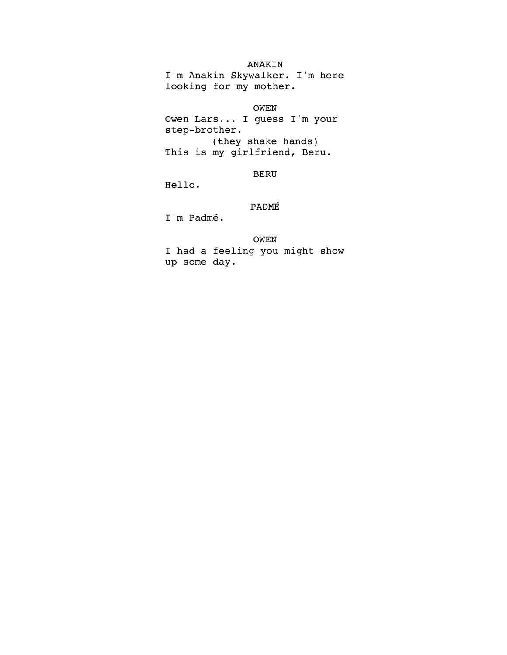# ANAKIN

I'm Anakin Skywalker. I'm here looking for my mother.

# OWEN

Owen Lars... I guess I'm your step-brother. (they shake hands) This is my girlfriend, Beru.

# BERU

Hello.

# PADMÉ

I'm Padmé.

OWEN

I had a feeling you might show up some day.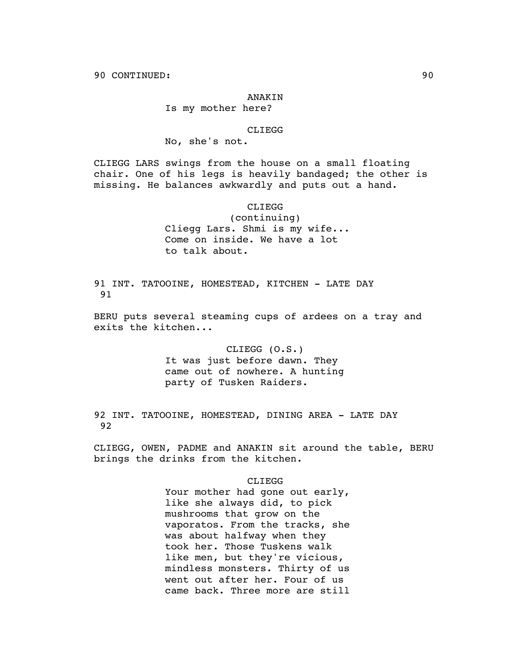### ANAKIN

# Is my mother here?

#### CLIEGG

# No, she's not.

CLIEGG LARS swings from the house on a small floating chair. One of his legs is heavily bandaged; the other is missing. He balances awkwardly and puts out a hand.

### CLIEGG

(continuing) Cliegg Lars. Shmi is my wife... Come on inside. We have a lot to talk about.

91 INT. TATOOINE, HOMESTEAD, KITCHEN - LATE DAY 91

BERU puts several steaming cups of ardees on a tray and exits the kitchen...

> CLIEGG (O.S.) It was just before dawn. They came out of nowhere. A hunting party of Tusken Raiders.

92 INT. TATOOINE, HOMESTEAD, DINING AREA - LATE DAY 92

CLIEGG, OWEN, PADME and ANAKIN sit around the table, BERU brings the drinks from the kitchen.

> CLIEGG Your mother had gone out early, like she always did, to pick mushrooms that grow on the vaporatos. From the tracks, she was about halfway when they took her. Those Tuskens walk like men, but they're vicious, mindless monsters. Thirty of us went out after her. Four of us came back. Three more are still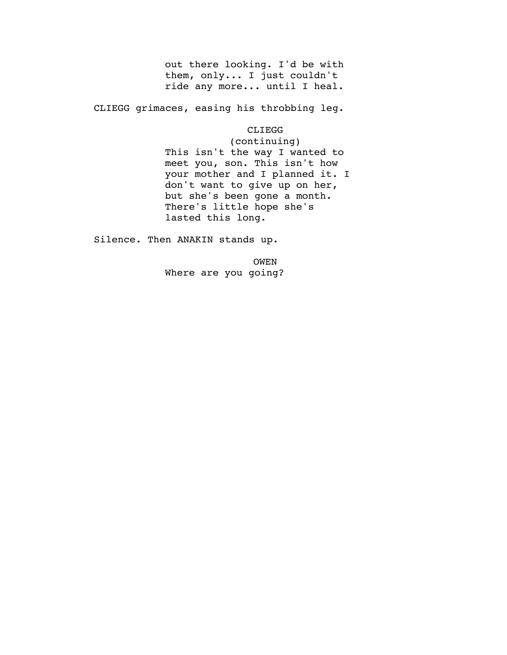out there looking. I'd be with them, only... I just couldn't ride any more... until I heal.

CLIEGG grimaces, easing his throbbing leg.

CLIEGG

(continuing) This isn't the way I wanted to meet you, son. This isn't how your mother and I planned it. I don't want to give up on her, but she's been gone a month. There's little hope she's lasted this long.

Silence. Then ANAKIN stands up.

OWEN Where are you going?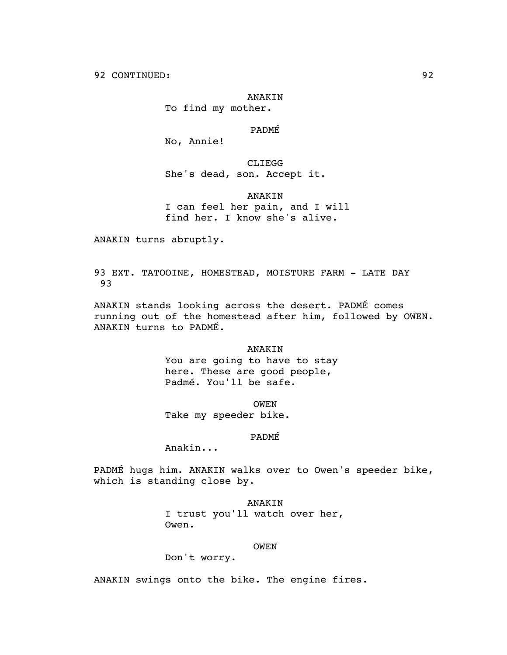### ANAKIN

To find my mother.

# PADMÉ

No, Annie!

CLIEGG She's dead, son. Accept it.

ANAKIN

I can feel her pain, and I will find her. I know she's alive.

ANAKIN turns abruptly.

93 EXT. TATOOINE, HOMESTEAD, MOISTURE FARM - LATE DAY 93

ANAKIN stands looking across the desert. PADMÉ comes running out of the homestead after him, followed by OWEN. ANAKIN turns to PADMÉ.

#### ANAKIN

You are going to have to stay here. These are good people, Padmé. You'll be safe.

OWEN

Take my speeder bike.

# PADMÉ

Anakin...

PADMÉ hugs him. ANAKIN walks over to Owen's speeder bike, which is standing close by.

> ANAKIN I trust you'll watch over her,

Owen.

# OWEN

Don't worry.

ANAKIN swings onto the bike. The engine fires.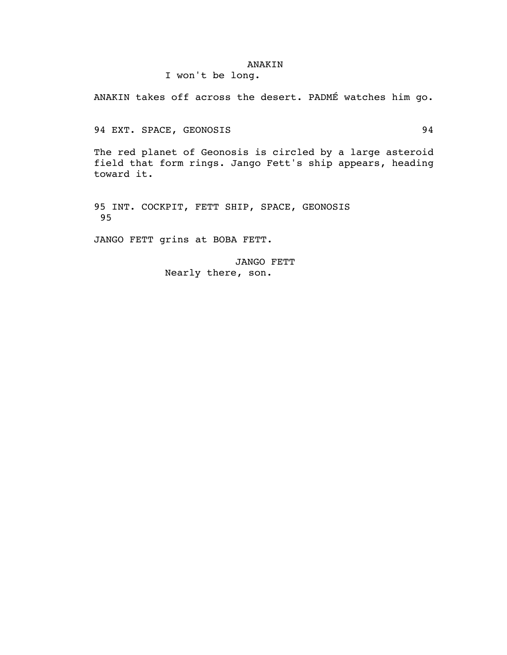# ANAKIN I won't be long.

ANAKIN takes off across the desert. PADMÉ watches him go.

94 EXT. SPACE, GEONOSIS 94

The red planet of Geonosis is circled by a large asteroid field that form rings. Jango Fett's ship appears, heading toward it.

95 INT. COCKPIT, FETT SHIP, SPACE, GEONOSIS 95

JANGO FETT grins at BOBA FETT.

JANGO FETT Nearly there, son.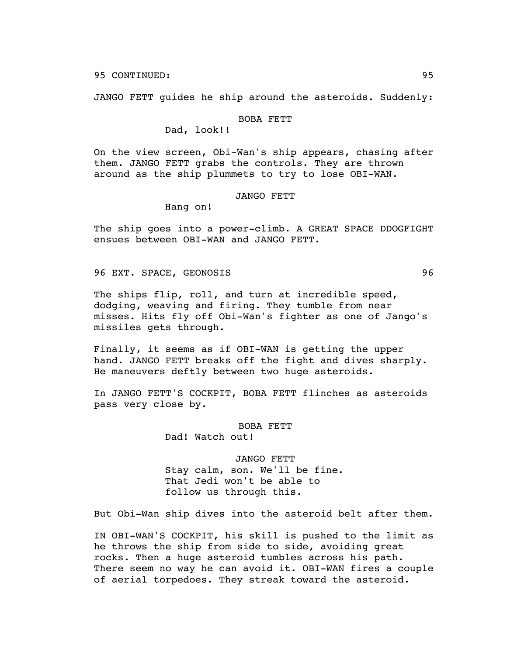JANGO FETT guides he ship around the asteroids. Suddenly:

#### BOBA FETT

# Dad, look!!

On the view screen, Obi-Wan's ship appears, chasing after them. JANGO FETT grabs the controls. They are thrown around as the ship plummets to try to lose OBI-WAN.

# JANGO FETT

Hang on!

The ship goes into a power-climb. A GREAT SPACE DDOGFIGHT ensues between OBI-WAN and JANGO FETT.

96 EXT. SPACE, GEONOSIS 96

The ships flip, roll, and turn at incredible speed, dodging, weaving and firing. They tumble from near misses. Hits fly off Obi-Wan's fighter as one of Jango's missiles gets through.

Finally, it seems as if OBI-WAN is getting the upper hand. JANGO FETT breaks off the fight and dives sharply. He maneuvers deftly between two huge asteroids.

In JANGO FETT'S COCKPIT, BOBA FETT flinches as asteroids pass very close by.

> BOBA FETT Dad! Watch out!

JANGO FETT Stay calm, son. We'll be fine. That Jedi won't be able to follow us through this.

But Obi-Wan ship dives into the asteroid belt after them.

IN OBI-WAN'S COCKPIT, his skill is pushed to the limit as he throws the ship from side to side, avoiding great rocks. Then a huge asteroid tumbles across his path. There seem no way he can avoid it. OBI-WAN fires a couple of aerial torpedoes. They streak toward the asteroid.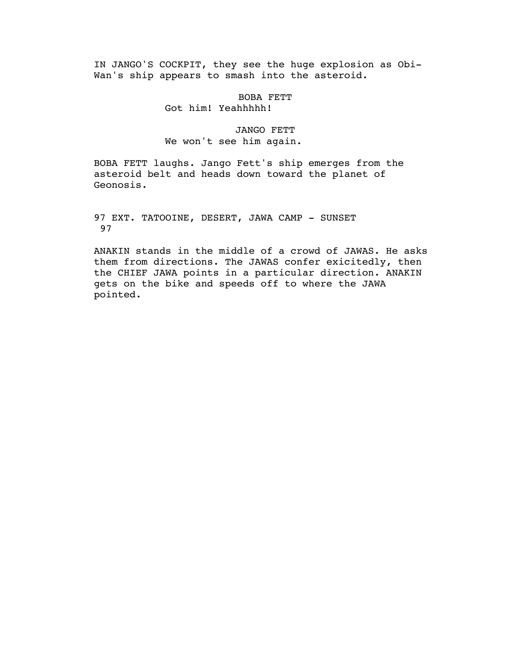IN JANGO'S COCKPIT, they see the huge explosion as Obi-Wan's ship appears to smash into the asteroid.

# BOBA FETT

# Got him! Yeahhhhh!

# JANGO FETT We won't see him again.

BOBA FETT laughs. Jango Fett's ship emerges from the asteroid belt and heads down toward the planet of Geonosis.

97 EXT. TATOOINE, DESERT, JAWA CAMP - SUNSET 97

ANAKIN stands in the middle of a crowd of JAWAS. He asks them from directions. The JAWAS confer exicitedly, then the CHIEF JAWA points in a particular direction. ANAKIN gets on the bike and speeds off to where the JAWA pointed.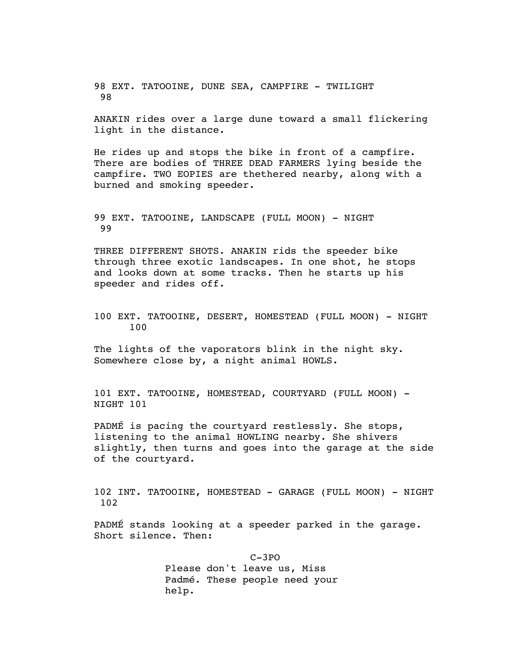98 EXT. TATOOINE, DUNE SEA, CAMPFIRE - TWILIGHT 98

ANAKIN rides over a large dune toward a small flickering light in the distance.

He rides up and stops the bike in front of a campfire. There are bodies of THREE DEAD FARMERS lying beside the campfire. TWO EOPIES are thethered nearby, along with a burned and smoking speeder.

99 EXT. TATOOINE, LANDSCAPE (FULL MOON) - NIGHT 99

THREE DIFFERENT SHOTS. ANAKIN rids the speeder bike through three exotic landscapes. In one shot, he stops and looks down at some tracks. Then he starts up his speeder and rides off.

100 EXT. TATOOINE, DESERT, HOMESTEAD (FULL MOON) - NIGHT 100

The lights of the vaporators blink in the night sky. Somewhere close by, a night animal HOWLS.

101 EXT. TATOOINE, HOMESTEAD, COURTYARD (FULL MOON) - NIGHT 101

PADMÉ is pacing the courtyard restlessly. She stops, listening to the animal HOWLING nearby. She shivers slightly, then turns and goes into the garage at the side of the courtyard.

102 INT. TATOOINE, HOMESTEAD - GARAGE (FULL MOON) - NIGHT 102

PADMÉ stands looking at a speeder parked in the garage. Short silence. Then:

> C-3PO Please don't leave us, Miss Padmé. These people need your help.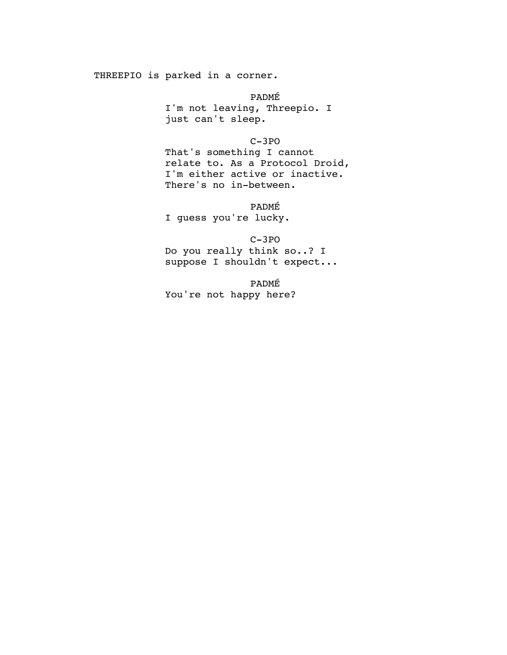THREEPIO is parked in a corner.

PADMÉ I'm not leaving, Threepio. I just can't sleep.

C-3PO That's something I cannot relate to. As a Protocol Droid, I'm either active or inactive. There's no in-between.

PADMÉ I guess you're lucky.

C-3PO Do you really think so..? I suppose I shouldn't expect...

PADMÉ You're not happy here?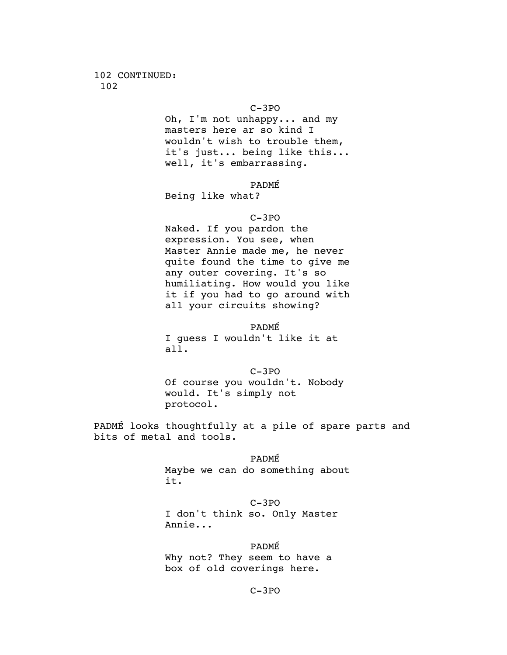102 CONTINUED: 102

# C-3PO

Oh, I'm not unhappy... and my masters here ar so kind I wouldn't wish to trouble them, it's just... being like this... well, it's embarrassing.

PADMÉ

Being like what?

# C-3PO

Naked. If you pardon the expression. You see, when Master Annie made me, he never quite found the time to give me any outer covering. It's so humiliating. How would you like it if you had to go around with all your circuits showing?

PADMÉ I guess I wouldn't like it at all.

C-3PO Of course you wouldn't. Nobody would. It's simply not protocol.

PADMÉ looks thoughtfully at a pile of spare parts and bits of metal and tools.

### PADMÉ

Maybe we can do something about it.

#### C-3PO

I don't think so. Only Master Annie...

### PADMÉ

Why not? They seem to have a box of old coverings here.

# C-3PO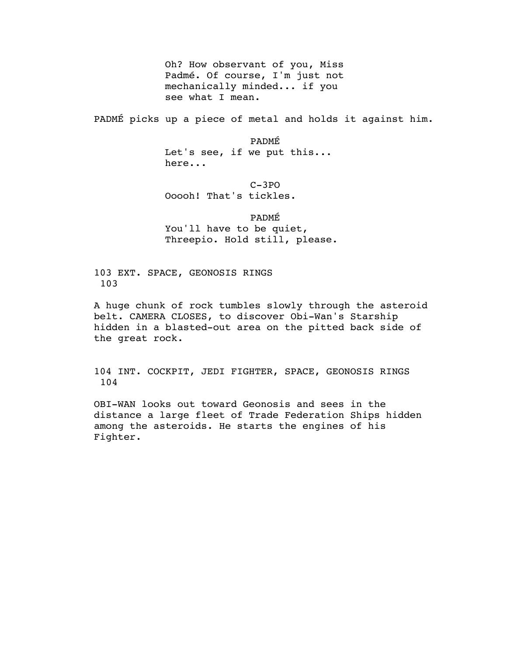Oh? How observant of you, Miss Padmé. Of course, I'm just not mechanically minded... if you see what I mean.

PADMÉ picks up a piece of metal and holds it against him.

PADMÉ Let's see, if we put this... here...

C-3PO Ooooh! That's tickles.

PADMÉ

You'll have to be quiet, Threepio. Hold still, please.

103 EXT. SPACE, GEONOSIS RINGS 103

A huge chunk of rock tumbles slowly through the asteroid belt. CAMERA CLOSES, to discover Obi-Wan's Starship hidden in a blasted-out area on the pitted back side of the great rock.

104 INT. COCKPIT, JEDI FIGHTER, SPACE, GEONOSIS RINGS 104

OBI-WAN looks out toward Geonosis and sees in the distance a large fleet of Trade Federation Ships hidden among the asteroids. He starts the engines of his Fighter.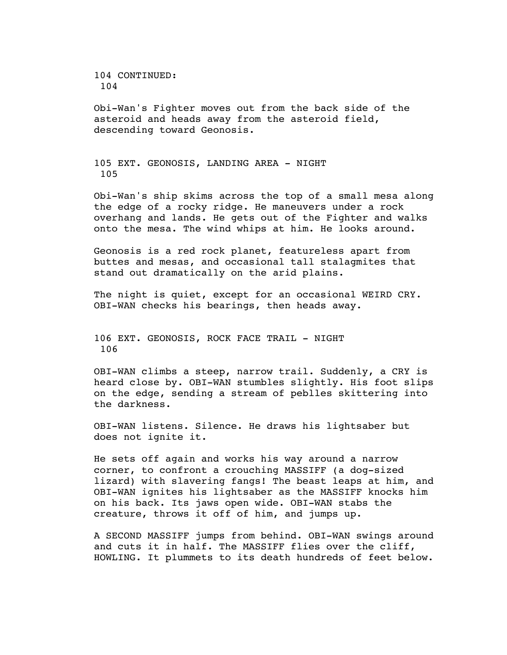104 CONTINUED: 104

Obi-Wan's Fighter moves out from the back side of the asteroid and heads away from the asteroid field, descending toward Geonosis.

105 EXT. GEONOSIS, LANDING AREA - NIGHT 105

Obi-Wan's ship skims across the top of a small mesa along the edge of a rocky ridge. He maneuvers under a rock overhang and lands. He gets out of the Fighter and walks onto the mesa. The wind whips at him. He looks around.

Geonosis is a red rock planet, featureless apart from buttes and mesas, and occasional tall stalagmites that stand out dramatically on the arid plains.

The night is quiet, except for an occasional WEIRD CRY. OBI-WAN checks his bearings, then heads away.

106 EXT. GEONOSIS, ROCK FACE TRAIL - NIGHT 106

OBI-WAN climbs a steep, narrow trail. Suddenly, a CRY is heard close by. OBI-WAN stumbles slightly. His foot slips on the edge, sending a stream of peblles skittering into the darkness.

OBI-WAN listens. Silence. He draws his lightsaber but does not ignite it.

He sets off again and works his way around a narrow corner, to confront a crouching MASSIFF (a dog-sized lizard) with slavering fangs! The beast leaps at him, and OBI-WAN ignites his lightsaber as the MASSIFF knocks him on his back. Its jaws open wide. OBI-WAN stabs the creature, throws it off of him, and jumps up.

A SECOND MASSIFF jumps from behind. OBI-WAN swings around and cuts it in half. The MASSIFF flies over the cliff, HOWLING. It plummets to its death hundreds of feet below.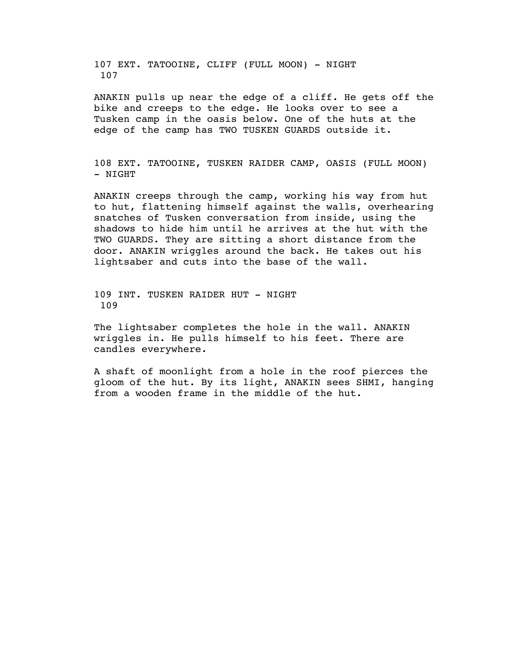107 EXT. TATOOINE, CLIFF (FULL MOON) - NIGHT 107

ANAKIN pulls up near the edge of a cliff. He gets off the bike and creeps to the edge. He looks over to see a Tusken camp in the oasis below. One of the huts at the edge of the camp has TWO TUSKEN GUARDS outside it.

108 EXT. TATOOINE, TUSKEN RAIDER CAMP, OASIS (FULL MOON) - NIGHT

ANAKIN creeps through the camp, working his way from hut to hut, flattening himself against the walls, overhearing snatches of Tusken conversation from inside, using the shadows to hide him until he arrives at the hut with the TWO GUARDS. They are sitting a short distance from the door. ANAKIN wriggles around the back. He takes out his lightsaber and cuts into the base of the wall.

109 INT. TUSKEN RAIDER HUT - NIGHT 109

The lightsaber completes the hole in the wall. ANAKIN wriggles in. He pulls himself to his feet. There are candles everywhere.

A shaft of moonlight from a hole in the roof pierces the gloom of the hut. By its light, ANAKIN sees SHMI, hanging from a wooden frame in the middle of the hut.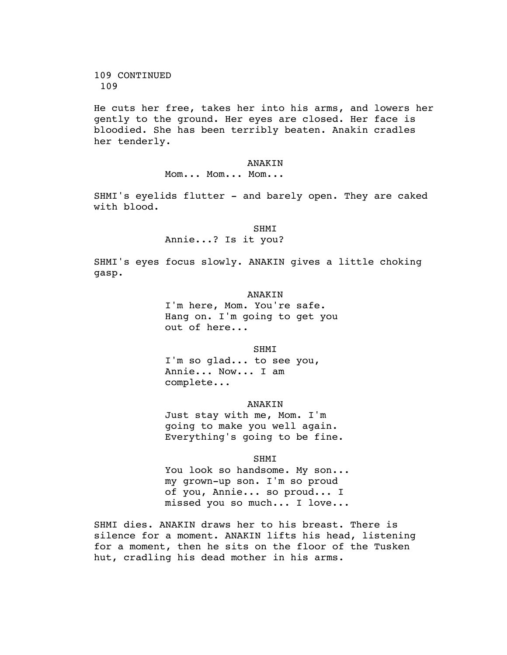109 CONTINUED 109

He cuts her free, takes her into his arms, and lowers her gently to the ground. Her eyes are closed. Her face is bloodied. She has been terribly beaten. Anakin cradles her tenderly.

#### ANAKIN

Mom... Mom... Mom...

SHMI's eyelids flutter - and barely open. They are caked with blood.

SHMI

Annie...? Is it you?

SHMI's eyes focus slowly. ANAKIN gives a little choking gasp.

ANAKIN

I'm here, Mom. You're safe. Hang on. I'm going to get you out of here...

SHMI

I'm so glad... to see you, Annie... Now... I am complete...

ANAKIN

Just stay with me, Mom. I'm going to make you well again. Everything's going to be fine.

SHMI

You look so handsome. My son... my grown-up son. I'm so proud of you, Annie... so proud... I missed you so much... I love...

SHMI dies. ANAKIN draws her to his breast. There is silence for a moment. ANAKIN lifts his head, listening for a moment, then he sits on the floor of the Tusken hut, cradling his dead mother in his arms.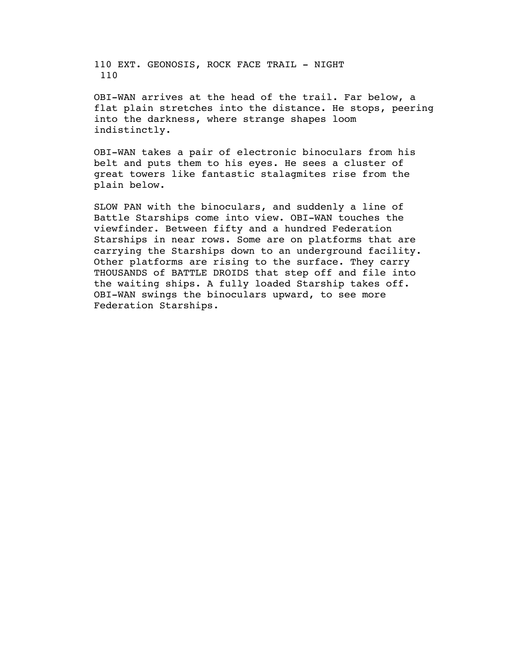110 EXT. GEONOSIS, ROCK FACE TRAIL - NIGHT 110

OBI-WAN arrives at the head of the trail. Far below, a flat plain stretches into the distance. He stops, peering into the darkness, where strange shapes loom indistinctly.

OBI-WAN takes a pair of electronic binoculars from his belt and puts them to his eyes. He sees a cluster of great towers like fantastic stalagmites rise from the plain below.

SLOW PAN with the binoculars, and suddenly a line of Battle Starships come into view. OBI-WAN touches the viewfinder. Between fifty and a hundred Federation Starships in near rows. Some are on platforms that are carrying the Starships down to an underground facility. Other platforms are rising to the surface. They carry THOUSANDS of BATTLE DROIDS that step off and file into the waiting ships. A fully loaded Starship takes off. OBI-WAN swings the binoculars upward, to see more Federation Starships.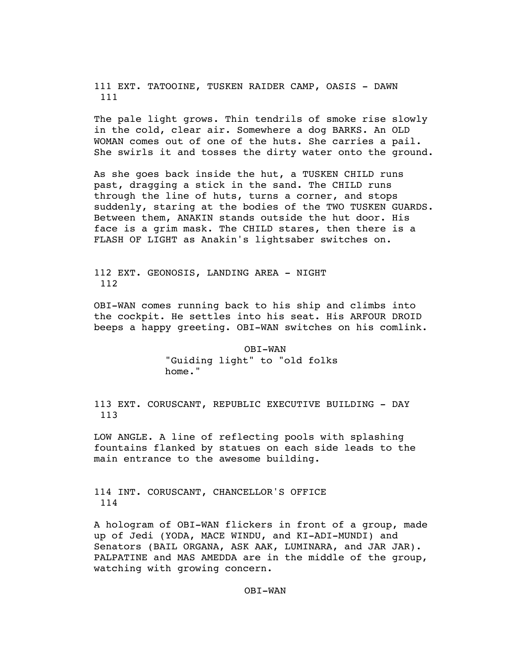111 EXT. TATOOINE, TUSKEN RAIDER CAMP, OASIS - DAWN 111

The pale light grows. Thin tendrils of smoke rise slowly in the cold, clear air. Somewhere a dog BARKS. An OLD WOMAN comes out of one of the huts. She carries a pail. She swirls it and tosses the dirty water onto the ground.

As she goes back inside the hut, a TUSKEN CHILD runs past, dragging a stick in the sand. The CHILD runs through the line of huts, turns a corner, and stops suddenly, staring at the bodies of the TWO TUSKEN GUARDS. Between them, ANAKIN stands outside the hut door. His face is a grim mask. The CHILD stares, then there is a FLASH OF LIGHT as Anakin's lightsaber switches on.

112 EXT. GEONOSIS, LANDING AREA - NIGHT 112

OBI-WAN comes running back to his ship and climbs into the cockpit. He settles into his seat. His ARFOUR DROID beeps a happy greeting. OBI-WAN switches on his comlink.

> OBI-WAN "Guiding light" to "old folks home."

113 EXT. CORUSCANT, REPUBLIC EXECUTIVE BUILDING - DAY 113

LOW ANGLE. A line of reflecting pools with splashing fountains flanked by statues on each side leads to the main entrance to the awesome building.

114 INT. CORUSCANT, CHANCELLOR'S OFFICE 114

A hologram of OBI-WAN flickers in front of a group, made up of Jedi (YODA, MACE WINDU, and KI-ADI-MUNDI) and Senators (BAIL ORGANA, ASK AAK, LUMINARA, and JAR JAR). PALPATINE and MAS AMEDDA are in the middle of the group, watching with growing concern.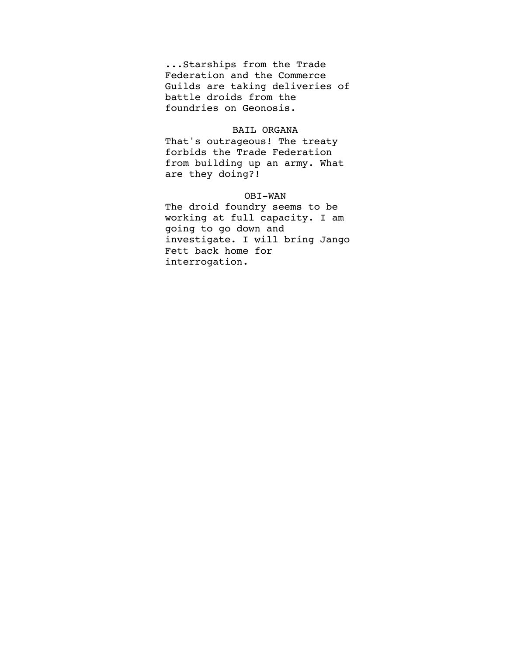...Starships from the Trade Federation and the Commerce Guilds are taking deliveries of battle droids from the foundries on Geonosis.

# BAIL ORGANA

That's outrageous! The treaty forbids the Trade Federation from building up an army. What are they doing?!

# OBI-WAN

The droid foundry seems to be working at full capacity. I am going to go down and investigate. I will bring Jango Fett back home for interrogation.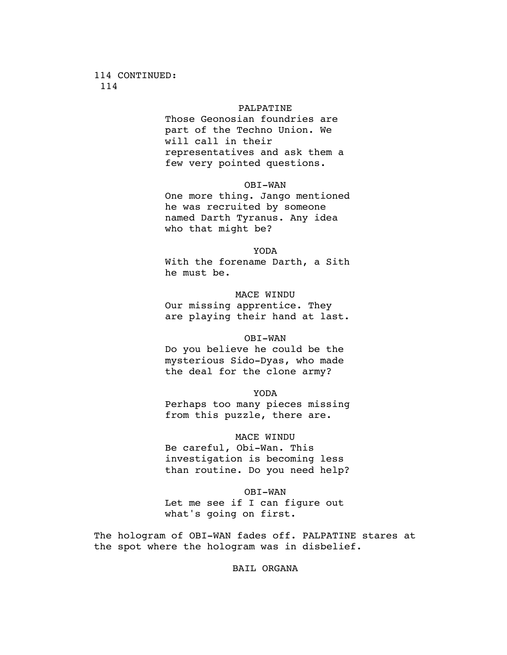114 CONTINUED: 114

### PALPATINE

Those Geonosian foundries are part of the Techno Union. We will call in their representatives and ask them a few very pointed questions.

### OBI-WAN

One more thing. Jango mentioned he was recruited by someone named Darth Tyranus. Any idea who that might be?

#### YODA

With the forename Darth, a Sith he must be.

#### MACE WINDU

Our missing apprentice. They are playing their hand at last.

#### OBI-WAN

Do you believe he could be the mysterious Sido-Dyas, who made the deal for the clone army?

YODA Perhaps too many pieces missing from this puzzle, there are.

### MACE WINDU

Be careful, Obi-Wan. This investigation is becoming less than routine. Do you need help?

#### OBI-WAN

Let me see if I can figure out what's going on first.

The hologram of OBI-WAN fades off. PALPATINE stares at the spot where the hologram was in disbelief.

BAIL ORGANA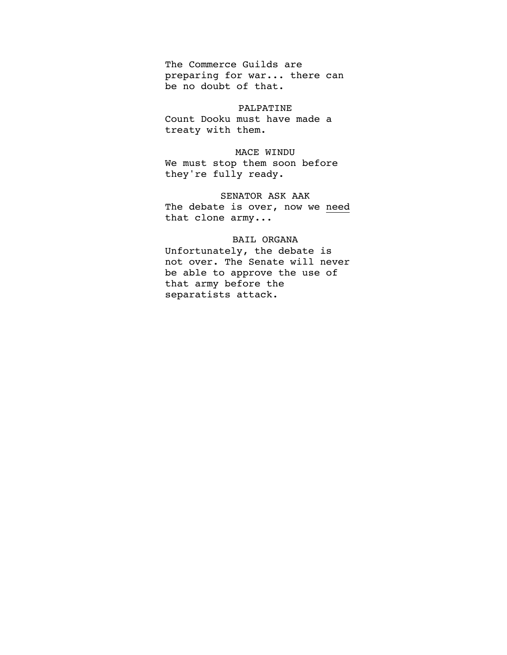The Commerce Guilds are preparing for war... there can be no doubt of that.

# PALPATINE

Count Dooku must have made a treaty with them.

### MACE WINDU

We must stop them soon before they're fully ready.

# SENATOR ASK AAK

The debate is over, now we need that clone army...

## BAIL ORGANA

Unfortunately, the debate is not over. The Senate will never be able to approve the use of that army before the separatists attack.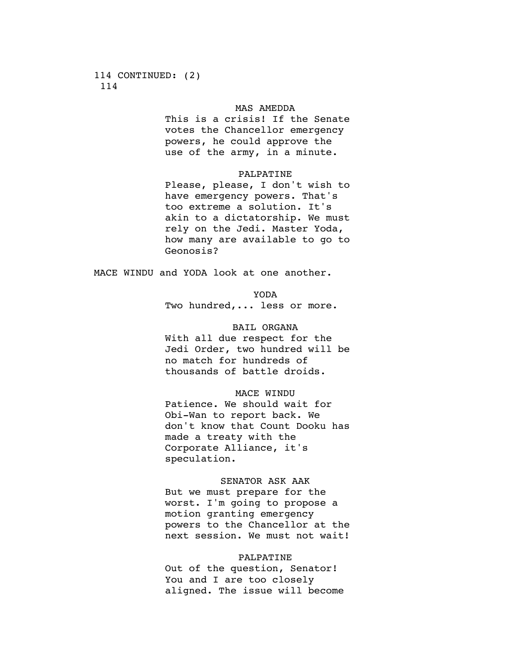# 114 CONTINUED: (2) 114

#### MAS AMEDDA

This is a crisis! If the Senate votes the Chancellor emergency powers, he could approve the use of the army, in a minute.

#### PALPATINE

Please, please, I don't wish to have emergency powers. That's too extreme a solution. It's akin to a dictatorship. We must rely on the Jedi. Master Yoda, how many are available to go to Geonosis?

MACE WINDU and YODA look at one another.

YODA

Two hundred,... less or more.

#### BAIL ORGANA

With all due respect for the Jedi Order, two hundred will be no match for hundreds of thousands of battle droids.

### MACE WINDU

Patience. We should wait for Obi-Wan to report back. We don't know that Count Dooku has made a treaty with the Corporate Alliance, it's speculation.

# SENATOR ASK AAK

But we must prepare for the worst. I'm going to propose a motion granting emergency powers to the Chancellor at the next session. We must not wait!

#### PALPATINE

Out of the question, Senator! You and I are too closely aligned. The issue will become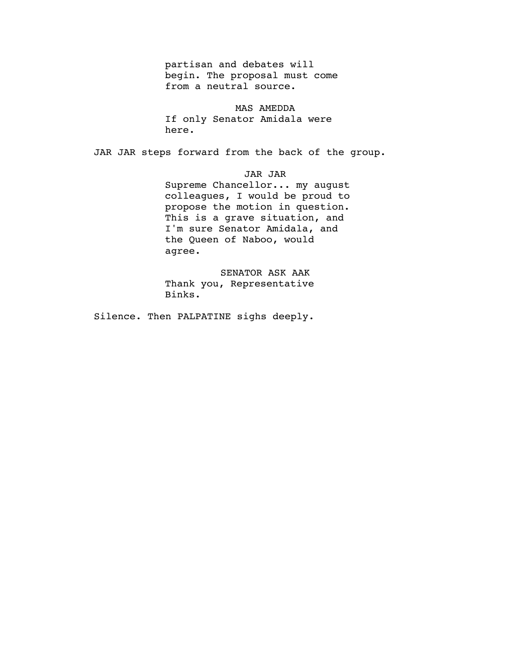partisan and debates will begin. The proposal must come from a neutral source.

MAS AMEDDA If only Senator Amidala were here.

JAR JAR steps forward from the back of the group.

JAR JAR Supreme Chancellor... my august colleagues, I would be proud to propose the motion in question. This is a grave situation, and I'm sure Senator Amidala, and the Queen of Naboo, would agree.

SENATOR ASK AAK Thank you, Representative Binks.

Silence. Then PALPATINE sighs deeply.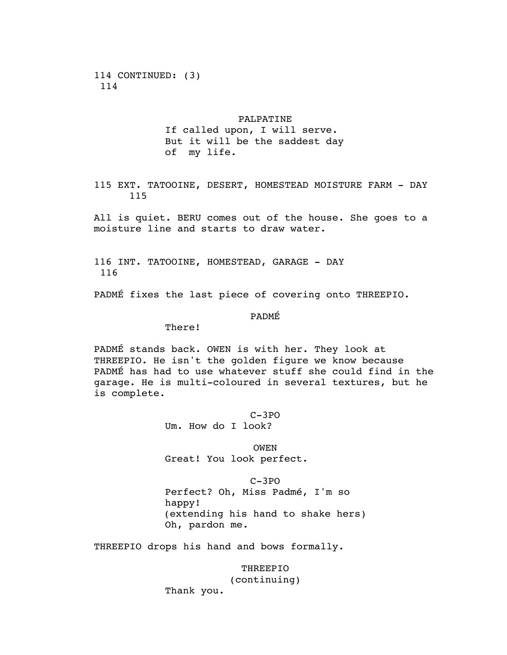114 CONTINUED: (3) 114

#### PALPATINE

If called upon, I will serve. But it will be the saddest day of my life.

115 EXT. TATOOINE, DESERT, HOMESTEAD MOISTURE FARM - DAY 115

All is quiet. BERU comes out of the house. She goes to a moisture line and starts to draw water.

116 INT. TATOOINE, HOMESTEAD, GARAGE - DAY 116

PADMÉ fixes the last piece of covering onto THREEPIO.

### PADMÉ

There!

PADMÉ stands back. OWEN is with her. They look at THREEPIO. He isn't the golden figure we know because PADMÉ has had to use whatever stuff she could find in the garage. He is multi-coloured in several textures, but he is complete.

> C-3PO Um. How do I look?

**OWEN** Great! You look perfect.

C-3PO Perfect? Oh, Miss Padmé, I'm so happy! (extending his hand to shake hers) Oh, pardon me.

THREEPIO drops his hand and bows formally.

THREEPIO (continuing) Thank you.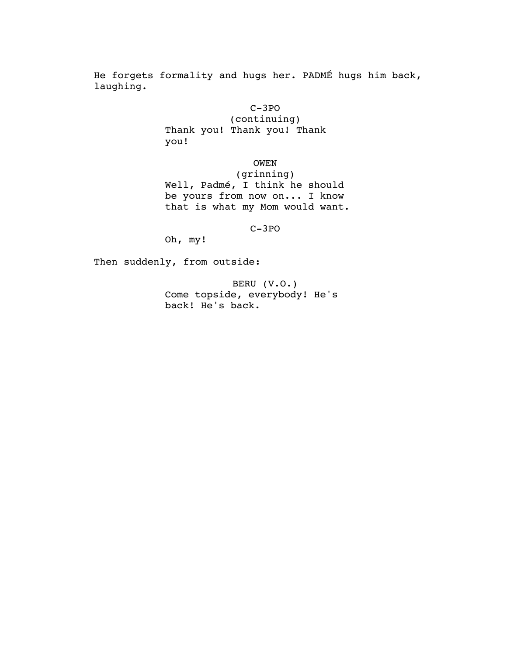He forgets formality and hugs her. PADMÉ hugs him back, laughing.

# C-3PO

(continuing) Thank you! Thank you! Thank you!

OWEN (grinning) Well, Padmé, I think he should be yours from now on... I know that is what my Mom would want.

C-3PO

Oh, my!

Then suddenly, from outside:

BERU (V.O.) Come topside, everybody! He's back! He's back.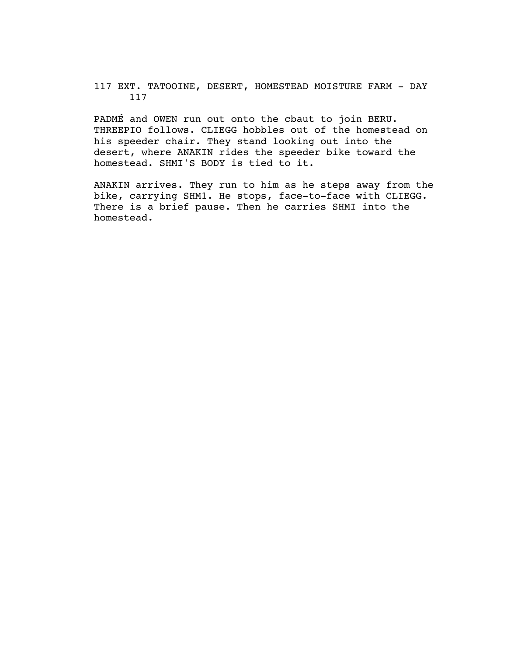# 117 EXT. TATOOINE, DESERT, HOMESTEAD MOISTURE FARM - DAY 117

PADMÉ and OWEN run out onto the cbaut to join BERU. THREEPIO follows. CLIEGG hobbles out of the homestead on his speeder chair. They stand looking out into the desert, where ANAKIN rides the speeder bike toward the homestead. SHMI'S BODY is tied to it.

ANAKIN arrives. They run to him as he steps away from the bike, carrying SHM1. He stops, face-to-face with CLIEGG. There is a brief pause. Then he carries SHMI into the homestead.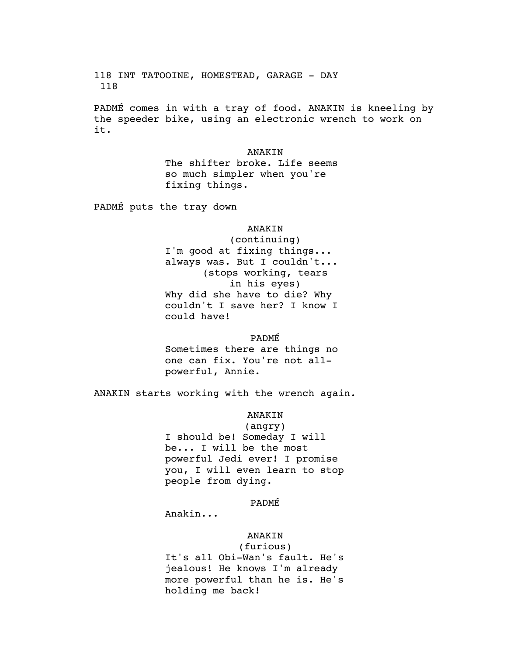118 INT TATOOINE, HOMESTEAD, GARAGE - DAY 118

PADMÉ comes in with a tray of food. ANAKIN is kneeling by the speeder bike, using an electronic wrench to work on it.

> **ANAKIN** The shifter broke. Life seems so much simpler when you're fixing things.

PADMÉ puts the tray down

#### ANAKIN

(continuing) I'm good at fixing things... always was. But I couldn't... (stops working, tears in his eyes) Why did she have to die? Why couldn't I save her? I know I could have!

### PADMÉ

Sometimes there are things no one can fix. You're not allpowerful, Annie.

ANAKIN starts working with the wrench again.

# ANAKIN

(angry) I should be! Someday I will be... I will be the most powerful Jedi ever! I promise you, I will even learn to stop people from dying.

PADMÉ

Anakin...

# ANAKIN

### (furious)

It's all Obi-Wan's fault. He's jealous! He knows I'm already more powerful than he is. He's holding me back!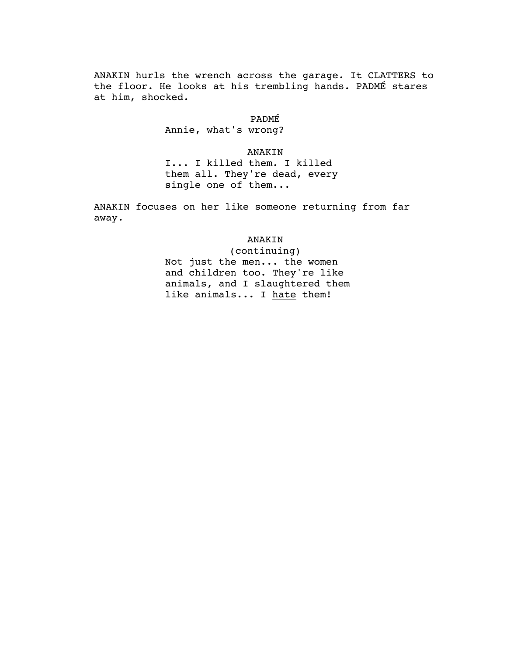ANAKIN hurls the wrench across the garage. It CLATTERS to the floor. He looks at his trembling hands. PADMÉ stares at him, shocked.

PADMÉ

Annie, what's wrong?

ANAKIN

I... I killed them. I killed them all. They're dead, every single one of them...

ANAKIN focuses on her like someone returning from far away.

ANAKIN

(continuing) Not just the men... the women and children too. They're like animals, and I slaughtered them like animals... I hate them!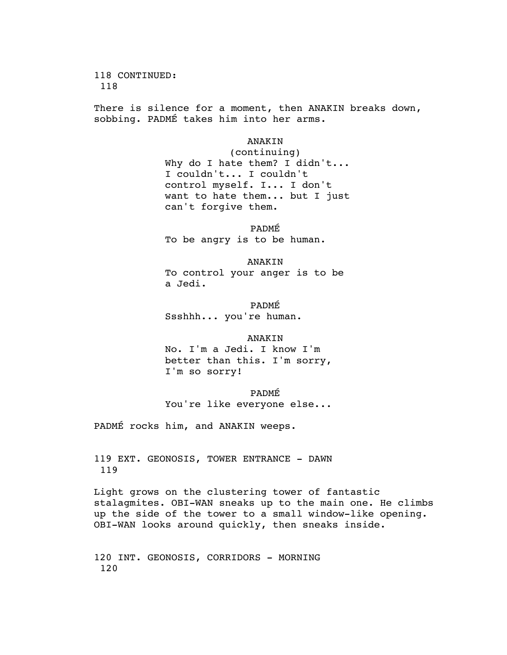118 CONTINUED: 118

There is silence for a moment, then ANAKIN breaks down, sobbing. PADMÉ takes him into her arms.

ANAKIN

(continuing) Why do I hate them? I didn't... I couldn't... I couldn't control myself. I... I don't want to hate them... but I just can't forgive them.

PADMÉ To be angry is to be human.

ANAKIN To control your anger is to be a Jedi.

PADMÉ Ssshhh... you're human.

ANAKIN No. I'm a Jedi. I know I'm better than this. I'm sorry, I'm so sorry!

PADMÉ You're like everyone else...

PADMÉ rocks him, and ANAKIN weeps.

119 EXT. GEONOSIS, TOWER ENTRANCE - DAWN 119

Light grows on the clustering tower of fantastic stalagmites. OBI-WAN sneaks up to the main one. He climbs up the side of the tower to a small window-like opening. OBI-WAN looks around quickly, then sneaks inside.

120 INT. GEONOSIS, CORRIDORS - MORNING 120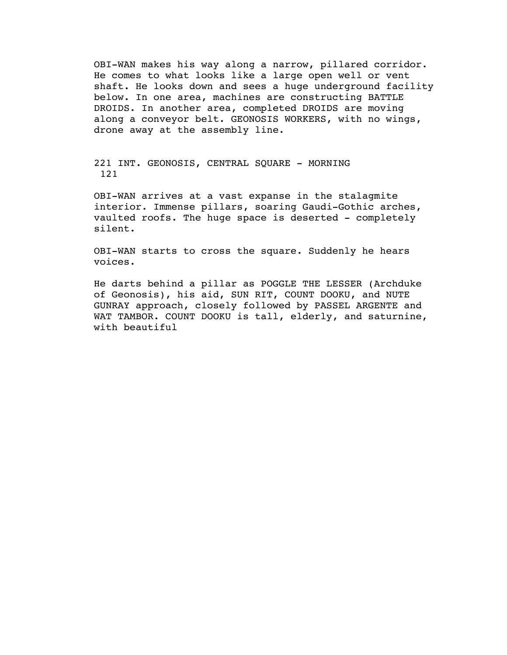OBI-WAN makes his way along a narrow, pillared corridor. He comes to what looks like a large open well or vent shaft. He looks down and sees a huge underground facility below. In one area, machines are constructing BATTLE DROIDS. In another area, completed DROIDS are moving along a conveyor belt. GEONOSIS WORKERS, with no wings, drone away at the assembly line.

221 INT. GEONOSIS, CENTRAL SQUARE - MORNING 121

OBI-WAN arrives at a vast expanse in the stalagmite interior. Immense pillars, soaring Gaudi-Gothic arches, vaulted roofs. The huge space is deserted - completely silent.

OBI-WAN starts to cross the square. Suddenly he hears voices.

He darts behind a pillar as POGGLE THE LESSER (Archduke of Geonosis), his aid, SUN RIT, COUNT DOOKU, and NUTE GUNRAY approach, closely followed by PASSEL ARGENTE and WAT TAMBOR. COUNT DOOKU is tall, elderly, and saturnine, with beautiful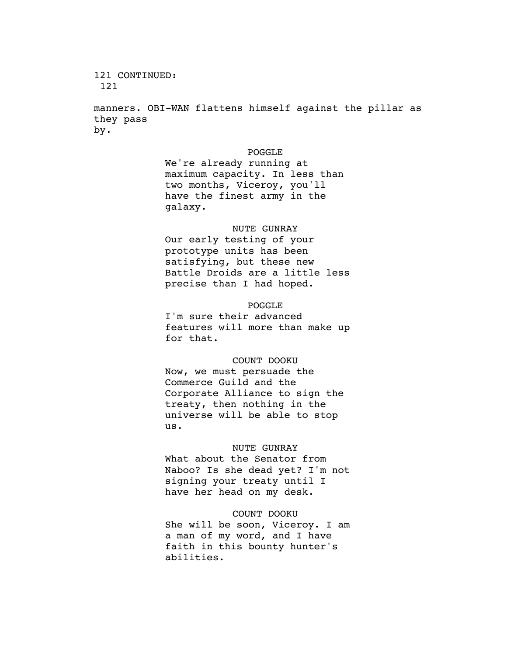121 CONTINUED: 121

manners. OBI-WAN flattens himself against the pillar as they pass by.

#### POGGLE

We're already running at maximum capacity. In less than two months, Viceroy, you'll have the finest army in the galaxy.

#### NUTE GUNRAY

Our early testing of your prototype units has been satisfying, but these new Battle Droids are a little less precise than I had hoped.

#### POGGLE

I'm sure their advanced features will more than make up for that.

COUNT DOOKU Now, we must persuade the Commerce Guild and the Corporate Alliance to sign the treaty, then nothing in the universe will be able to stop us.

### NUTE GUNRAY

What about the Senator from Naboo? Is she dead yet? I'm not signing your treaty until I have her head on my desk.

# COUNT DOOKU

She will be soon, Viceroy. I am a man of my word, and I have faith in this bounty hunter's abilities.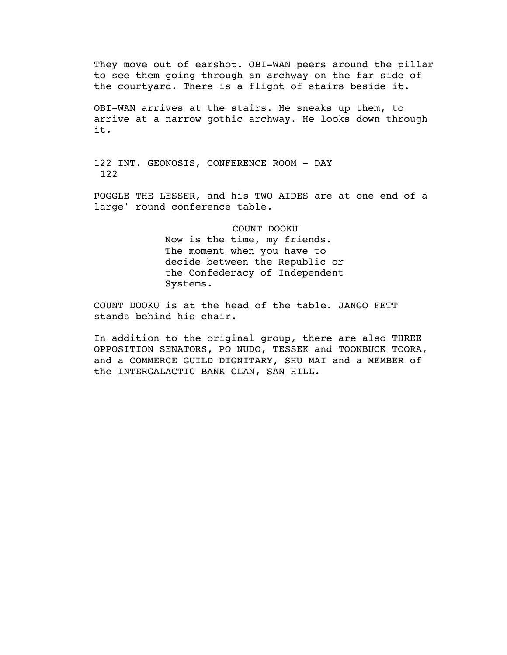They move out of earshot. OBI-WAN peers around the pillar to see them going through an archway on the far side of the courtyard. There is a flight of stairs beside it.

OBI-WAN arrives at the stairs. He sneaks up them, to arrive at a narrow gothic archway. He looks down through it.

122 INT. GEONOSIS, CONFERENCE ROOM - DAY 122

POGGLE THE LESSER, and his TWO AIDES are at one end of a large' round conference table.

> COUNT DOOKU Now is the time, my friends. The moment when you have to decide between the Republic or the Confederacy of Independent Systems.

COUNT DOOKU is at the head of the table. JANGO FETT stands behind his chair.

In addition to the original group, there are also THREE OPPOSITION SENATORS, PO NUDO, TESSEK and TOONBUCK TOORA, and a COMMERCE GUILD DIGNITARY, SHU MAI and a MEMBER of the INTERGALACTIC BANK CLAN, SAN HILL.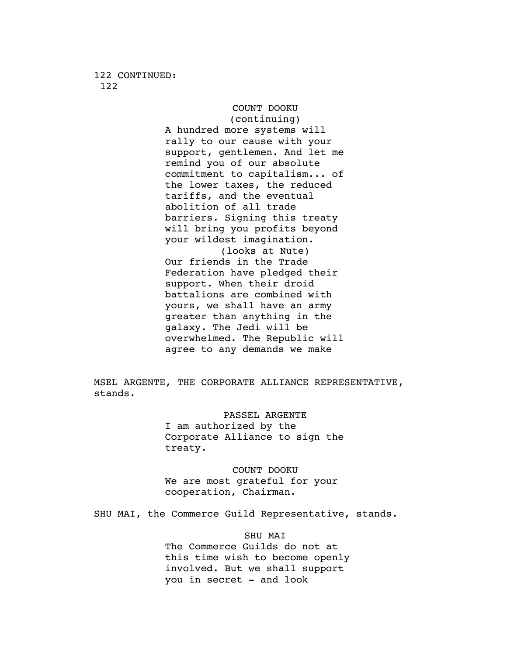122 CONTINUED: 122

> COUNT DOOKU (continuing) A hundred more systems will rally to our cause with your support, gentlemen. And let me remind you of our absolute commitment to capitalism... of the lower taxes, the reduced tariffs, and the eventual abolition of all trade barriers. Signing this treaty will bring you profits beyond your wildest imagination. (looks at Nute) Our friends in the Trade Federation have pledged their support. When their droid battalions are combined with yours, we shall have an army greater than anything in the galaxy. The Jedi will be overwhelmed. The Republic will agree to any demands we make

MSEL ARGENTE, THE CORPORATE ALLIANCE REPRESENTATIVE, stands.

> PASSEL ARGENTE I am authorized by the Corporate Alliance to sign the treaty.

COUNT DOOKU We are most grateful for your cooperation, Chairman.

SHU MAI, the Commerce Guild Representative, stands.

SHU MAT The Commerce Guilds do not at this time wish to become openly involved. But we shall support you in secret - and look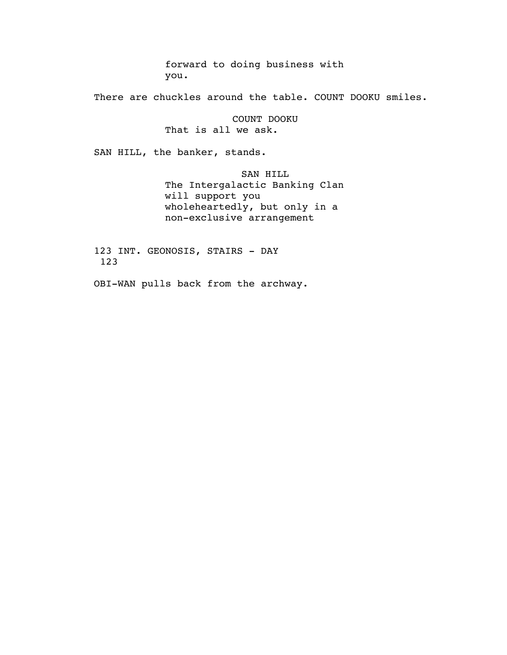forward to doing business with you.

There are chuckles around the table. COUNT DOOKU smiles.

COUNT DOOKU That is all we ask.

SAN HILL, the banker, stands.

SAN HILL The Intergalactic Banking Clan will support you wholeheartedly, but only in a non-exclusive arrangement

123 INT. GEONOSIS, STAIRS - DAY 123

OBI-WAN pulls back from the archway.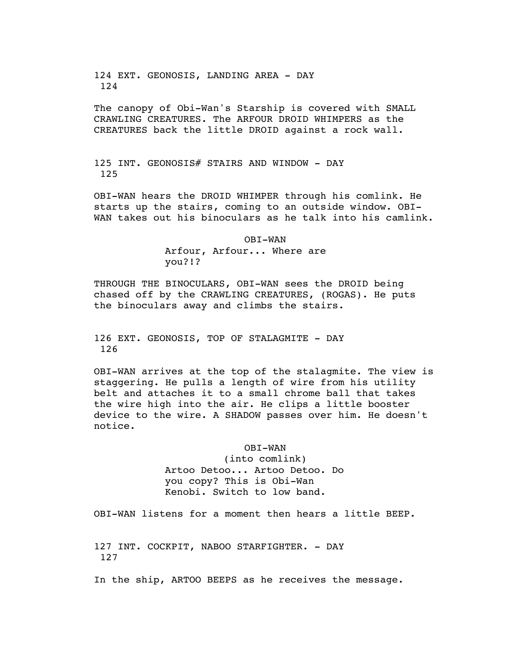124 EXT. GEONOSIS, LANDING AREA - DAY 124

The canopy of Obi-Wan's Starship is covered with SMALL CRAWLING CREATURES. The ARFOUR DROID WHIMPERS as the CREATURES back the little DROID against a rock wall.

125 INT. GEONOSIS# STAIRS AND WINDOW - DAY 125

OBI-WAN hears the DROID WHIMPER through his comlink. He starts up the stairs, coming to an outside window. OBI-WAN takes out his binoculars as he talk into his camlink.

> OBI-WAN Arfour, Arfour... Where are you?!?

THROUGH THE BINOCULARS, OBI-WAN sees the DROID being chased off by the CRAWLING CREATURES, (ROGAS). He puts the binoculars away and climbs the stairs.

126 EXT. GEONOSIS, TOP OF STALAGMITE - DAY 126

OBI-WAN arrives at the top of the stalagmite. The view is staggering. He pulls a length of wire from his utility belt and attaches it to a small chrome ball that takes the wire high into the air. He clips a little booster device to the wire. A SHADOW passes over him. He doesn't notice.

> OBI-WAN (into comlink) Artoo Detoo... Artoo Detoo. Do you copy? This is Obi-Wan Kenobi. Switch to low band.

OBI-WAN listens for a moment then hears a little BEEP.

127 INT. COCKPIT, NABOO STARFIGHTER. - DAY 127

In the ship, ARTOO BEEPS as he receives the message.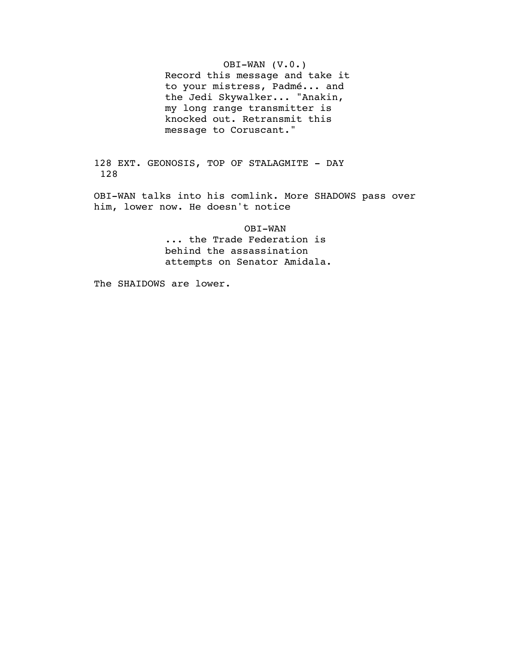OBI-WAN (V.0.) Record this message and take it to your mistress, Padmé... and the Jedi Skywalker... "Anakin, my long range transmitter is knocked out. Retransmit this message to Coruscant."

128 EXT. GEONOSIS, TOP OF STALAGMITE - DAY 128

OBI-WAN talks into his comlink. More SHADOWS pass over him, lower now. He doesn't notice

> OBI-WAN ... the Trade Federation is behind the assassination attempts on Senator Amidala.

The SHAIDOWS are lower.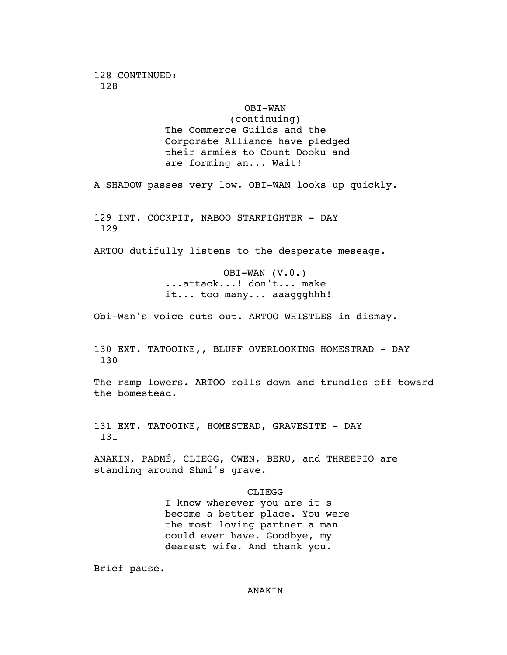128 CONTINUED: 128

### OBI-WAN

(continuing) The Commerce Guilds and the Corporate Alliance have pledged their armies to Count Dooku and are forming an... Wait!

A SHADOW passes very low. OBI-WAN looks up quickly.

129 INT. COCKPIT, NABOO STARFIGHTER - DAY 129

ARTOO dutifully listens to the desperate meseage.

OBI-WAN (V.0.) ...attack...! don't... make it... too many... aaaggghhh!

Obi-Wan's voice cuts out. ARTOO WHISTLES in dismay.

130 EXT. TATOOINE,, BLUFF OVERLOOKING HOMESTRAD - DAY 130

The ramp lowers. ARTOO rolls down and trundles off toward the bomestead.

131 EXT. TATOOINE, HOMESTEAD, GRAVESITE - DAY 131

ANAKIN, PADMÉ, CLIEGG, OWEN, BERU, and THREEPIO are standinq around Shmi's grave.

# CLIEGG

I know wherever you are it's become a better place. You were the most loving partner a man could ever have. Goodbye, my dearest wife. And thank you.

Brief pause.

ANAKIN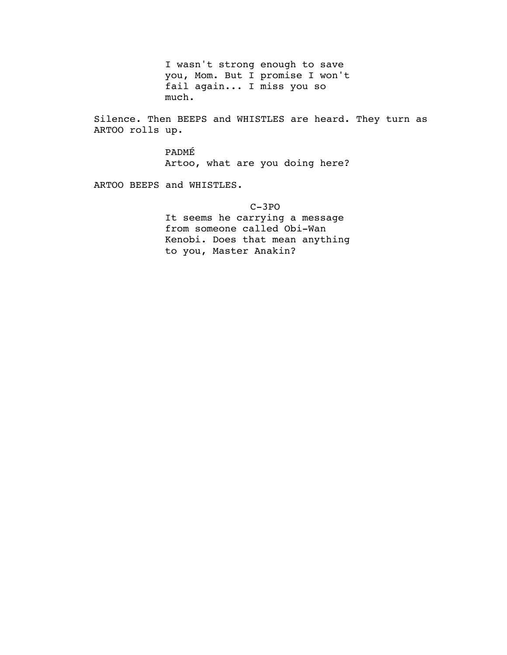I wasn't strong enough to save you, Mom. But I promise I won't fail again... I miss you so much.

Silence. Then BEEPS and WHISTLES are heard. They turn as ARTOO rolls up.

> PADMÉ Artoo, what are you doing here?

ARTOO BEEPS and WHISTLES.

C-3PO It seems he carrying a message from someone called Obi-Wan Kenobi. Does that mean anything to you, Master Anakin?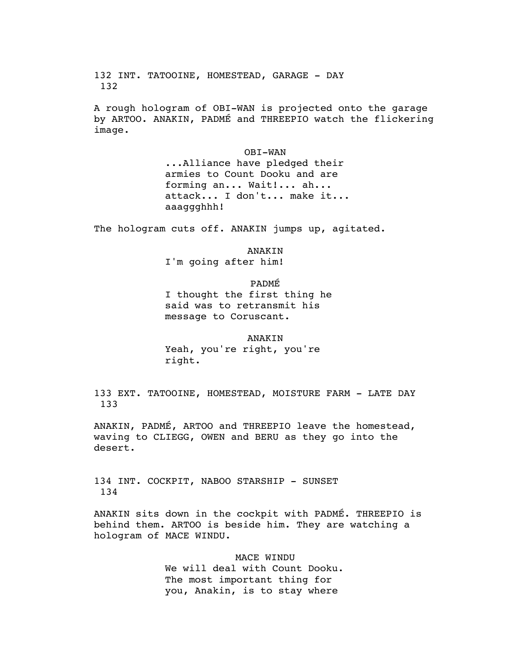132 INT. TATOOINE, HOMESTEAD, GARAGE - DAY 132

A rough hologram of OBI-WAN is projected onto the garage by ARTOO. ANAKIN, PADMÉ and THREEPIO watch the flickering image.

> OBI-WAN ...Alliance have pledged their armies to Count Dooku and are forming an... Wait!... ah... attack... I don't... make it... aaaggghhh!

The hologram cuts off. ANAKIN jumps up, agitated.

ANAKIN

I'm going after him!

PADMÉ

I thought the first thing he said was to retransmit his message to Coruscant.

ANAKIN Yeah, you're right, you're right.

133 EXT. TATOOINE, HOMESTEAD, MOISTURE FARM - LATE DAY 133

ANAKIN, PADMÉ, ARTOO and THREEPIO leave the homestead, waving to CLIEGG, OWEN and BERU as they go into the desert.

134 INT. COCKPIT, NABOO STARSHIP - SUNSET 134

ANAKIN sits down in the cockpit with PADMÉ. THREEPIO is behind them. ARTOO is beside him. They are watching a hologram of MACE WINDU.

> MACE WINDU We will deal with Count Dooku. The most important thing for you, Anakin, is to stay where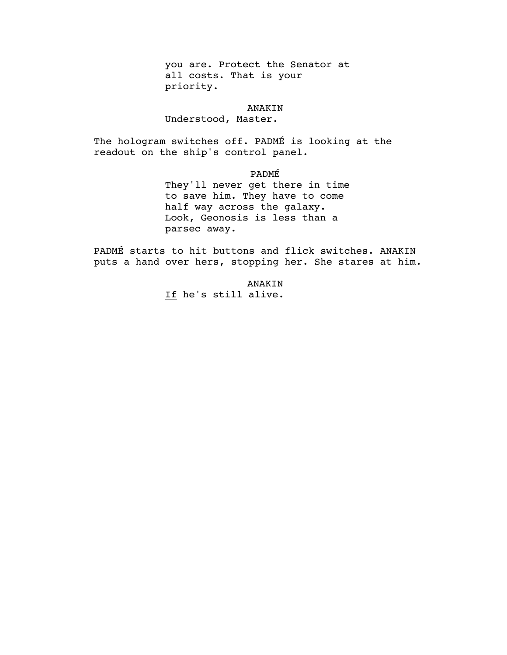you are. Protect the Senator at all costs. That is your priority.

# ANAKIN

Understood, Master.

The hologram switches off. PADMÉ is looking at the readout on the ship's control panel.

PADMÉ

They'll never get there in time to save him. They have to come half way across the galaxy. Look, Geonosis is less than a parsec away.

PADMÉ starts to hit buttons and flick switches. ANAKIN puts a hand over hers, stopping her. She stares at him.

> ANAKIN If he's still alive.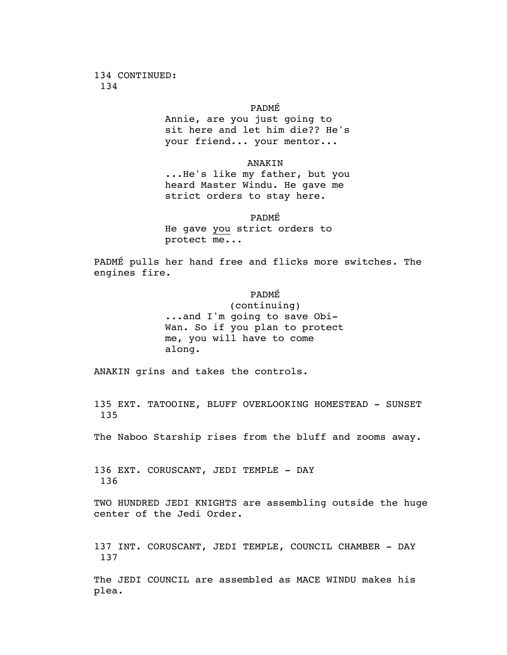#### PADMÉ

Annie, are you just going to sit here and let him die?? He's your friend... your mentor...

ANAKIN

...He's like my father, but you heard Master Windu. He gave me strict orders to stay here.

PADMÉ

He gave you strict orders to protect me...

PADMÉ pulls her hand free and flicks more switches. The engines fire.

PADMÉ

(continuing) ...and I'm going to save Obi-Wan. So if you plan to protect me, you will have to come along.

ANAKIN grins and takes the controls.

135 EXT. TATOOINE, BLUFF OVERLOOKING HOMESTEAD - SUNSET 135

The Naboo Starship rises from the bluff and zooms away.

136 EXT. CORUSCANT, JEDI TEMPLE - DAY 136

TWO HUNDRED JEDI KNIGHTS are assembling outside the huge center of the Jedi Order.

137 INT. CORUSCANT, JEDI TEMPLE, COUNCIL CHAMBER - DAY 137

The JEDI COUNCIL are assembled as MACE WINDU makes his plea.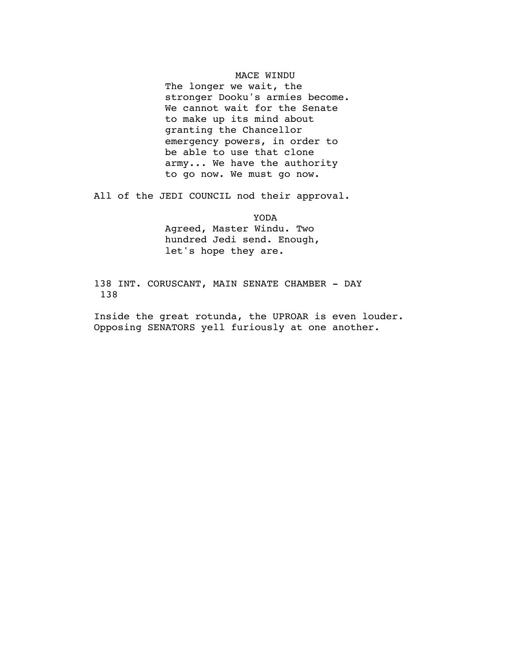# MACE WINDU

The longer we wait, the stronger Dooku's armies become. We cannot wait for the Senate to make up its mind about granting the Chancellor emergency powers, in order to be able to use that clone army... We have the authority to go now. We must go now.

All of the JEDI COUNCIL nod their approval.

YODA Agreed, Master Windu. Two hundred Jedi send. Enough, let's hope they are.

138 INT. CORUSCANT, MAIN SENATE CHAMBER - DAY 138

Inside the great rotunda, the UPROAR is even louder. Opposing SENATORS yell furiously at one another.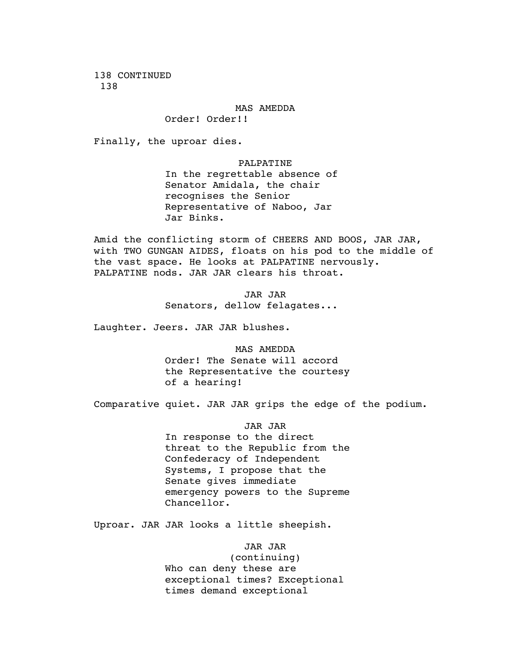# MAS AMEDDA

Order! Order!!

Finally, the uproar dies.

PALPATINE In the regrettable absence of Senator Amidala, the chair recognises the Senior Representative of Naboo, Jar Jar Binks.

Amid the conflicting storm of CHEERS AND BOOS, JAR JAR, with TWO GUNGAN AIDES, floats on his pod to the middle of the vast space. He looks at PALPATINE nervously. PALPATINE nods. JAR JAR clears his throat.

> JAR JAR Senators, dellow felagates...

Laughter. Jeers. JAR JAR blushes.

MAS AMEDDA Order! The Senate will accord the Representative the courtesy of a hearing!

Comparative quiet. JAR JAR grips the edge of the podium.

JAR JAR In response to the direct threat to the Republic from the Confederacy of Independent Systems, I propose that the Senate gives immediate emergency powers to the Supreme Chancellor.

Uproar. JAR JAR looks a little sheepish.

JAR JAR (continuing) Who can deny these are exceptional times? Exceptional times demand exceptional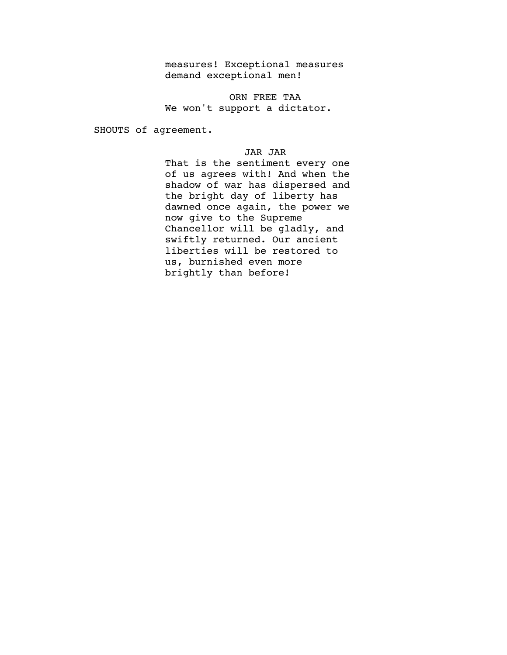measures! Exceptional measures demand exceptional men!

ORN FREE TAA We won't support a dictator.

SHOUTS of agreement.

## JAR JAR

That is the sentiment every one of us agrees with! And when the shadow of war has dispersed and the bright day of liberty has dawned once again, the power we now give to the Supreme Chancellor will be gladly, and swiftly returned. Our ancient liberties will be restored to us, burnished even more brightly than before!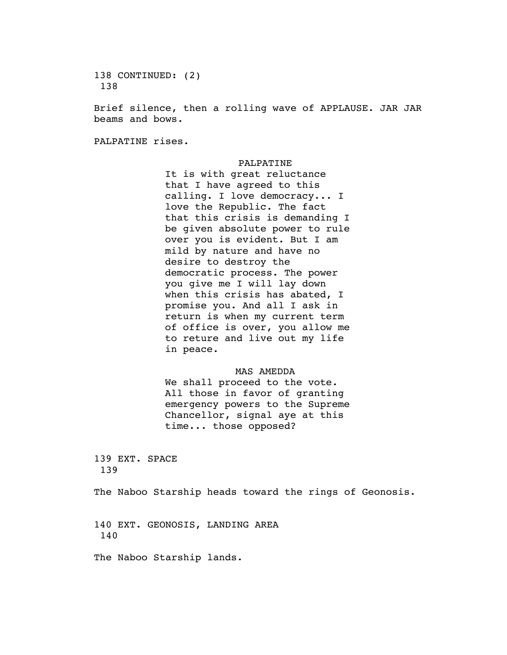138 CONTINUED: (2) 138

Brief silence, then a rolling wave of APPLAUSE. JAR JAR beams and bows.

PALPATINE rises.

## PALPATINE

It is with great reluctance that I have agreed to this calling. I love democracy... I love the Republic. The fact that this crisis is demanding I be given absolute power to rule over you is evident. But I am mild by nature and have no desire to destroy the democratic process. The power you give me I will lay down when this crisis has abated, I promise you. And all I ask in return is when my current term of office is over, you allow me to reture and live out my life in peace.

## MAS AMEDDA

We shall proceed to the vote. All those in favor of granting emergency powers to the Supreme Chancellor, signal aye at this time... those opposed?

139 EXT. SPACE 139

The Naboo Starship heads toward the rings of Geonosis.

140 EXT. GEONOSIS, LANDING AREA 140

The Naboo Starship lands.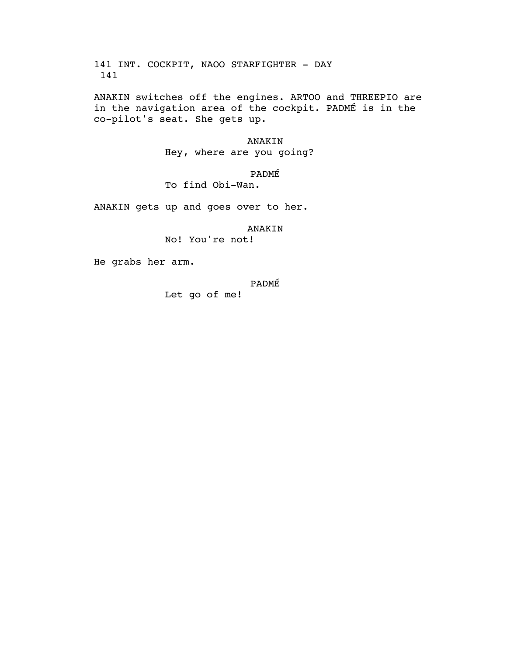141 INT. COCKPIT, NAOO STARFIGHTER - DAY 141

ANAKIN switches off the engines. ARTOO and THREEPIO are in the navigation area of the cockpit. PADMÉ is in the co-pilot's seat. She gets up.

> ANAKIN Hey, where are you going?

> > PADMÉ

To find Obi-Wan.

ANAKIN gets up and goes over to her.

ANAKIN

No! You're not!

He grabs her arm.

PADMÉ

Let go of me!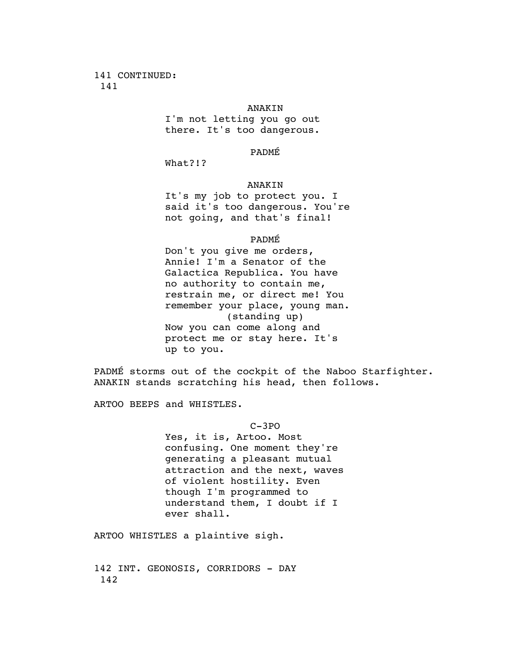## ANAKIN

I'm not letting you go out there. It's too dangerous.

## PADMÉ

What?!?

## ANAKIN

It's my job to protect you. I said it's too dangerous. You're not going, and that's final!

## PADMÉ

Don't you give me orders, Annie! I'm a Senator of the Galactica Republica. You have no authority to contain me, restrain me, or direct me! You remember your place, young man. (standing up) Now you can come along and protect me or stay here. It's up to you.

PADMÉ storms out of the cockpit of the Naboo Starfighter. ANAKIN stands scratching his head, then follows.

ARTOO BEEPS and WHISTLES.

C-3PO

Yes, it is, Artoo. Most confusing. One moment they're generating a pleasant mutual attraction and the next, waves of violent hostility. Even though I'm programmed to understand them, I doubt if I ever shall.

ARTOO WHISTLES a plaintive sigh.

142 INT. GEONOSIS, CORRIDORS - DAY 142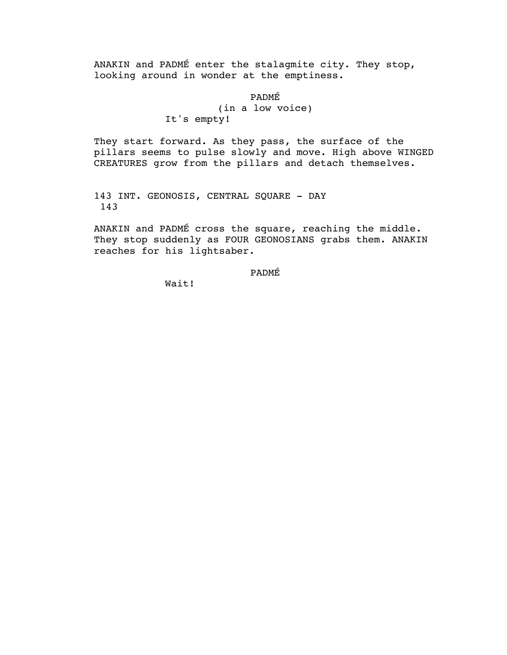ANAKIN and PADMÉ enter the stalagmite city. They stop, looking around in wonder at the emptiness.

#### PADMÉ

# (in a low voice) It's empty!

They start forward. As they pass, the surface of the pillars seems to pulse slowly and move. High above WINGED CREATURES grow from the pillars and detach themselves.

143 INT. GEONOSIS, CENTRAL SQUARE - DAY 143

ANAKIN and PADMÉ cross the square, reaching the middle. They stop suddenly as FOUR GEONOSIANS grabs them. ANAKIN reaches for his lightsaber.

## PADMÉ

Wait!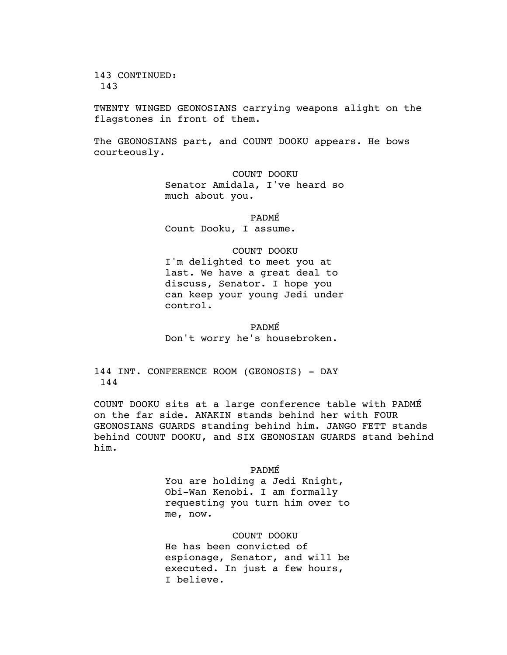TWENTY WINGED GEONOSIANS carrying weapons alight on the flagstones in front of them.

The GEONOSIANS part, and COUNT DOOKU appears. He bows courteously.

> COUNT DOOKU Senator Amidala, I've heard so much about you.

PADMÉ Count Dooku, I assume.

COUNT DOOKU

I'm delighted to meet you at last. We have a great deal to discuss, Senator. I hope you can keep your young Jedi under control.

PADMÉ Don't worry he's housebroken.

144 INT. CONFERENCE ROOM (GEONOSIS) - DAY 144

COUNT DOOKU sits at a large conference table with PADMÉ on the far side. ANAKIN stands behind her with FOUR GEONOSIANS GUARDS standing behind him. JANGO FETT stands behind COUNT DOOKU, and SIX GEONOSIAN GUARDS stand behind him.

> PADMÉ You are holding a Jedi Knight, Obi-Wan Kenobi. I am formally requesting you turn him over to me, now.

> COUNT DOOKU He has been convicted of espionage, Senator, and will be executed. In just a few hours, I believe.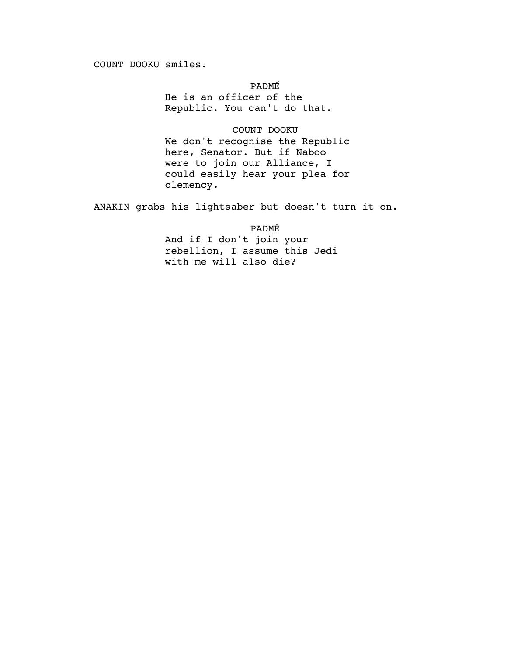COUNT DOOKU smiles.

PADMÉ

He is an officer of the Republic. You can't do that.

COUNT DOOKU We don't recognise the Republic here, Senator. But if Naboo were to join our Alliance, I could easily hear your plea for clemency.

ANAKIN grabs his lightsaber but doesn't turn it on.

PADMÉ

And if I don't join your rebellion, I assume this Jedi with me will also die?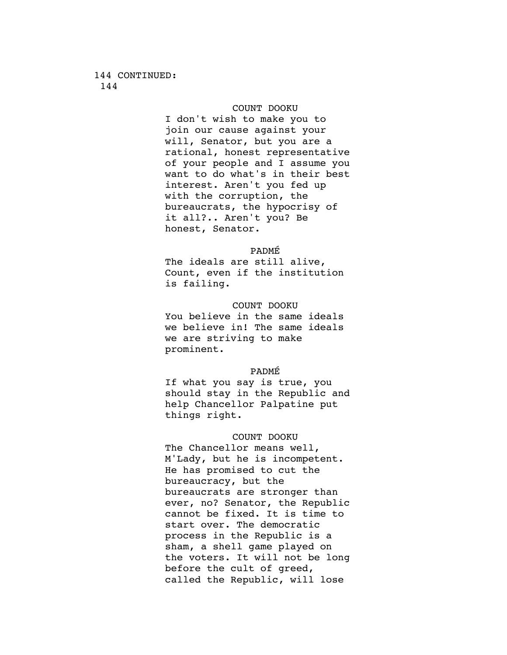## COUNT DOOKU

I don't wish to make you to join our cause against your will, Senator, but you are a rational, honest representative of your people and I assume you want to do what's in their best interest. Aren't you fed up with the corruption, the bureaucrats, the hypocrisy of it all?.. Aren't you? Be honest, Senator.

# PADMÉ

The ideals are still alive, Count, even if the institution is failing.

## COUNT DOOKU

You believe in the same ideals we believe in! The same ideals we are striving to make prominent.

## PADMÉ

If what you say is true, you should stay in the Republic and help Chancellor Palpatine put things right.

#### COUNT DOOKU

The Chancellor means well, M'Lady, but he is incompetent. He has promised to cut the bureaucracy, but the bureaucrats are stronger than ever, no? Senator, the Republic cannot be fixed. It is time to start over. The democratic process in the Republic is a sham, a shell game played on the voters. It will not be long before the cult of greed, called the Republic, will lose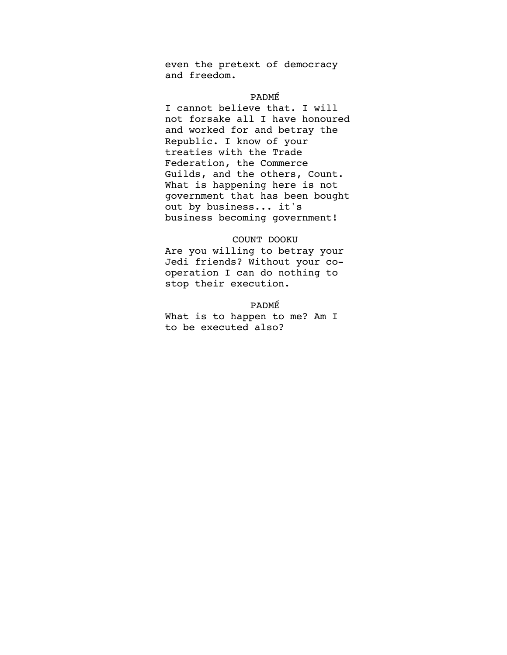even the pretext of democracy and freedom.

# PADMÉ

I cannot believe that. I will not forsake all I have honoured and worked for and betray the Republic. I know of your treaties with the Trade Federation, the Commerce Guilds, and the others, Count. What is happening here is not government that has been bought out by business... it's business becoming government!

## COUNT DOOKU

Are you willing to betray your Jedi friends? Without your cooperation I can do nothing to stop their execution.

# PADMÉ

What is to happen to me? Am I to be executed also?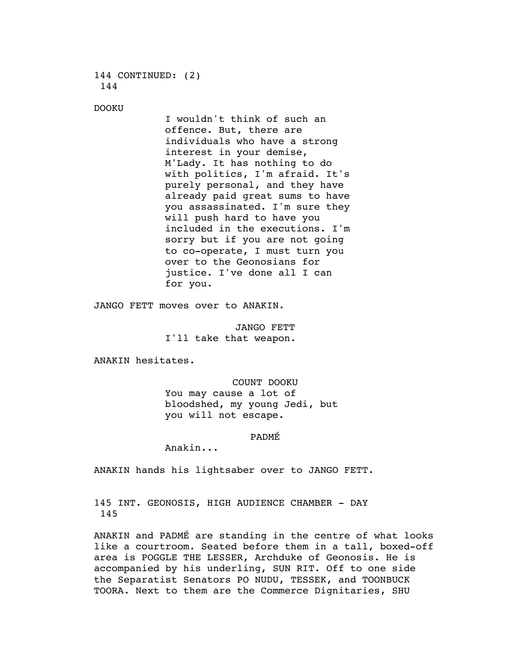144 CONTINUED: (2) 144

DOOKU

I wouldn't think of such an offence. But, there are individuals who have a strong interest in your demise, M'Lady. It has nothing to do with politics, I'm afraid. It's purely personal, and they have already paid great sums to have you assassinated. I'm sure they will push hard to have you included in the executions. I'm sorry but if you are not going to co-operate, I must turn you over to the Geonosians for justice. I've done all I can for you.

JANGO FETT moves over to ANAKIN.

JANGO FETT I'll take that weapon.

ANAKIN hesitates.

COUNT DOOKU You may cause a lot of bloodshed, my young Jedi, but you will not escape.

PADMÉ

Anakin...

ANAKIN hands his lightsaber over to JANGO FETT.

145 INT. GEONOSIS, HIGH AUDIENCE CHAMBER - DAY 145

ANAKIN and PADMÉ are standing in the centre of what looks like a courtroom. Seated before them in a tall, boxed-off area is POGGLE THE LESSER, Archduke of Geonosis. He is accompanied by his underling, SUN RIT. Off to one side the Separatist Senators PO NUDU, TESSEK, and TOONBUCK TOORA. Next to them are the Commerce Dignitaries, SHU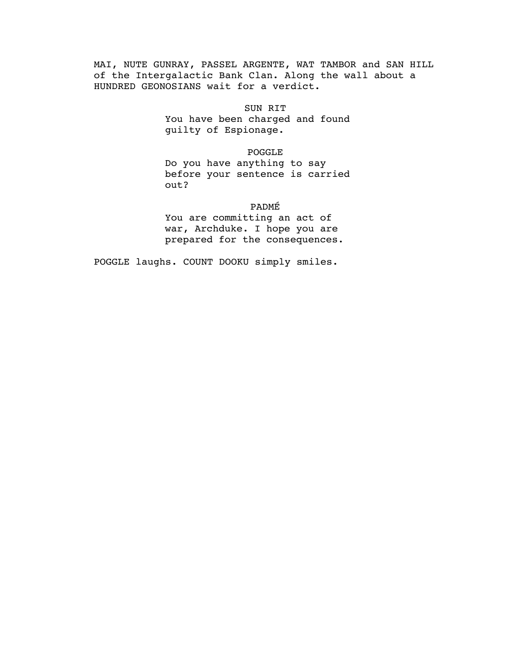MAI, NUTE GUNRAY, PASSEL ARGENTE, WAT TAMBOR and SAN HILL of the Intergalactic Bank Clan. Along the wall about a HUNDRED GEONOSIANS wait for a verdict.

> SUN RIT You have been charged and found guilty of Espionage.

> > POGGLE

Do you have anything to say before your sentence is carried out?

PADMÉ

You are committing an act of war, Archduke. I hope you are prepared for the consequences.

POGGLE laughs. COUNT DOOKU simply smiles.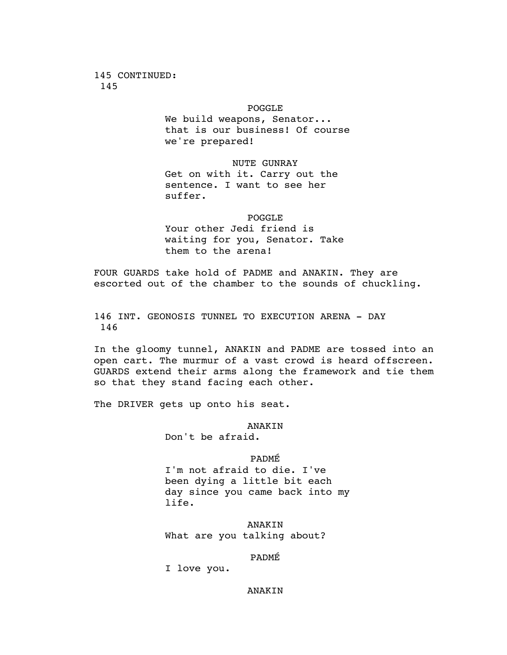#### POGGLE

We build weapons, Senator... that is our business! Of course we're prepared!

NUTE GUNRAY

Get on with it. Carry out the sentence. I want to see her suffer.

## POGGLE

Your other Jedi friend is waiting for you, Senator. Take them to the arena!

FOUR GUARDS take hold of PADME and ANAKIN. They are escorted out of the chamber to the sounds of chuckling.

146 INT. GEONOSIS TUNNEL TO EXECUTION ARENA - DAY 146

In the gloomy tunnel, ANAKIN and PADME are tossed into an open cart. The murmur of a vast crowd is heard offscreen. GUARDS extend their arms along the framework and tie them so that they stand facing each other.

The DRIVER gets up onto his seat.

ANAKIN Don't be afraid.

PADMÉ

I'm not afraid to die. I've been dying a little bit each day since you came back into my life.

ANAKIN What are you talking about?

PADMÉ

I love you.

## ANAKIN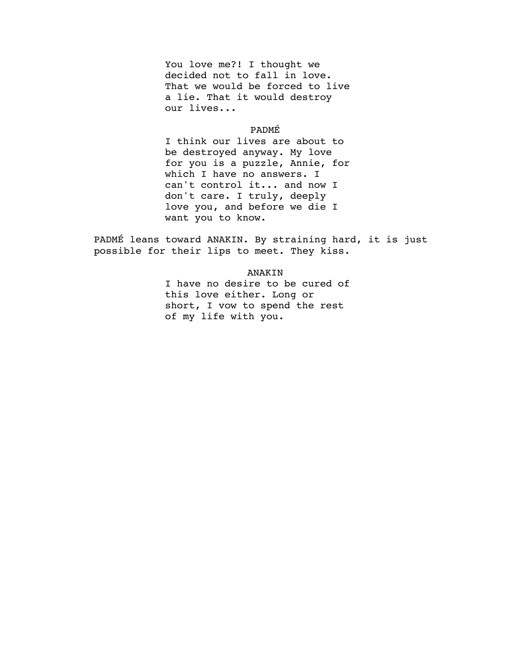You love me?! I thought we decided not to fall in love. That we would be forced to live a lie. That it would destroy our lives...

# PADMÉ

I think our lives are about to be destroyed anyway. My love for you is a puzzle, Annie, for which I have no answers. I can't control it... and now I don't care. I truly, deeply love you, and before we die I want you to know.

PADMÉ leans toward ANAKIN. By straining hard, it is just possible for their lips to meet. They kiss.

> ANAKIN I have no desire to be cured of this love either. Long or short, I vow to spend the rest of my life with you.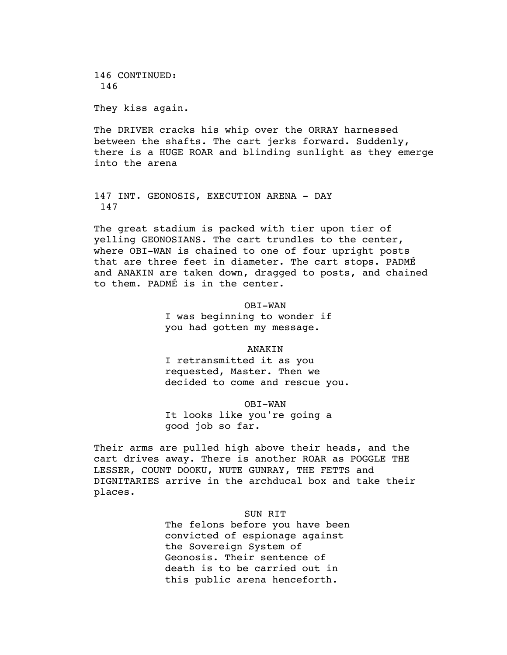They kiss again.

The DRIVER cracks his whip over the ORRAY harnessed between the shafts. The cart jerks forward. Suddenly, there is a HUGE ROAR and blinding sunlight as they emerge into the arena

147 INT. GEONOSIS, EXECUTION ARENA - DAY 147

The great stadium is packed with tier upon tier of yelling GEONOSIANS. The cart trundles to the center, where OBI-WAN is chained to one of four upright posts that are three feet in diameter. The cart stops. PADMÉ and ANAKIN are taken down, dragged to posts, and chained to them. PADMÉ is in the center.

> OBI-WAN I was beginning to wonder if you had gotten my message.

> > ANAKIN

I retransmitted it as you requested, Master. Then we decided to come and rescue you.

OBI-WAN

It looks like you're going a good job so far.

Their arms are pulled high above their heads, and the cart drives away. There is another ROAR as POGGLE THE LESSER, COUNT DOOKU, NUTE GUNRAY, THE FETTS and DIGNITARIES arrive in the archducal box and take their places.

SUN RIT

The felons before you have been convicted of espionage against the Sovereign System of Geonosis. Their sentence of death is to be carried out in this public arena henceforth.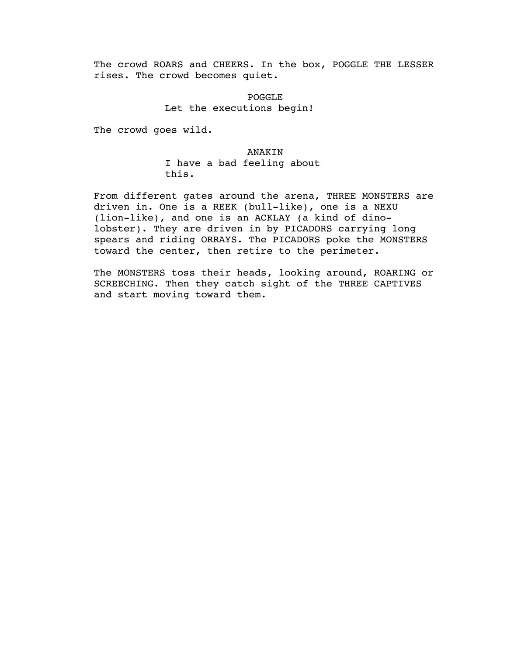The crowd ROARS and CHEERS. In the box, POGGLE THE LESSER rises. The crowd becomes quiet.

> POGGLE Let the executions begin!

The crowd goes wild.

ANAKIN I have a bad feeling about this.

From different gates around the arena, THREE MONSTERS are driven in. One is a REEK (bull-like), one is a NEXU (lion-like), and one is an ACKLAY (a kind of dinolobster). They are driven in by PICADORS carrying long spears and riding ORRAYS. The PICADORS poke the MONSTERS toward the center, then retire to the perimeter.

The MONSTERS toss their heads, looking around, ROARING or SCREECHING. Then they catch sight of the THREE CAPTIVES and start moving toward them.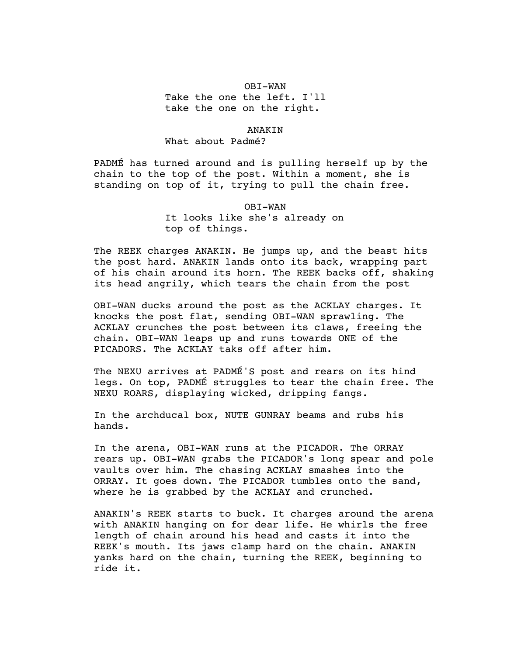#### OBI-WAN

Take the one the left. I'll take the one on the right.

#### ANAKIN

# What about Padmé?

PADMÉ has turned around and is pulling herself up by the chain to the top of the post. Within a moment, she is standing on top of it, trying to pull the chain free.

## OBI-WAN It looks like she's already on top of things.

The REEK charges ANAKIN. He jumps up, and the beast hits the post hard. ANAKIN lands onto its back, wrapping part of his chain around its horn. The REEK backs off, shaking its head angrily, which tears the chain from the post

OBI-WAN ducks around the post as the ACKLAY charges. It knocks the post flat, sending OBI-WAN sprawling. The ACKLAY crunches the post between its claws, freeing the chain. OBI-WAN leaps up and runs towards ONE of the PICADORS. The ACKLAY taks off after him.

The NEXU arrives at PADMÉ'S post and rears on its hind legs. On top, PADMÉ struggles to tear the chain free. The NEXU ROARS, displaying wicked, dripping fangs.

In the archducal box, NUTE GUNRAY beams and rubs his hands.

In the arena, OBI-WAN runs at the PICADOR. The ORRAY rears up. OBI-WAN grabs the PICADOR's long spear and pole vaults over him. The chasing ACKLAY smashes into the ORRAY. It goes down. The PICADOR tumbles onto the sand, where he is grabbed by the ACKLAY and crunched.

ANAKIN's REEK starts to buck. It charges around the arena with ANAKIN hanging on for dear life. He whirls the free length of chain around his head and casts it into the REEK's mouth. Its jaws clamp hard on the chain. ANAKIN yanks hard on the chain, turning the REEK, beginning to ride it.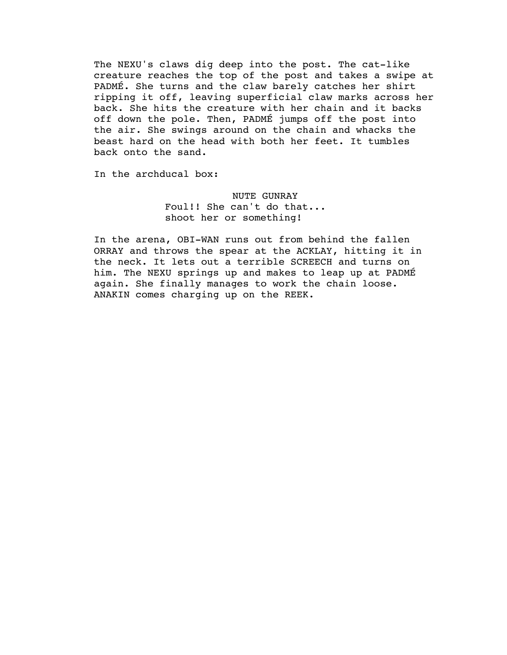The NEXU's claws dig deep into the post. The cat-like creature reaches the top of the post and takes a swipe at PADMÉ. She turns and the claw barely catches her shirt ripping it off, leaving superficial claw marks across her back. She hits the creature with her chain and it backs off down the pole. Then, PADMÉ jumps off the post into the air. She swings around on the chain and whacks the beast hard on the head with both her feet. It tumbles back onto the sand.

In the archducal box:

NUTE GUNRAY Foul!! She can't do that... shoot her or something!

In the arena, OBI-WAN runs out from behind the fallen ORRAY and throws the spear at the ACKLAY, hitting it in the neck. It lets out a terrible SCREECH and turns on him. The NEXU springs up and makes to leap up at PADMÉ again. She finally manages to work the chain loose. ANAKIN comes charging up on the REEK.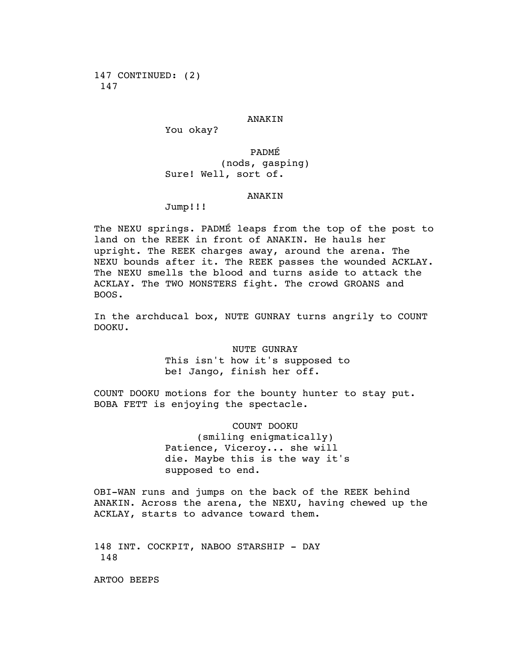147 CONTINUED: (2) 147

## ANAKIN

You okay?

PADMÉ (nods, gasping) Sure! Well, sort of.

#### ANAKIN

Jump!!!

The NEXU springs. PADMÉ leaps from the top of the post to land on the REEK in front of ANAKIN. He hauls her upright. The REEK charges away, around the arena. The NEXU bounds after it. The REEK passes the wounded ACKLAY. The NEXU smells the blood and turns aside to attack the ACKLAY. The TWO MONSTERS fight. The crowd GROANS and BOOS.

In the archducal box, NUTE GUNRAY turns angrily to COUNT DOOKU.

> NUTE GUNRAY This isn't how it's supposed to be! Jango, finish her off.

COUNT DOOKU motions for the bounty hunter to stay put. BOBA FETT is enjoying the spectacle.

> COUNT DOOKU (smiling enigmatically) Patience, Viceroy... she will die. Maybe this is the way it's supposed to end.

OBI-WAN runs and jumps on the back of the REEK behind ANAKIN. Across the arena, the NEXU, having chewed up the ACKLAY, starts to advance toward them.

148 INT. COCKPIT, NABOO STARSHIP - DAY 148

ARTOO BEEPS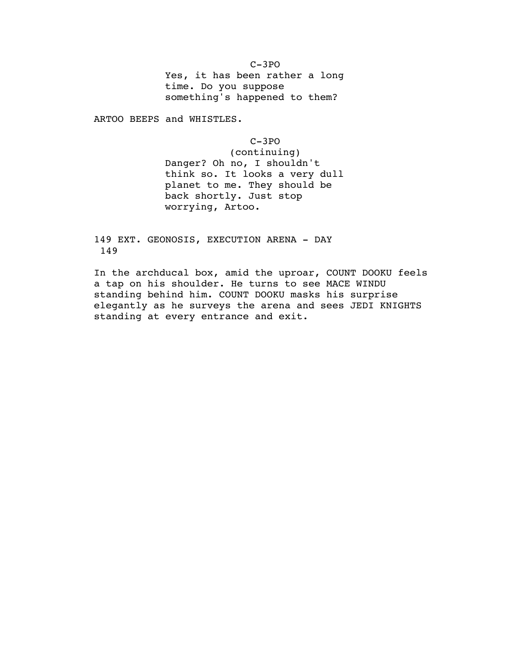C-3PO Yes, it has been rather a long time. Do you suppose something's happened to them?

ARTOO BEEPS and WHISTLES.

C-3PO (continuing) Danger? Oh no, I shouldn't think so. It looks a very dull planet to me. They should be back shortly. Just stop worrying, Artoo.

149 EXT. GEONOSIS, EXECUTION ARENA - DAY 149

In the archducal box, amid the uproar, COUNT DOOKU feels a tap on his shoulder. He turns to see MACE WINDU standing behind him. COUNT DOOKU masks his surprise elegantly as he surveys the arena and sees JEDI KNIGHTS standing at every entrance and exit.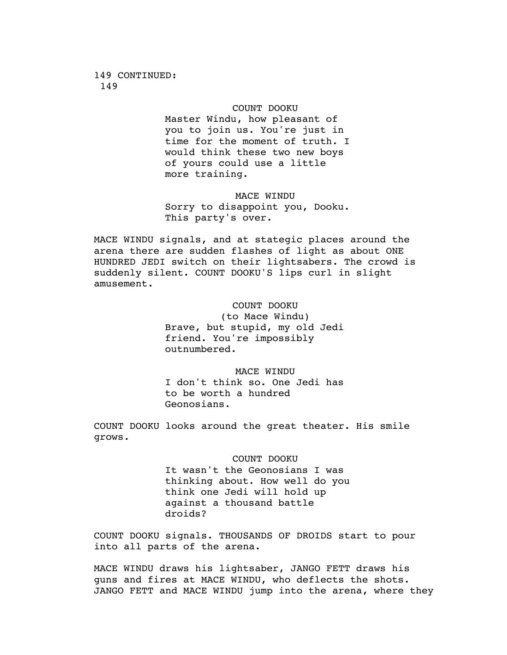## COUNT DOOKU

Master Windu, how pleasant of you to join us. You're just in time for the moment of truth. I would think these two new boys of yours could use a little more training.

MACE WINDU

Sorry to disappoint you, Dooku. This party's over.

MACE WINDU signals, and at stategic places around the arena there are sudden flashes of light as about ONE HUNDRED JEDI switch on their lightsabers. The crowd is suddenly silent. COUNT DOOKU'S lips curl in slight amusement.

> COUNT DOOKU (to Mace Windu) Brave, but stupid, my old Jedi friend. You're impossibly outnumbered.

> MACE WINDU I don't think so. One Jedi has to be worth a hundred Geonosians.

COUNT DOOKU looks around the great theater. His smile grows.

> COUNT DOOKU It wasn't the Geonosians I was thinking about. How well do you think one Jedi will hold up against a thousand battle droids?

COUNT DOOKU signals. THOUSANDS OF DROIDS start to pour into all parts of the arena.

MACE WINDU draws his lightsaber, JANGO FETT draws his guns and fires at MACE WINDU, who deflects the shots. JANGO FETT and MACE WINDU jump into the arena, where they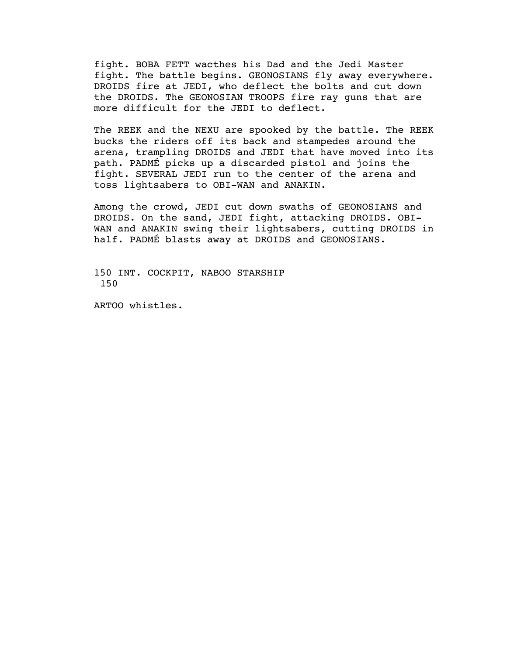fight. BOBA FETT wacthes his Dad and the Jedi Master fight. The battle begins. GEONOSIANS fly away everywhere. DROIDS fire at JEDI, who deflect the bolts and cut down the DROIDS. The GEONOSIAN TROOPS fire ray guns that are more difficult for the JEDI to deflect.

The REEK and the NEXU are spooked by the battle. The REEK bucks the riders off its back and stampedes around the arena, trampling DROIDS and JEDI that have moved into its path. PADMÉ picks up a discarded pistol and joins the fight. SEVERAL JEDI run to the center of the arena and toss lightsabers to OBI-WAN and ANAKIN.

Among the crowd, JEDI cut down swaths of GEONOSIANS and DROIDS. On the sand, JEDI fight, attacking DROIDS. OBI-WAN and ANAKIN swing their lightsabers, cutting DROIDS in half. PADMÉ blasts away at DROIDS and GEONOSIANS.

150 INT. COCKPIT, NABOO STARSHIP 150

ARTOO whistles.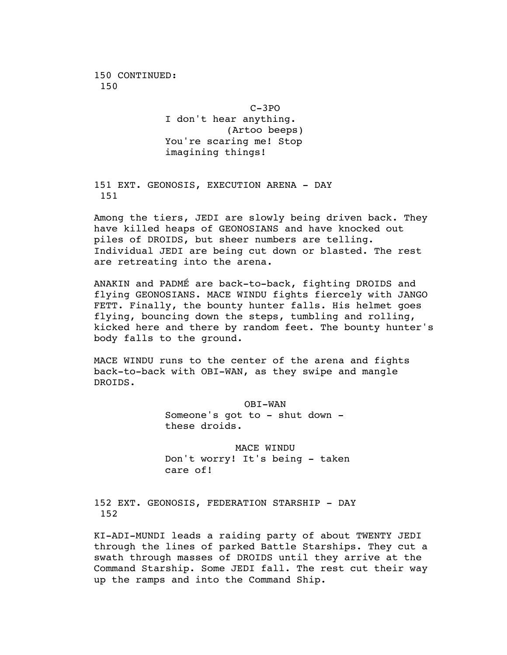> C-3PO I don't hear anything. (Artoo beeps) You're scaring me! Stop imagining things!

151 EXT. GEONOSIS, EXECUTION ARENA - DAY 151

Among the tiers, JEDI are slowly being driven back. They have killed heaps of GEONOSIANS and have knocked out piles of DROIDS, but sheer numbers are telling. Individual JEDI are being cut down or blasted. The rest are retreating into the arena.

ANAKIN and PADMÉ are back-to-back, fighting DROIDS and flying GEONOSIANS. MACE WINDU fights fiercely with JANGO FETT. Finally, the bounty hunter falls. His helmet goes flying, bouncing down the steps, tumbling and rolling, kicked here and there by random feet. The bounty hunter's body falls to the ground.

MACE WINDU runs to the center of the arena and fights back-to-back with OBI-WAN, as they swipe and mangle DROIDS.

> OBI-WAN Someone's got to - shut down these droids.

MACE WINDU Don't worry! It's being - taken care of!

152 EXT. GEONOSIS, FEDERATION STARSHIP - DAY 152

KI-ADI-MUNDI leads a raiding party of about TWENTY JEDI through the lines of parked Battle Starships. They cut a swath through masses of DROIDS until they arrive at the Command Starship. Some JEDI fall. The rest cut their way up the ramps and into the Command Ship.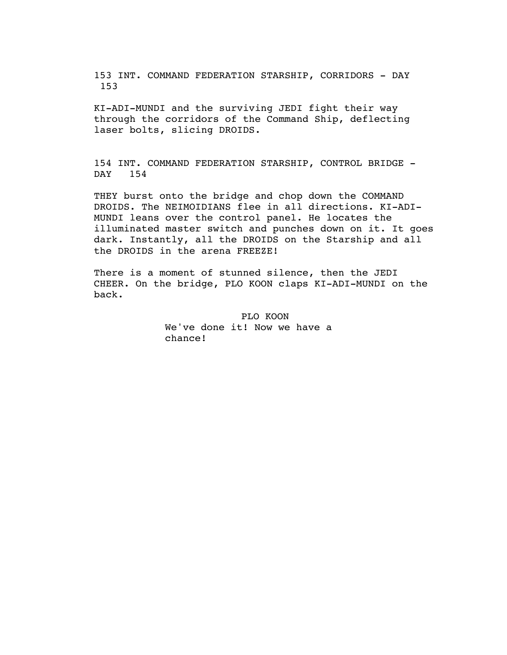153 INT. COMMAND FEDERATION STARSHIP, CORRIDORS - DAY 153

KI-ADI-MUNDI and the surviving JEDI fight their way through the corridors of the Command Ship, deflecting laser bolts, slicing DROIDS.

154 INT. COMMAND FEDERATION STARSHIP, CONTROL BRIDGE - DAY 154

THEY burst onto the bridge and chop down the COMMAND DROIDS. The NEIMOIDIANS flee in all directions. KI-ADI-MUNDI leans over the control panel. He locates the illuminated master switch and punches down on it. It goes dark. Instantly, all the DROIDS on the Starship and all the DROIDS in the arena FREEZE!

There is a moment of stunned silence, then the JEDI CHEER. On the bridge, PLO KOON claps KI-ADI-MUNDI on the back.

> PLO KOON We've done it! Now we have a chance!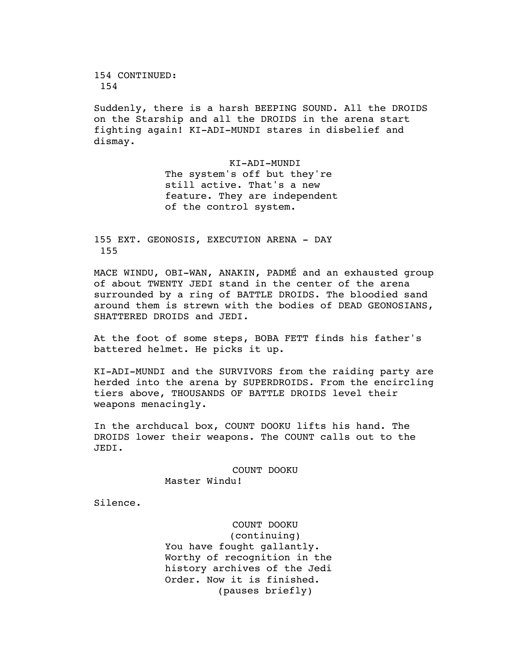Suddenly, there is a harsh BEEPING SOUND. All the DROIDS on the Starship and all the DROIDS in the arena start fighting again! KI-ADI-MUNDI stares in disbelief and dismay.

> KI-ADI-MUNDI The system's off but they're still active. That's a new feature. They are independent of the control system.

155 EXT. GEONOSIS, EXECUTION ARENA - DAY 155

MACE WINDU, OBI-WAN, ANAKIN, PADMÉ and an exhausted group of about TWENTY JEDI stand in the center of the arena surrounded by a ring of BATTLE DROIDS. The bloodied sand around them is strewn with the bodies of DEAD GEONOSIANS, SHATTERED DROIDS and JEDI.

At the foot of some steps, BOBA FETT finds his father's battered helmet. He picks it up.

KI-ADI-MUNDI and the SURVIVORS from the raiding party are herded into the arena by SUPERDROIDS. From the encircling tiers above, THOUSANDS OF BATTLE DROIDS level their weapons menacingly.

In the archducal box, COUNT DOOKU lifts his hand. The DROIDS lower their weapons. The COUNT calls out to the JEDI.

> COUNT DOOKU Master Windu!

Silence.

COUNT DOOKU (continuing) You have fought gallantly. Worthy of recognition in the history archives of the Jedi Order. Now it is finished. (pauses briefly)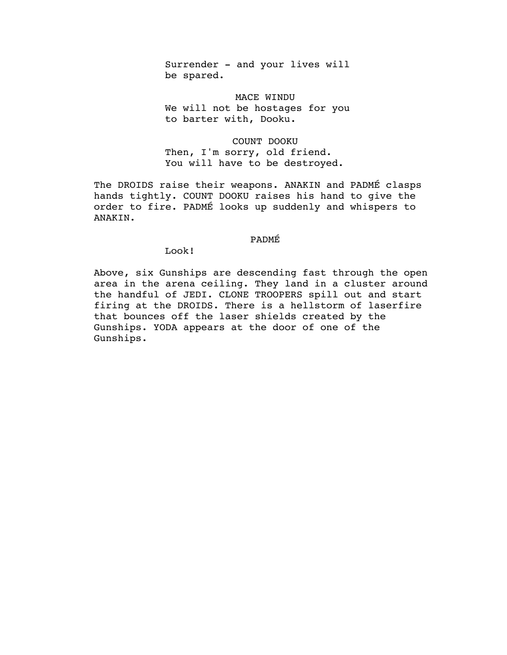Surrender - and your lives will be spared.

MACE WINDU We will not be hostages for you to barter with, Dooku.

COUNT DOOKU Then, I'm sorry, old friend. You will have to be destroyed.

The DROIDS raise their weapons. ANAKIN and PADMÉ clasps hands tightly. COUNT DOOKU raises his hand to give the order to fire. PADMÉ looks up suddenly and whispers to ANAKIN.

## PADMÉ

Look!

Above, six Gunships are descending fast through the open area in the arena ceiling. They land in a cluster around the handful of JEDI. CLONE TROOPERS spill out and start firing at the DROIDS. There is a hellstorm of laserfire that bounces off the laser shields created by the Gunships. YODA appears at the door of one of the Gunships.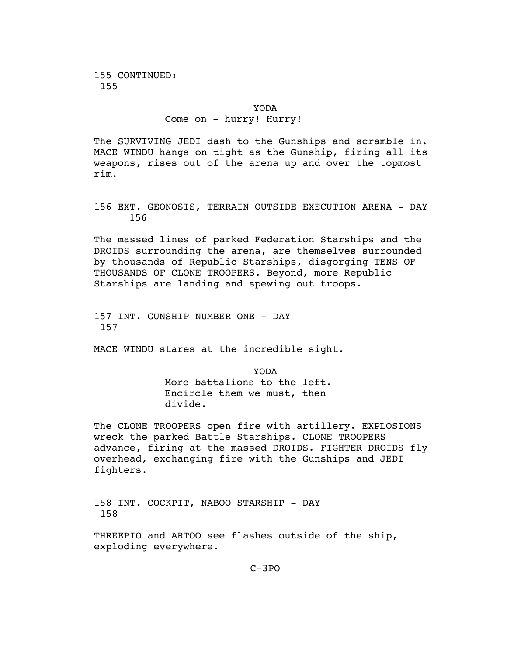#### YODA

# Come on - hurry! Hurry!

The SURVIVING JEDI dash to the Gunships and scramble in. MACE WINDU hangs on tight as the Gunship, firing all its weapons, rises out of the arena up and over the topmost rim.

156 EXT. GEONOSIS, TERRAIN OUTSIDE EXECUTION ARENA - DAY 156

The massed lines of parked Federation Starships and the DROIDS surrounding the arena, are themselves surrounded by thousands of Republic Starships, disgorging TENS OF THOUSANDS OF CLONE TROOPERS. Beyond, more Republic Starships are landing and spewing out troops.

157 INT. GUNSHIP NUMBER ONE - DAY 157

MACE WINDU stares at the incredible sight.

YODA More battalions to the left. Encircle them we must, then divide.

The CLONE TROOPERS open fire with artillery. EXPLOSIONS wreck the parked Battle Starships. CLONE TROOPERS advance, firing at the massed DROIDS. FIGHTER DROIDS fly overhead, exchanging fire with the Gunships and JEDI fighters.

158 INT. COCKPIT, NABOO STARSHIP - DAY 158

THREEPIO and ARTOO see flashes outside of the ship, exploding everywhere.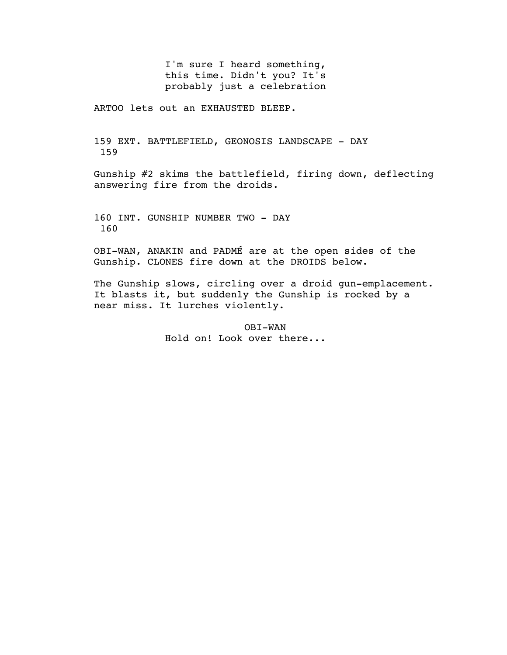I'm sure I heard something, this time. Didn't you? It's probably just a celebration

ARTOO lets out an EXHAUSTED BLEEP.

159 EXT. BATTLEFIELD, GEONOSIS LANDSCAPE - DAY 159

Gunship #2 skims the battlefield, firing down, deflecting answering fire from the droids.

160 INT. GUNSHIP NUMBER TWO - DAY 160

OBI-WAN, ANAKIN and PADMÉ are at the open sides of the Gunship. CLONES fire down at the DROIDS below.

The Gunship slows, circling over a droid gun-emplacement. It blasts it, but suddenly the Gunship is rocked by a near miss. It lurches violently.

> OBI-WAN Hold on! Look over there...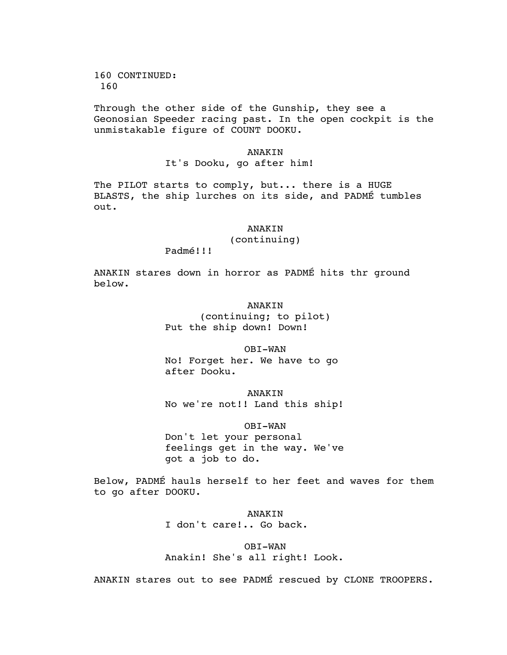Through the other side of the Gunship, they see a Geonosian Speeder racing past. In the open cockpit is the unmistakable figure of COUNT DOOKU.

#### ANAKIN

It's Dooku, go after him!

The PILOT starts to comply, but... there is a HUGE BLASTS, the ship lurches on its side, and PADMÉ tumbles out.

#### ANAKIN

## (continuing)

Padmé!!!

ANAKIN stares down in horror as PADMÉ hits thr ground below.

> ANAKIN (continuing; to pilot) Put the ship down! Down!

### OBI-WAN

No! Forget her. We have to go after Dooku.

ANAKIN No we're not!! Land this ship!

OBI-WAN Don't let your personal feelings get in the way. We've got a job to do.

Below, PADMÉ hauls herself to her feet and waves for them to go after DOOKU.

> ANAKIN I don't care!.. Go back.

OBI-WAN Anakin! She's all right! Look.

ANAKIN stares out to see PADMÉ rescued by CLONE TROOPERS.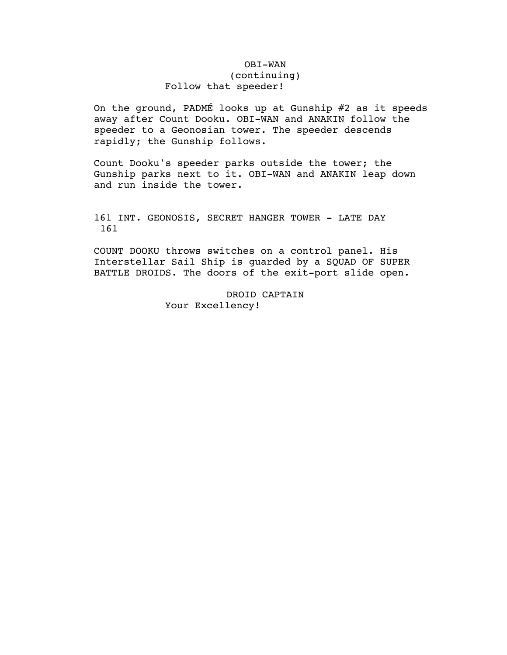# OBI-WAN (continuing) Follow that speeder!

On the ground, PADMÉ looks up at Gunship #2 as it speeds away after Count Dooku. OBI-WAN and ANAKIN follow the speeder to a Geonosian tower. The speeder descends rapidly; the Gunship follows.

Count Dooku's speeder parks outside the tower; the Gunship parks next to it. OBI-WAN and ANAKIN leap down and run inside the tower.

161 INT. GEONOSIS, SECRET HANGER TOWER - LATE DAY 161

COUNT DOOKU throws switches on a control panel. His Interstellar Sail Ship is guarded by a SQUAD OF SUPER BATTLE DROIDS. The doors of the exit-port slide open.

> DROID CAPTAIN Your Excellency!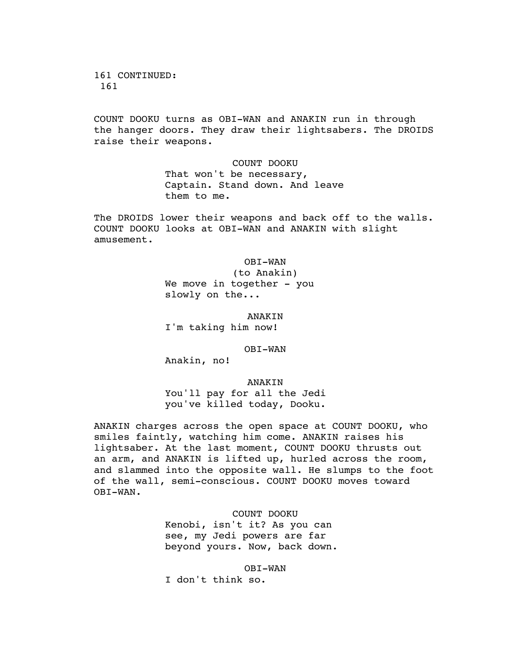COUNT DOOKU turns as OBI-WAN and ANAKIN run in through the hanger doors. They draw their lightsabers. The DROIDS raise their weapons.

> COUNT DOOKU That won't be necessary, Captain. Stand down. And leave them to me.

The DROIDS lower their weapons and back off to the walls. COUNT DOOKU looks at OBI-WAN and ANAKIN with slight amusement.

> OBI-WAN (to Anakin) We move in together - you slowly on the...

ANAKIN I'm taking him now!

OBI-WAN

Anakin, no!

## ANAKIN

You'll pay for all the Jedi you've killed today, Dooku.

ANAKIN charges across the open space at COUNT DOOKU, who smiles faintly, watching him come. ANAKIN raises his lightsaber. At the last moment, COUNT DOOKU thrusts out an arm, and ANAKIN is lifted up, hurled across the room, and slammed into the opposite wall. He slumps to the foot of the wall, semi-conscious. COUNT DOOKU moves toward OBI-WAN.

> COUNT DOOKU Kenobi, isn't it? As you can see, my Jedi powers are far beyond yours. Now, back down.

> > OBI-WAN

I don't think so.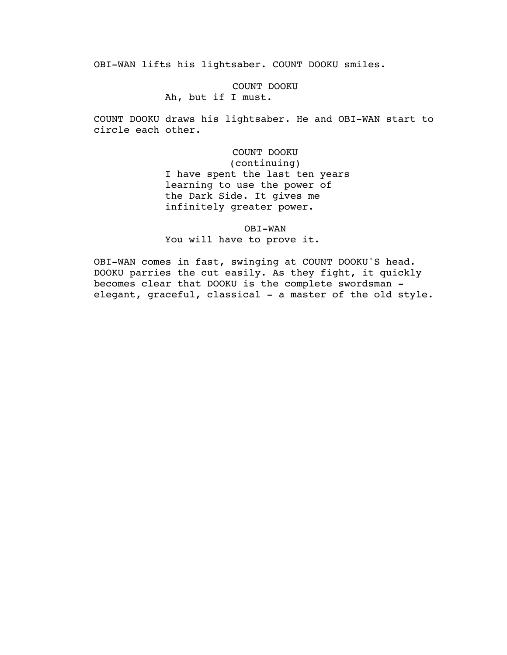OBI-WAN lifts his lightsaber. COUNT DOOKU smiles.

COUNT DOOKU Ah, but if I must.

COUNT DOOKU draws his lightsaber. He and OBI-WAN start to circle each other.

> COUNT DOOKU (continuing) I have spent the last ten years learning to use the power of the Dark Side. It gives me infinitely greater power.

OBI-WAN You will have to prove it.

OBI-WAN comes in fast, swinging at COUNT DOOKU'S head. DOOKU parries the cut easily. As they fight, it quickly becomes clear that DOOKU is the complete swordsman elegant, graceful, classical - a master of the old style.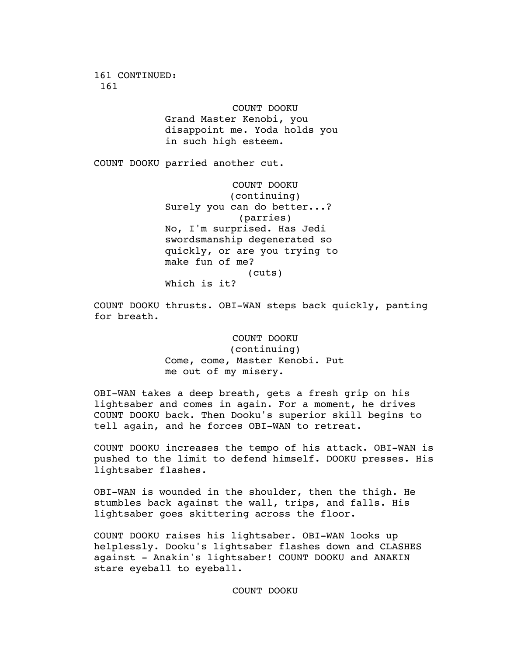> COUNT DOOKU Grand Master Kenobi, you disappoint me. Yoda holds you in such high esteem.

COUNT DOOKU parried another cut.

COUNT DOOKU (continuing) Surely you can do better...? (parries) No, I'm surprised. Has Jedi swordsmanship degenerated so quickly, or are you trying to make fun of me? (cuts) Which is it?

COUNT DOOKU thrusts. OBI-WAN steps back quickly, panting for breath.

> COUNT DOOKU (continuing) Come, come, Master Kenobi. Put me out of my misery.

OBI-WAN takes a deep breath, gets a fresh grip on his lightsaber and comes in again. For a moment, he drives COUNT DOOKU back. Then Dooku's superior skill begins to tell again, and he forces OBI-WAN to retreat.

COUNT DOOKU increases the tempo of his attack. OBI-WAN is pushed to the limit to defend himself. DOOKU presses. His lightsaber flashes.

OBI-WAN is wounded in the shoulder, then the thigh. He stumbles back against the wall, trips, and falls. His lightsaber goes skittering across the floor.

COUNT DOOKU raises his lightsaber. OBI-WAN looks up helplessly. Dooku's lightsaber flashes down and CLASHES against - Anakin's lightsaber! COUNT DOOKU and ANAKIN stare eyeball to eyeball.

COUNT DOOKU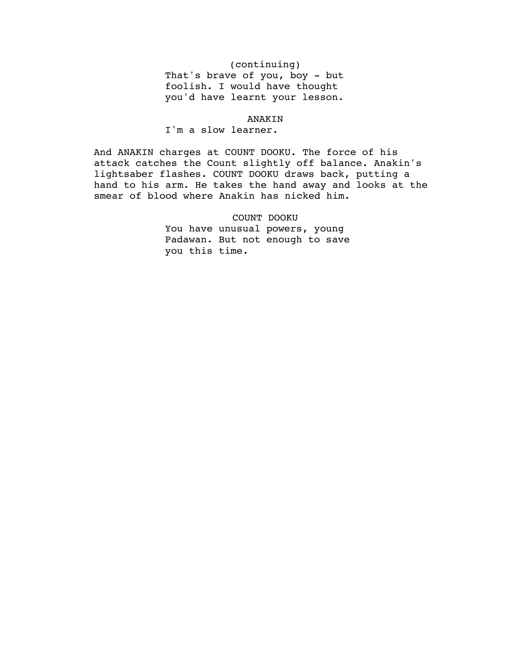(continuing) That's brave of you, boy - but foolish. I would have thought you'd have learnt your lesson.

# ANAKIN

I'm a slow learner.

And ANAKIN charges at COUNT DOOKU. The force of his attack catches the Count slightly off balance. Anakin's lightsaber flashes. COUNT DOOKU draws back, putting a hand to his arm. He takes the hand away and looks at the smear of blood where Anakin has nicked him.

COUNT DOOKU

You have unusual powers, young Padawan. But not enough to save you this time.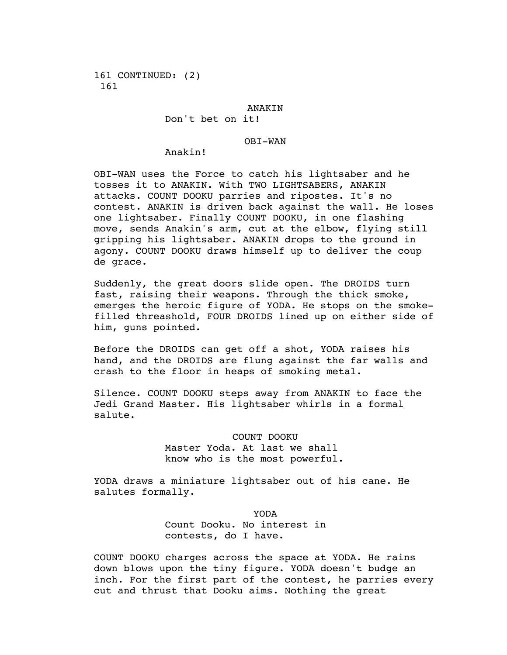161 CONTINUED: (2) 161

## ANAKIN Don't bet on it!

## OBI-WAN

Anakin!

OBI-WAN uses the Force to catch his lightsaber and he tosses it to ANAKIN. With TWO LIGHTSABERS, ANAKIN attacks. COUNT DOOKU parries and ripostes. It's no contest. ANAKIN is driven back against the wall. He loses one lightsaber. Finally COUNT DOOKU, in one flashing move, sends Anakin's arm, cut at the elbow, flying still gripping his lightsaber. ANAKIN drops to the ground in agony. COUNT DOOKU draws himself up to deliver the coup de grace.

Suddenly, the great doors slide open. The DROIDS turn fast, raising their weapons. Through the thick smoke, emerges the heroic figure of YODA. He stops on the smokefilled threashold, FOUR DROIDS lined up on either side of him, guns pointed.

Before the DROIDS can get off a shot, YODA raises his hand, and the DROIDS are flung against the far walls and crash to the floor in heaps of smoking metal.

Silence. COUNT DOOKU steps away from ANAKIN to face the Jedi Grand Master. His lightsaber whirls in a formal salute.

> COUNT DOOKU Master Yoda. At last we shall know who is the most powerful.

YODA draws a miniature lightsaber out of his cane. He salutes formally.

> YODA Count Dooku. No interest in contests, do I have.

COUNT DOOKU charges across the space at YODA. He rains down blows upon the tiny figure. YODA doesn't budge an inch. For the first part of the contest, he parries every cut and thrust that Dooku aims. Nothing the great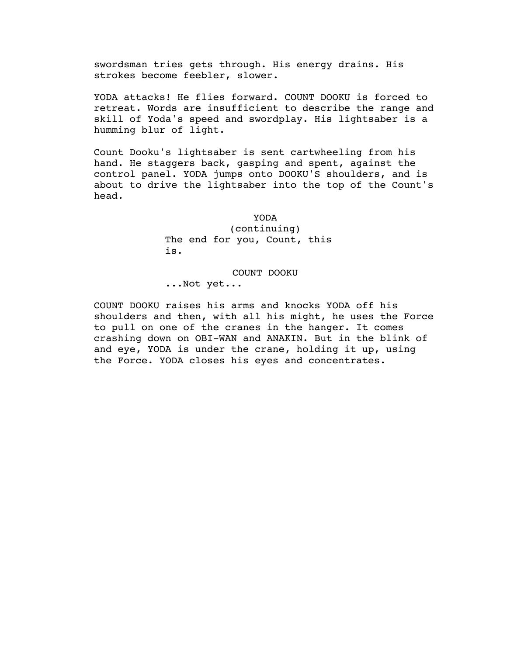swordsman tries gets through. His energy drains. His strokes become feebler, slower.

YODA attacks! He flies forward. COUNT DOOKU is forced to retreat. Words are insufficient to describe the range and skill of Yoda's speed and swordplay. His lightsaber is a humming blur of light.

Count Dooku's lightsaber is sent cartwheeling from his hand. He staggers back, gasping and spent, against the control panel. YODA jumps onto DOOKU'S shoulders, and is about to drive the lightsaber into the top of the Count's head.

> YODA (continuing) The end for you, Count, this is.

> > COUNT DOOKU

...Not yet...

COUNT DOOKU raises his arms and knocks YODA off his shoulders and then, with all his might, he uses the Force to pull on one of the cranes in the hanger. It comes crashing down on OBI-WAN and ANAKIN. But in the blink of and eye, YODA is under the crane, holding it up, using the Force. YODA closes his eyes and concentrates.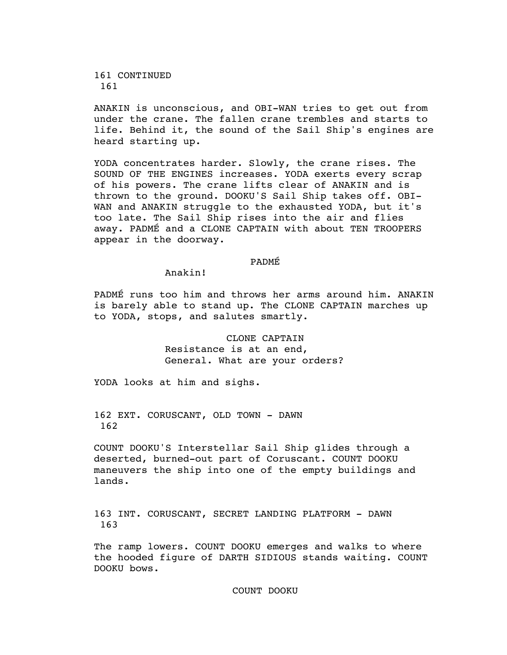161 CONTINUED 161

ANAKIN is unconscious, and OBI-WAN tries to get out from under the crane. The fallen crane trembles and starts to life. Behind it, the sound of the Sail Ship's engines are heard starting up.

YODA concentrates harder. Slowly, the crane rises. The SOUND OF THE ENGINES increases. YODA exerts every scrap of his powers. The crane lifts clear of ANAKIN and is thrown to the ground. DOOKU'S Sail Ship takes off. OBI-WAN and ANAKIN struggle to the exhausted YODA, but it's too late. The Sail Ship rises into the air and flies away. PADMÉ and a CLONE CAPTAIN with about TEN TROOPERS appear in the doorway.

## PADMÉ

Anakin!

PADMÉ runs too him and throws her arms around him. ANAKIN is barely able to stand up. The CLONE CAPTAIN marches up to YODA, stops, and salutes smartly.

> CLONE CAPTAIN Resistance is at an end, General. What are your orders?

YODA looks at him and sighs.

162 EXT. CORUSCANT, OLD TOWN - DAWN 162

COUNT DOOKU'S Interstellar Sail Ship glides through a deserted, burned-out part of Coruscant. COUNT DOOKU maneuvers the ship into one of the empty buildings and lands.

163 INT. CORUSCANT, SECRET LANDING PLATFORM - DAWN 163

The ramp lowers. COUNT DOOKU emerges and walks to where the hooded figure of DARTH SIDIOUS stands waiting. COUNT DOOKU bows.

COUNT DOOKU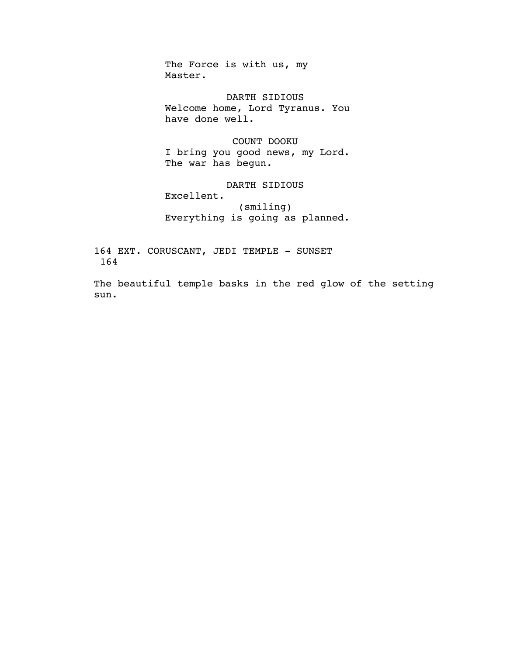The Force is with us, my Master.

DARTH SIDIOUS Welcome home, Lord Tyranus. You have done well.

COUNT DOOKU I bring you good news, my Lord. The war has begun.

DARTH SIDIOUS Excellent. (smiling) Everything is going as planned.

164 EXT. CORUSCANT, JEDI TEMPLE - SUNSET 164

The beautiful temple basks in the red glow of the setting sun.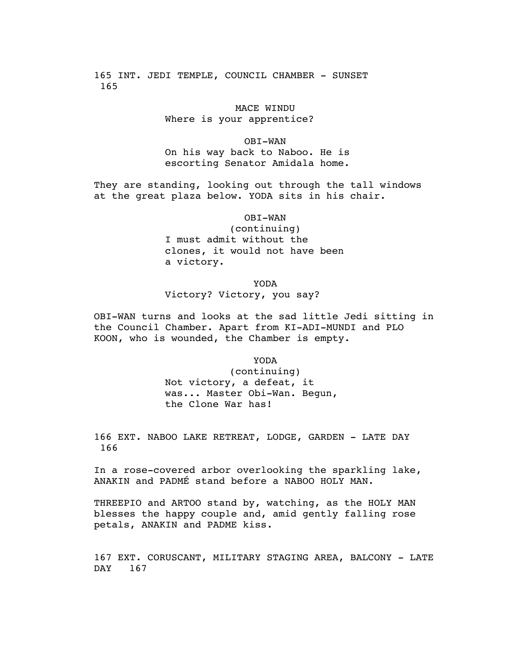165 INT. JEDI TEMPLE, COUNCIL CHAMBER - SUNSET 165

> MACE WINDU Where is your apprentice?

OBI-WAN On his way back to Naboo. He is escorting Senator Amidala home.

They are standing, looking out through the tall windows at the great plaza below. YODA sits in his chair.

OBI-WAN

(continuing) I must admit without the clones, it would not have been a victory.

YODA

Victory? Victory, you say?

OBI-WAN turns and looks at the sad little Jedi sitting in the Council Chamber. Apart from KI-ADI-MUNDI and PLO KOON, who is wounded, the Chamber is empty.

YODA

(continuing) Not victory, a defeat, it was... Master Obi-Wan. Begun, the Clone War has!

166 EXT. NABOO LAKE RETREAT, LODGE, GARDEN - LATE DAY 166

In a rose-covered arbor overlooking the sparkling lake, ANAKIN and PADMÉ stand before a NABOO HOLY MAN.

THREEPIO and ARTOO stand by, watching, as the HOLY MAN blesses the happy couple and, amid gently falling rose petals, ANAKIN and PADME kiss.

167 EXT. CORUSCANT, MILITARY STAGING AREA, BALCONY - LATE DAY 167